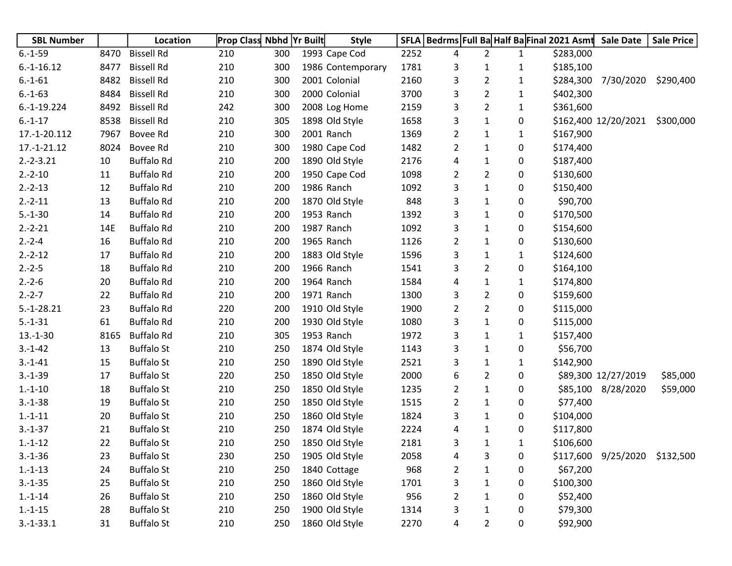| <b>SBL Number</b> |      | Location          | <b>Prop Class Nbhd Yr Built</b> |     | <b>Style</b>      |      | SFLA   Bedrms   Full Ba Half Ba Final 2021 Asmt Sale Date |                |              |           |                               | <b>Sale Price</b> |
|-------------------|------|-------------------|---------------------------------|-----|-------------------|------|-----------------------------------------------------------|----------------|--------------|-----------|-------------------------------|-------------------|
| $6.-1-59$         | 8470 | <b>Bissell Rd</b> | 210                             | 300 | 1993 Cape Cod     | 2252 | 4                                                         | $\overline{2}$ | $\mathbf{1}$ | \$283,000 |                               |                   |
| $6.-1-16.12$      | 8477 | <b>Bissell Rd</b> | 210                             | 300 | 1986 Contemporary | 1781 | 3                                                         | $\mathbf{1}$   | 1            | \$185,100 |                               |                   |
| $6.-1-61$         | 8482 | <b>Bissell Rd</b> | 210                             | 300 | 2001 Colonial     | 2160 | 3                                                         | $\overline{2}$ | $\mathbf{1}$ |           | \$284,300 7/30/2020           | \$290,400         |
| $6.-1-63$         | 8484 | <b>Bissell Rd</b> | 210                             | 300 | 2000 Colonial     | 3700 | 3                                                         | $\overline{2}$ | $\mathbf{1}$ | \$402,300 |                               |                   |
| $6.-1-19.224$     | 8492 | <b>Bissell Rd</b> | 242                             | 300 | 2008 Log Home     | 2159 | 3                                                         | 2              | $\mathbf{1}$ | \$361,600 |                               |                   |
| $6.-1-17$         | 8538 | <b>Bissell Rd</b> | 210                             | 305 | 1898 Old Style    | 1658 | 3                                                         | $\mathbf{1}$   | 0            |           | \$162,400 12/20/2021          | \$300,000         |
| 17.-1-20.112      | 7967 | Bovee Rd          | 210                             | 300 | 2001 Ranch        | 1369 | $\overline{2}$                                            | 1              | $\mathbf{1}$ | \$167,900 |                               |                   |
| 17.-1-21.12       | 8024 | Bovee Rd          | 210                             | 300 | 1980 Cape Cod     | 1482 | $\overline{2}$                                            | $\mathbf{1}$   | 0            | \$174,400 |                               |                   |
| $2.-2-3.21$       | 10   | <b>Buffalo Rd</b> | 210                             | 200 | 1890 Old Style    | 2176 | 4                                                         | $\mathbf{1}$   | 0            | \$187,400 |                               |                   |
| $2.-2-10$         | 11   | <b>Buffalo Rd</b> | 210                             | 200 | 1950 Cape Cod     | 1098 | $\overline{2}$                                            | $\overline{2}$ | 0            | \$130,600 |                               |                   |
| $2.-2-13$         | 12   | <b>Buffalo Rd</b> | 210                             | 200 | 1986 Ranch        | 1092 | 3                                                         | $\mathbf{1}$   | 0            | \$150,400 |                               |                   |
| $2.-2-11$         | 13   | <b>Buffalo Rd</b> | 210                             | 200 | 1870 Old Style    | 848  | 3                                                         | 1              | 0            | \$90,700  |                               |                   |
| $5.-1-30$         | 14   | <b>Buffalo Rd</b> | 210                             | 200 | 1953 Ranch        | 1392 | 3                                                         | $\mathbf{1}$   | 0            | \$170,500 |                               |                   |
| $2.-2-21$         | 14E  | <b>Buffalo Rd</b> | 210                             | 200 | 1987 Ranch        | 1092 | 3                                                         | 1              | 0            | \$154,600 |                               |                   |
| $2.-2-4$          | 16   | <b>Buffalo Rd</b> | 210                             | 200 | 1965 Ranch        | 1126 | $\overline{2}$                                            | $\mathbf{1}$   | 0            | \$130,600 |                               |                   |
| $2.-2-12$         | 17   | <b>Buffalo Rd</b> | 210                             | 200 | 1883 Old Style    | 1596 | 3                                                         | $\mathbf{1}$   | $\mathbf{1}$ | \$124,600 |                               |                   |
| $2.-2-5$          | 18   | <b>Buffalo Rd</b> | 210                             | 200 | 1966 Ranch        | 1541 | 3                                                         | $\overline{2}$ | 0            | \$164,100 |                               |                   |
| $2.-2-6$          | 20   | <b>Buffalo Rd</b> | 210                             | 200 | 1964 Ranch        | 1584 | 4                                                         | $\mathbf{1}$   | 1            | \$174,800 |                               |                   |
| $2.-2-7$          | 22   | <b>Buffalo Rd</b> | 210                             | 200 | 1971 Ranch        | 1300 | 3                                                         | 2              | 0            | \$159,600 |                               |                   |
| $5.-1-28.21$      | 23   | <b>Buffalo Rd</b> | 220                             | 200 | 1910 Old Style    | 1900 | $\overline{2}$                                            | $\overline{2}$ | 0            | \$115,000 |                               |                   |
| $5.-1-31$         | 61   | <b>Buffalo Rd</b> | 210                             | 200 | 1930 Old Style    | 1080 | 3                                                         | $\mathbf{1}$   | 0            | \$115,000 |                               |                   |
| $13.-1-30$        | 8165 | <b>Buffalo Rd</b> | 210                             | 305 | 1953 Ranch        | 1972 | 3                                                         | $\mathbf{1}$   | $\mathbf{1}$ | \$157,400 |                               |                   |
| $3.-1-42$         | 13   | <b>Buffalo St</b> | 210                             | 250 | 1874 Old Style    | 1143 | 3                                                         | $\mathbf{1}$   | 0            | \$56,700  |                               |                   |
| $3.-1-41$         | 15   | <b>Buffalo St</b> | 210                             | 250 | 1890 Old Style    | 2521 | 3                                                         | 1              | $\mathbf{1}$ | \$142,900 |                               |                   |
| $3.-1-39$         | 17   | <b>Buffalo St</b> | 220                             | 250 | 1850 Old Style    | 2000 | 6                                                         | 2              | 0            |           | \$89,300 12/27/2019           | \$85,000          |
| $1.-1-10$         | 18   | <b>Buffalo St</b> | 210                             | 250 | 1850 Old Style    | 1235 | $\overline{2}$                                            | $\mathbf{1}$   | 0            |           | \$85,100 8/28/2020            | \$59,000          |
| $3.-1-38$         | 19   | <b>Buffalo St</b> | 210                             | 250 | 1850 Old Style    | 1515 | $\overline{2}$                                            | $\mathbf{1}$   | 0            | \$77,400  |                               |                   |
| $1.-1-11$         | 20   | <b>Buffalo St</b> | 210                             | 250 | 1860 Old Style    | 1824 | 3                                                         | 1              | 0            | \$104,000 |                               |                   |
| $3.-1-37$         | 21   | <b>Buffalo St</b> | 210                             | 250 | 1874 Old Style    | 2224 | 4                                                         | $\mathbf{1}$   | 0            | \$117,800 |                               |                   |
| $1.-1-12$         | 22   | <b>Buffalo St</b> | 210                             | 250 | 1850 Old Style    | 2181 | 3                                                         | 1              | 1            | \$106,600 |                               |                   |
| $3.-1-36$         | 23   | <b>Buffalo St</b> | 230                             | 250 | 1905 Old Style    | 2058 | 4                                                         | 3              | 0            |           | \$117,600 9/25/2020 \$132,500 |                   |
| $1.-1-13$         | 24   | <b>Buffalo St</b> | 210                             | 250 | 1840 Cottage      | 968  | $\overline{2}$                                            | $\mathbf{1}$   | 0            | \$67,200  |                               |                   |
| $3.-1-35$         | 25   | <b>Buffalo St</b> | 210                             | 250 | 1860 Old Style    | 1701 | 3                                                         | 1              | 0            | \$100,300 |                               |                   |
| $1.-1-14$         | 26   | <b>Buffalo St</b> | 210                             | 250 | 1860 Old Style    | 956  | $\overline{2}$                                            | 1              | 0            | \$52,400  |                               |                   |
| $1.-1-15$         | 28   | <b>Buffalo St</b> | 210                             | 250 | 1900 Old Style    | 1314 | 3                                                         | 1              | 0            | \$79,300  |                               |                   |
| $3.-1-33.1$       | 31   | <b>Buffalo St</b> | 210                             | 250 | 1860 Old Style    | 2270 | 4                                                         | 2              | 0            | \$92,900  |                               |                   |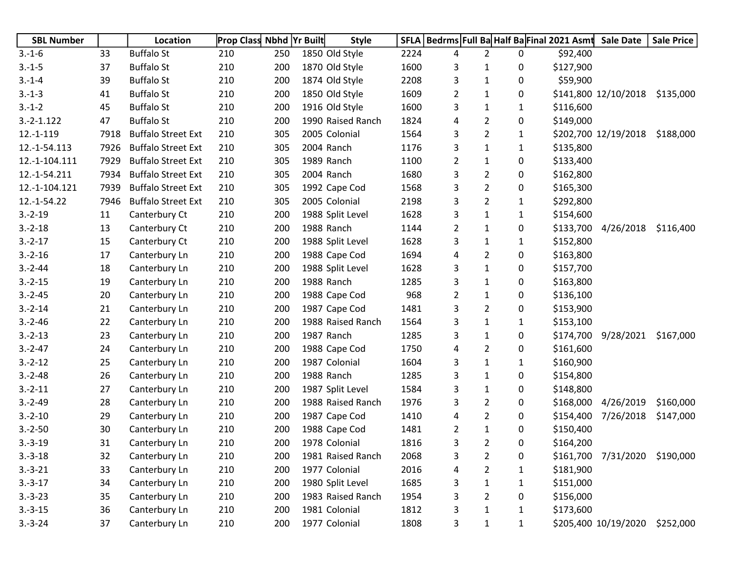| <b>SBL Number</b> |      | Location                  | <b>Prop Class Nbhd Yr Built</b> |     | <b>Style</b>      | <b>SFLA</b> |   |                |              | Bedrms Full Ba Half Ba Final 2021 Asmt | <b>Sale Date</b>     | <b>Sale Price</b> |
|-------------------|------|---------------------------|---------------------------------|-----|-------------------|-------------|---|----------------|--------------|----------------------------------------|----------------------|-------------------|
| $3.-1-6$          | 33   | <b>Buffalo St</b>         | 210                             | 250 | 1850 Old Style    | 2224        | 4 | $\overline{2}$ | 0            | \$92,400                               |                      |                   |
| $3.-1-5$          | 37   | <b>Buffalo St</b>         | 210                             | 200 | 1870 Old Style    | 1600        | 3 | 1              | 0            | \$127,900                              |                      |                   |
| $3.-1-4$          | 39   | <b>Buffalo St</b>         | 210                             | 200 | 1874 Old Style    | 2208        | 3 | $\mathbf{1}$   | 0            | \$59,900                               |                      |                   |
| $3.-1-3$          | 41   | <b>Buffalo St</b>         | 210                             | 200 | 1850 Old Style    | 1609        | 2 | $\mathbf{1}$   | 0            |                                        | \$141,800 12/10/2018 | \$135,000         |
| $3.-1-2$          | 45   | <b>Buffalo St</b>         | 210                             | 200 | 1916 Old Style    | 1600        | 3 | 1              | 1            | \$116,600                              |                      |                   |
| $3.-2-1.122$      | 47   | <b>Buffalo St</b>         | 210                             | 200 | 1990 Raised Ranch | 1824        | 4 | 2              | 0            | \$149,000                              |                      |                   |
| $12.-1-119$       | 7918 | <b>Buffalo Street Ext</b> | 210                             | 305 | 2005 Colonial     | 1564        | 3 | $\overline{2}$ | 1            |                                        | \$202,700 12/19/2018 | \$188,000         |
| 12.-1-54.113      | 7926 | <b>Buffalo Street Ext</b> | 210                             | 305 | 2004 Ranch        | 1176        | 3 | $\mathbf{1}$   | $\mathbf{1}$ | \$135,800                              |                      |                   |
| 12.-1-104.111     | 7929 | <b>Buffalo Street Ext</b> | 210                             | 305 | 1989 Ranch        | 1100        | 2 | $\mathbf{1}$   | 0            | \$133,400                              |                      |                   |
| 12.-1-54.211      | 7934 | <b>Buffalo Street Ext</b> | 210                             | 305 | 2004 Ranch        | 1680        | 3 | 2              | 0            | \$162,800                              |                      |                   |
| 12.-1-104.121     | 7939 | <b>Buffalo Street Ext</b> | 210                             | 305 | 1992 Cape Cod     | 1568        | 3 | $\overline{2}$ | 0            | \$165,300                              |                      |                   |
| 12.-1-54.22       | 7946 | <b>Buffalo Street Ext</b> | 210                             | 305 | 2005 Colonial     | 2198        | 3 | $\overline{2}$ | 1            | \$292,800                              |                      |                   |
| $3.-2-19$         | 11   | Canterbury Ct             | 210                             | 200 | 1988 Split Level  | 1628        | 3 | $\mathbf{1}$   | 1            | \$154,600                              |                      |                   |
| $3.-2-18$         | 13   | Canterbury Ct             | 210                             | 200 | 1988 Ranch        | 1144        | 2 | $\mathbf{1}$   | 0            | \$133,700                              | 4/26/2018            | \$116,400         |
| $3.-2-17$         | 15   | Canterbury Ct             | 210                             | 200 | 1988 Split Level  | 1628        | 3 | $\mathbf{1}$   | 1            | \$152,800                              |                      |                   |
| $3.-2-16$         | 17   | Canterbury Ln             | 210                             | 200 | 1988 Cape Cod     | 1694        | 4 | 2              | 0            | \$163,800                              |                      |                   |
| $3.-2-44$         | 18   | Canterbury Ln             | 210                             | 200 | 1988 Split Level  | 1628        | 3 | $\mathbf{1}$   | 0            | \$157,700                              |                      |                   |
| $3.-2-15$         | 19   | Canterbury Ln             | 210                             | 200 | 1988 Ranch        | 1285        | 3 | $\mathbf{1}$   | 0            | \$163,800                              |                      |                   |
| $3.-2-45$         | 20   | Canterbury Ln             | 210                             | 200 | 1988 Cape Cod     | 968         | 2 | $\mathbf{1}$   | 0            | \$136,100                              |                      |                   |
| $3.-2-14$         | 21   | Canterbury Ln             | 210                             | 200 | 1987 Cape Cod     | 1481        | 3 | $\overline{2}$ | 0            | \$153,900                              |                      |                   |
| $3.-2-46$         | 22   | Canterbury Ln             | 210                             | 200 | 1988 Raised Ranch | 1564        | 3 | $\mathbf{1}$   | 1            | \$153,100                              |                      |                   |
| $3.-2-13$         | 23   | Canterbury Ln             | 210                             | 200 | 1987 Ranch        | 1285        | 3 | $\mathbf{1}$   | 0            | \$174,700                              | 9/28/2021            | \$167,000         |
| $3.-2-47$         | 24   | Canterbury Ln             | 210                             | 200 | 1988 Cape Cod     | 1750        | 4 | 2              | 0            | \$161,600                              |                      |                   |
| $3.-2-12$         | 25   | Canterbury Ln             | 210                             | 200 | 1987 Colonial     | 1604        | 3 | 1              | 1            | \$160,900                              |                      |                   |
| $3.-2-48$         | 26   | Canterbury Ln             | 210                             | 200 | 1988 Ranch        | 1285        | 3 | $\mathbf{1}$   | 0            | \$154,800                              |                      |                   |
| $3.-2-11$         | 27   | Canterbury Ln             | 210                             | 200 | 1987 Split Level  | 1584        | 3 | $\mathbf{1}$   | 0            | \$148,800                              |                      |                   |
| $3.-2-49$         | 28   | Canterbury Ln             | 210                             | 200 | 1988 Raised Ranch | 1976        | 3 | $\overline{2}$ | 0            | \$168,000                              | 4/26/2019            | \$160,000         |
| $3.-2-10$         | 29   | Canterbury Ln             | 210                             | 200 | 1987 Cape Cod     | 1410        | 4 | 2              | 0            | \$154,400                              | 7/26/2018            | \$147,000         |
| $3.-2-50$         | 30   | Canterbury Ln             | 210                             | 200 | 1988 Cape Cod     | 1481        | 2 | $\mathbf{1}$   | 0            | \$150,400                              |                      |                   |
| $3.-3-19$         | 31   | Canterbury Ln             | 210                             | 200 | 1978 Colonial     | 1816        | 3 | 2              | 0            | \$164,200                              |                      |                   |
| $3.-3-18$         | 32   | Canterbury Ln             | 210                             | 200 | 1981 Raised Ranch | 2068        | 3 | $\overline{2}$ | 0            |                                        | \$161,700 7/31/2020  | \$190,000         |
| $3.-3-21$         | 33   | Canterbury Ln             | 210                             | 200 | 1977 Colonial     | 2016        | 4 | 2              | $\mathbf{1}$ | \$181,900                              |                      |                   |
| $3.-3-17$         | 34   | Canterbury Ln             | 210                             | 200 | 1980 Split Level  | 1685        | 3 | $\mathbf{1}$   | 1            | \$151,000                              |                      |                   |
| $3.-3-23$         | 35   | Canterbury Ln             | 210                             | 200 | 1983 Raised Ranch | 1954        | 3 | $\overline{2}$ | 0            | \$156,000                              |                      |                   |
| $3.-3-15$         | 36   | Canterbury Ln             | 210                             | 200 | 1981 Colonial     | 1812        | 3 | 1              | 1            | \$173,600                              |                      |                   |
| $3.-3-24$         | 37   | Canterbury Ln             | 210                             | 200 | 1977 Colonial     | 1808        | 3 | $\mathbf{1}$   | $\mathbf{1}$ |                                        | \$205,400 10/19/2020 | \$252,000         |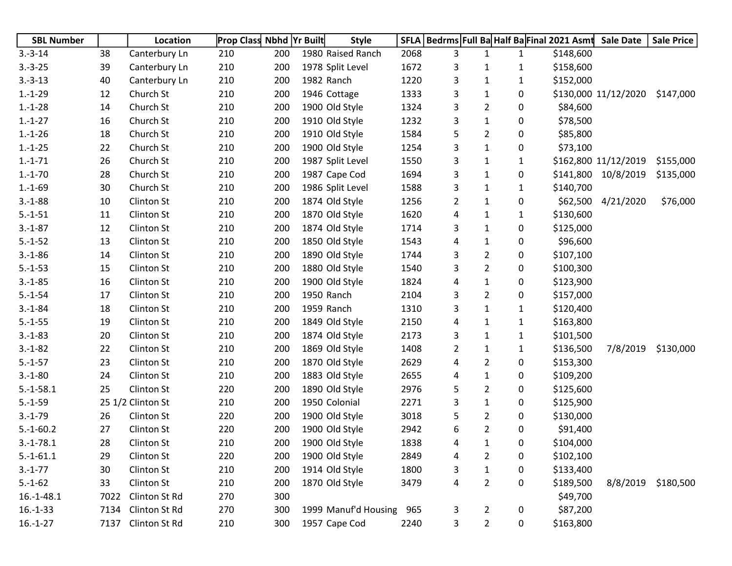| <b>SBL Number</b> |      | Location          | Prop Class Nbhd Yr Built |     | <b>Style</b>         | <b>SFLA</b> | Bedrms Full Ba Half Ba Final 2021 Asmt |                |              |           | <b>Sale Date</b>     | <b>Sale Price</b> |
|-------------------|------|-------------------|--------------------------|-----|----------------------|-------------|----------------------------------------|----------------|--------------|-----------|----------------------|-------------------|
| $3.-3-14$         | 38   | Canterbury Ln     | 210                      | 200 | 1980 Raised Ranch    | 2068        | 3                                      | 1              | $\mathbf{1}$ | \$148,600 |                      |                   |
| $3.-3-25$         | 39   | Canterbury Ln     | 210                      | 200 | 1978 Split Level     | 1672        | 3                                      | 1              | 1            | \$158,600 |                      |                   |
| $3.-3-13$         | 40   | Canterbury Ln     | 210                      | 200 | 1982 Ranch           | 1220        | 3                                      | $\mathbf{1}$   | $\mathbf{1}$ | \$152,000 |                      |                   |
| $1.-1-29$         | 12   | Church St         | 210                      | 200 | 1946 Cottage         | 1333        | 3                                      | 1              | 0            |           | \$130,000 11/12/2020 | \$147,000         |
| $1.-1-28$         | 14   | Church St         | 210                      | 200 | 1900 Old Style       | 1324        | 3                                      | $\overline{2}$ | 0            | \$84,600  |                      |                   |
| $1.-1-27$         | 16   | Church St         | 210                      | 200 | 1910 Old Style       | 1232        | 3                                      | $\mathbf{1}$   | 0            | \$78,500  |                      |                   |
| $1.-1-26$         | 18   | Church St         | 210                      | 200 | 1910 Old Style       | 1584        | 5                                      | $\overline{2}$ | 0            | \$85,800  |                      |                   |
| $1.-1-25$         | 22   | Church St         | 210                      | 200 | 1900 Old Style       | 1254        | 3                                      | $\mathbf 1$    | 0            | \$73,100  |                      |                   |
| $1.-1-71$         | 26   | Church St         | 210                      | 200 | 1987 Split Level     | 1550        | 3                                      | $\mathbf{1}$   | $\mathbf{1}$ |           | \$162,800 11/12/2019 | \$155,000         |
| $1.-1-70$         | 28   | Church St         | 210                      | 200 | 1987 Cape Cod        | 1694        | 3                                      | $\mathbf{1}$   | 0            |           | \$141,800 10/8/2019  | \$135,000         |
| $1.-1-69$         | 30   | Church St         | 210                      | 200 | 1986 Split Level     | 1588        | 3                                      | 1              | 1            | \$140,700 |                      |                   |
| $3.-1-88$         | 10   | Clinton St        | 210                      | 200 | 1874 Old Style       | 1256        | $\overline{2}$                         | 1              | 0            |           | \$62,500 4/21/2020   | \$76,000          |
| $5.-1-51$         | 11   | Clinton St        | 210                      | 200 | 1870 Old Style       | 1620        | 4                                      | 1              | $\mathbf{1}$ | \$130,600 |                      |                   |
| $3.-1-87$         | 12   | Clinton St        | 210                      | 200 | 1874 Old Style       | 1714        | 3                                      | 1              | 0            | \$125,000 |                      |                   |
| $5.-1-52$         | 13   | <b>Clinton St</b> | 210                      | 200 | 1850 Old Style       | 1543        | 4                                      | $\mathbf 1$    | 0            | \$96,600  |                      |                   |
| $3.-1-86$         | 14   | Clinton St        | 210                      | 200 | 1890 Old Style       | 1744        | 3                                      | $\overline{2}$ | 0            | \$107,100 |                      |                   |
| $5.-1-53$         | 15   | Clinton St        | 210                      | 200 | 1880 Old Style       | 1540        | 3                                      | $\overline{2}$ | 0            | \$100,300 |                      |                   |
| $3.-1-85$         | 16   | Clinton St        | 210                      | 200 | 1900 Old Style       | 1824        | 4                                      | 1              | 0            | \$123,900 |                      |                   |
| $5.-1-54$         | 17   | Clinton St        | 210                      | 200 | 1950 Ranch           | 2104        | 3                                      | $\overline{2}$ | 0            | \$157,000 |                      |                   |
| $3.-1-84$         | 18   | Clinton St        | 210                      | 200 | 1959 Ranch           | 1310        | 3                                      | $\mathbf{1}$   | $\mathbf{1}$ | \$120,400 |                      |                   |
| $5.-1-55$         | 19   | Clinton St        | 210                      | 200 | 1849 Old Style       | 2150        | 4                                      | 1              | 1            | \$163,800 |                      |                   |
| $3.-1-83$         | 20   | Clinton St        | 210                      | 200 | 1874 Old Style       | 2173        | 3                                      | $\mathbf{1}$   | $\mathbf{1}$ | \$101,500 |                      |                   |
| $3.-1-82$         | 22   | Clinton St        | 210                      | 200 | 1869 Old Style       | 1408        | $\overline{2}$                         | 1              | 1            | \$136,500 | 7/8/2019             | \$130,000         |
| $5.-1-57$         | 23   | Clinton St        | 210                      | 200 | 1870 Old Style       | 2629        | 4                                      | $\overline{2}$ | 0            | \$153,300 |                      |                   |
| $3.-1-80$         | 24   | Clinton St        | 210                      | 200 | 1883 Old Style       | 2655        | 4                                      | $\mathbf 1$    | 0            | \$109,200 |                      |                   |
| $5.-1-58.1$       | 25   | Clinton St        | 220                      | 200 | 1890 Old Style       | 2976        | 5                                      | $\overline{2}$ | 0            | \$125,600 |                      |                   |
| $5.-1-59$         |      | 25 1/2 Clinton St | 210                      | 200 | 1950 Colonial        | 2271        | 3                                      | $\mathbf{1}$   | 0            | \$125,900 |                      |                   |
| $3.-1-79$         | 26   | Clinton St        | 220                      | 200 | 1900 Old Style       | 3018        | 5                                      | $\overline{2}$ | 0            | \$130,000 |                      |                   |
| $5.-1-60.2$       | 27   | Clinton St        | 220                      | 200 | 1900 Old Style       | 2942        | 6                                      | $\overline{2}$ | 0            | \$91,400  |                      |                   |
| $3.-1-78.1$       | 28   | Clinton St        | 210                      | 200 | 1900 Old Style       | 1838        | 4                                      | 1              | 0            | \$104,000 |                      |                   |
| $5.-1-61.1$       | 29   | Clinton St        | 220                      | 200 | 1900 Old Style       | 2849        | 4                                      | 2              | 0            | \$102,100 |                      |                   |
| $3.-1-77$         | 30   | Clinton St        | 210                      | 200 | 1914 Old Style       | 1800        | 3                                      | $\mathbf 1$    | 0            | \$133,400 |                      |                   |
| $5.-1-62$         | 33   | Clinton St        | 210                      | 200 | 1870 Old Style       | 3479        | 4                                      | $\overline{2}$ | 0            | \$189,500 | 8/8/2019             | \$180,500         |
| $16.-1-48.1$      | 7022 | Clinton St Rd     | 270                      | 300 |                      |             |                                        |                |              | \$49,700  |                      |                   |
| $16.-1-33$        | 7134 | Clinton St Rd     | 270                      | 300 | 1999 Manuf'd Housing | 965         | 3                                      | $\overline{2}$ | 0            | \$87,200  |                      |                   |
| $16.-1-27$        | 7137 | Clinton St Rd     | 210                      | 300 | 1957 Cape Cod        | 2240        | 3                                      | $\overline{2}$ | 0            | \$163,800 |                      |                   |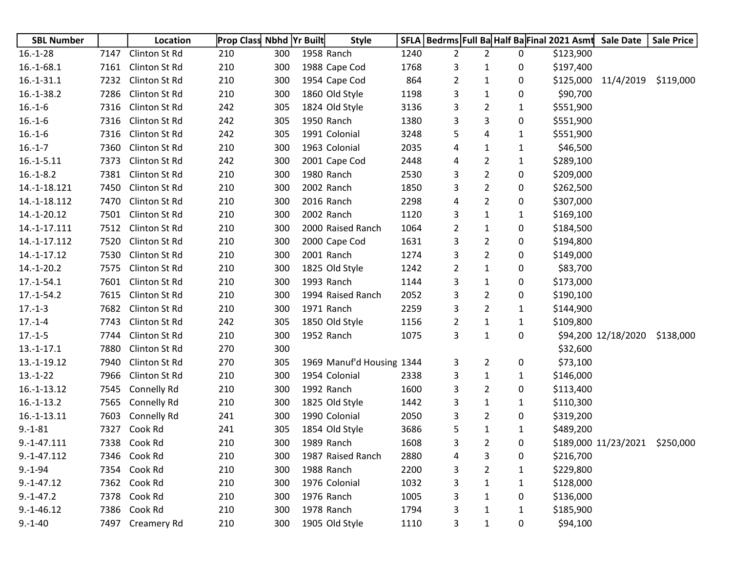| <b>SBL Number</b> |      | Location         | <b>Prop Class Nbhd Yr Built</b> |     | <b>Style</b>              | <b>SFLA</b> | Bedrms Full Ba Half Ba Final 2021 Asmt Sale Date |                |              |           |                      | <b>Sale Price</b> |
|-------------------|------|------------------|---------------------------------|-----|---------------------------|-------------|--------------------------------------------------|----------------|--------------|-----------|----------------------|-------------------|
| $16.-1-28$        | 7147 | Clinton St Rd    | 210                             | 300 | 1958 Ranch                | 1240        | $\overline{2}$                                   | $\overline{2}$ | 0            | \$123,900 |                      |                   |
| $16.-1-68.1$      | 7161 | Clinton St Rd    | 210                             | 300 | 1988 Cape Cod             | 1768        | 3                                                | 1              | 0            | \$197,400 |                      |                   |
| $16.-1-31.1$      | 7232 | Clinton St Rd    | 210                             | 300 | 1954 Cape Cod             | 864         | $\overline{2}$                                   | 1              | 0            |           | \$125,000 11/4/2019  | \$119,000         |
| $16.-1-38.2$      | 7286 | Clinton St Rd    | 210                             | 300 | 1860 Old Style            | 1198        | 3                                                | 1              | 0            | \$90,700  |                      |                   |
| $16.-1-6$         | 7316 | Clinton St Rd    | 242                             | 305 | 1824 Old Style            | 3136        | 3                                                | $\overline{2}$ | 1            | \$551,900 |                      |                   |
| $16.-1-6$         | 7316 | Clinton St Rd    | 242                             | 305 | 1950 Ranch                | 1380        | 3                                                | 3              | 0            | \$551,900 |                      |                   |
| $16.-1-6$         | 7316 | Clinton St Rd    | 242                             | 305 | 1991 Colonial             | 3248        | 5                                                | 4              | 1            | \$551,900 |                      |                   |
| $16.-1-7$         | 7360 | Clinton St Rd    | 210                             | 300 | 1963 Colonial             | 2035        | 4                                                | 1              | $\mathbf{1}$ | \$46,500  |                      |                   |
| $16.-1-5.11$      | 7373 | Clinton St Rd    | 242                             | 300 | 2001 Cape Cod             | 2448        | 4                                                | $\overline{2}$ | 1            | \$289,100 |                      |                   |
| $16.-1-8.2$       | 7381 | Clinton St Rd    | 210                             | 300 | 1980 Ranch                | 2530        | 3                                                | $\overline{2}$ | 0            | \$209,000 |                      |                   |
| 14.-1-18.121      | 7450 | Clinton St Rd    | 210                             | 300 | 2002 Ranch                | 1850        | 3                                                | 2              | 0            | \$262,500 |                      |                   |
| 14.-1-18.112      | 7470 | Clinton St Rd    | 210                             | 300 | 2016 Ranch                | 2298        | 4                                                | $\overline{2}$ | 0            | \$307,000 |                      |                   |
| 14.-1-20.12       | 7501 | Clinton St Rd    | 210                             | 300 | 2002 Ranch                | 1120        | 3                                                | 1              | 1            | \$169,100 |                      |                   |
| 14.-1-17.111      | 7512 | Clinton St Rd    | 210                             | 300 | 2000 Raised Ranch         | 1064        | 2                                                | 1              | 0            | \$184,500 |                      |                   |
| 14.-1-17.112      | 7520 | Clinton St Rd    | 210                             | 300 | 2000 Cape Cod             | 1631        | 3                                                | $\overline{2}$ | 0            | \$194,800 |                      |                   |
| 14.-1-17.12       | 7530 | Clinton St Rd    | 210                             | 300 | 2001 Ranch                | 1274        | 3                                                | $\overline{2}$ | 0            | \$149,000 |                      |                   |
| $14.-1-20.2$      | 7575 | Clinton St Rd    | 210                             | 300 | 1825 Old Style            | 1242        | $\overline{2}$                                   | 1              | 0            | \$83,700  |                      |                   |
| $17.-1-54.1$      | 7601 | Clinton St Rd    | 210                             | 300 | 1993 Ranch                | 1144        | 3                                                | 1              | 0            | \$173,000 |                      |                   |
| $17.-1-54.2$      | 7615 | Clinton St Rd    | 210                             | 300 | 1994 Raised Ranch         | 2052        | 3                                                | 2              | 0            | \$190,100 |                      |                   |
| $17.-1-3$         | 7682 | Clinton St Rd    | 210                             | 300 | 1971 Ranch                | 2259        | 3                                                | $\overline{2}$ | 1            | \$144,900 |                      |                   |
| $17.-1-4$         | 7743 | Clinton St Rd    | 242                             | 305 | 1850 Old Style            | 1156        | 2                                                | 1              | $\mathbf{1}$ | \$109,800 |                      |                   |
| $17.-1-5$         | 7744 | Clinton St Rd    | 210                             | 300 | 1952 Ranch                | 1075        | 3                                                | 1              | 0            |           | \$94,200 12/18/2020  | \$138,000         |
| $13.-1-17.1$      | 7880 | Clinton St Rd    | 270                             | 300 |                           |             |                                                  |                |              | \$32,600  |                      |                   |
| 13.-1-19.12       | 7940 | Clinton St Rd    | 270                             | 305 | 1969 Manuf'd Housing 1344 |             | 3                                                | 2              | 0            | \$73,100  |                      |                   |
| $13.-1-22$        | 7966 | Clinton St Rd    | 210                             | 300 | 1954 Colonial             | 2338        | 3                                                | 1              | 1            | \$146,000 |                      |                   |
| 16.-1-13.12       | 7545 | Connelly Rd      | 210                             | 300 | 1992 Ranch                | 1600        | 3                                                | $\overline{2}$ | 0            | \$113,400 |                      |                   |
| $16.-1-13.2$      | 7565 | Connelly Rd      | 210                             | 300 | 1825 Old Style            | 1442        | 3                                                | 1              | $\mathbf{1}$ | \$110,300 |                      |                   |
| $16.-1-13.11$     | 7603 | Connelly Rd      | 241                             | 300 | 1990 Colonial             | 2050        | 3                                                | $\overline{2}$ | 0            | \$319,200 |                      |                   |
| $9.-1-81$         | 7327 | Cook Rd          | 241                             | 305 | 1854 Old Style            | 3686        | 5                                                | $\mathbf{1}$   | $\mathbf{1}$ | \$489,200 |                      |                   |
| 9.-1-47.111       | 7338 | Cook Rd          | 210                             | 300 | 1989 Ranch                | 1608        | 3                                                | 2              | 0            |           | \$189,000 11/23/2021 | \$250,000         |
| $9.-1-47.112$     |      | 7346 Cook Rd     | 210                             | 300 | 1987 Raised Ranch         | 2880        | 4                                                | 3              | 0            | \$216,700 |                      |                   |
| $9.-1-94$         | 7354 | Cook Rd          | 210                             | 300 | 1988 Ranch                | 2200        | 3                                                | $\overline{2}$ | 1            | \$229,800 |                      |                   |
| $9.-1-47.12$      |      | 7362 Cook Rd     | 210                             | 300 | 1976 Colonial             | 1032        | 3                                                | 1              | 1            | \$128,000 |                      |                   |
| $9.-1-47.2$       | 7378 | Cook Rd          | 210                             | 300 | 1976 Ranch                | 1005        | 3                                                | 1              | 0            | \$136,000 |                      |                   |
| $9.-1-46.12$      |      | 7386 Cook Rd     | 210                             | 300 | 1978 Ranch                | 1794        | 3                                                | 1              | 1            | \$185,900 |                      |                   |
| $9.-1-40$         |      | 7497 Creamery Rd | 210                             | 300 | 1905 Old Style            | 1110        | 3                                                | 1              | 0            | \$94,100  |                      |                   |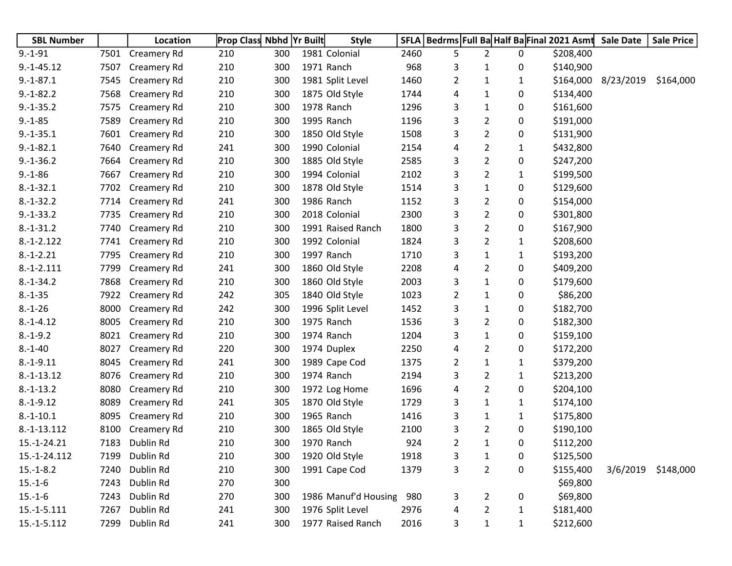| <b>SBL Number</b> |      | Location           | <b>Prop Class Nbhd Yr Built</b> |     | <b>Style</b>         | <b>SFLA</b> | Bedrms Full Ba Half Ba Final 2021 Asmt |                |   |           | <b>Sale Date</b>    | <b>Sale Price</b> |
|-------------------|------|--------------------|---------------------------------|-----|----------------------|-------------|----------------------------------------|----------------|---|-----------|---------------------|-------------------|
| $9.-1-91$         | 7501 | <b>Creamery Rd</b> | 210                             | 300 | 1981 Colonial        | 2460        | 5                                      | $\overline{2}$ | 0 | \$208,400 |                     |                   |
| $9.-1-45.12$      | 7507 | Creamery Rd        | 210                             | 300 | 1971 Ranch           | 968         | 3                                      | 1              | 0 | \$140,900 |                     |                   |
| $9.-1-87.1$       | 7545 | Creamery Rd        | 210                             | 300 | 1981 Split Level     | 1460        | 2                                      | 1              | 1 |           | \$164,000 8/23/2019 | \$164,000         |
| $9.-1-82.2$       | 7568 | Creamery Rd        | 210                             | 300 | 1875 Old Style       | 1744        | 4                                      | 1              | 0 | \$134,400 |                     |                   |
| $9.-1-35.2$       | 7575 | Creamery Rd        | 210                             | 300 | 1978 Ranch           | 1296        | 3                                      | 1              | 0 | \$161,600 |                     |                   |
| $9.-1-85$         | 7589 | Creamery Rd        | 210                             | 300 | 1995 Ranch           | 1196        | 3                                      | 2              | 0 | \$191,000 |                     |                   |
| $9.-1-35.1$       | 7601 | Creamery Rd        | 210                             | 300 | 1850 Old Style       | 1508        | 3                                      | 2              | 0 | \$131,900 |                     |                   |
| $9.-1-82.1$       | 7640 | <b>Creamery Rd</b> | 241                             | 300 | 1990 Colonial        | 2154        | 4                                      | 2              | 1 | \$432,800 |                     |                   |
| $9.-1-36.2$       | 7664 | Creamery Rd        | 210                             | 300 | 1885 Old Style       | 2585        | 3                                      | 2              | 0 | \$247,200 |                     |                   |
| $9.-1-86$         | 7667 | Creamery Rd        | 210                             | 300 | 1994 Colonial        | 2102        | 3                                      | 2              | 1 | \$199,500 |                     |                   |
| $8.-1-32.1$       | 7702 | Creamery Rd        | 210                             | 300 | 1878 Old Style       | 1514        | 3                                      | 1              | 0 | \$129,600 |                     |                   |
| $8.-1-32.2$       | 7714 | Creamery Rd        | 241                             | 300 | 1986 Ranch           | 1152        | 3                                      | 2              | 0 | \$154,000 |                     |                   |
| $9.-1-33.2$       | 7735 | <b>Creamery Rd</b> | 210                             | 300 | 2018 Colonial        | 2300        | 3                                      | 2              | 0 | \$301,800 |                     |                   |
| $8.-1-31.2$       | 7740 | <b>Creamery Rd</b> | 210                             | 300 | 1991 Raised Ranch    | 1800        | 3                                      | 2              | 0 | \$167,900 |                     |                   |
| $8.-1-2.122$      | 7741 | Creamery Rd        | 210                             | 300 | 1992 Colonial        | 1824        | 3                                      | 2              | 1 | \$208,600 |                     |                   |
| $8.-1-.2.21$      | 7795 | Creamery Rd        | 210                             | 300 | 1997 Ranch           | 1710        | 3                                      | 1              | 1 | \$193,200 |                     |                   |
| $8.-1-2.111$      | 7799 | Creamery Rd        | 241                             | 300 | 1860 Old Style       | 2208        | 4                                      | 2              | 0 | \$409,200 |                     |                   |
| $8.-1-34.2$       | 7868 | Creamery Rd        | 210                             | 300 | 1860 Old Style       | 2003        | 3                                      | 1              | 0 | \$179,600 |                     |                   |
| $8.-1-35$         | 7922 | Creamery Rd        | 242                             | 305 | 1840 Old Style       | 1023        | 2                                      | 1              | 0 | \$86,200  |                     |                   |
| $8.-1-26$         | 8000 | <b>Creamery Rd</b> | 242                             | 300 | 1996 Split Level     | 1452        | 3                                      | 1              | 0 | \$182,700 |                     |                   |
| $8.-1-4.12$       | 8005 | Creamery Rd        | 210                             | 300 | 1975 Ranch           | 1536        | 3                                      | 2              | 0 | \$182,300 |                     |                   |
| $8.-1-9.2$        | 8021 | Creamery Rd        | 210                             | 300 | 1974 Ranch           | 1204        | 3                                      | 1              | 0 | \$159,100 |                     |                   |
| $8.-1-40$         | 8027 | Creamery Rd        | 220                             | 300 | 1974 Duplex          | 2250        | 4                                      | 2              | 0 | \$172,200 |                     |                   |
| $8.-1-9.11$       | 8045 | Creamery Rd        | 241                             | 300 | 1989 Cape Cod        | 1375        | 2                                      | 1              | 1 | \$379,200 |                     |                   |
| $8.-1-13.12$      | 8076 | Creamery Rd        | 210                             | 300 | 1974 Ranch           | 2194        | 3                                      | 2              | 1 | \$213,200 |                     |                   |
| $8.-1-13.2$       | 8080 | Creamery Rd        | 210                             | 300 | 1972 Log Home        | 1696        | 4                                      | 2              | 0 | \$204,100 |                     |                   |
| $8.-1-9.12$       | 8089 | Creamery Rd        | 241                             | 305 | 1870 Old Style       | 1729        | 3                                      | 1              | 1 | \$174,100 |                     |                   |
| $8.-1-10.1$       | 8095 | Creamery Rd        | 210                             | 300 | 1965 Ranch           | 1416        | 3                                      | 1              | 1 | \$175,800 |                     |                   |
| 8.-1-13.112       | 8100 | Creamery Rd        | 210                             | 300 | 1865 Old Style       | 2100        | 3                                      | 2              | 0 | \$190,100 |                     |                   |
| 15.-1-24.21       | 7183 | Dublin Rd          | 210                             | 300 | 1970 Ranch           | 924         | $\overline{2}$                         | 1              | 0 | \$112,200 |                     |                   |
| 15.-1-24.112      | 7199 | Dublin Rd          | 210                             | 300 | 1920 Old Style       | 1918        | 3                                      | $\mathbf{1}$   | 0 | \$125,500 |                     |                   |
| $15.-1-8.2$       | 7240 | Dublin Rd          | 210                             | 300 | 1991 Cape Cod        | 1379        | 3                                      | $\overline{2}$ | 0 | \$155,400 | 3/6/2019            | \$148,000         |
| $15.-1-6$         | 7243 | Dublin Rd          | 270                             | 300 |                      |             |                                        |                |   | \$69,800  |                     |                   |
| $15.-1-6$         | 7243 | Dublin Rd          | 270                             | 300 | 1986 Manuf'd Housing | 980         | 3                                      | $\overline{2}$ | 0 | \$69,800  |                     |                   |
| $15.-1-5.111$     | 7267 | Dublin Rd          | 241                             | 300 | 1976 Split Level     | 2976        | 4                                      | 2              | 1 | \$181,400 |                     |                   |
| 15.-1-5.112       | 7299 | Dublin Rd          | 241                             | 300 | 1977 Raised Ranch    | 2016        | 3                                      | 1              | 1 | \$212,600 |                     |                   |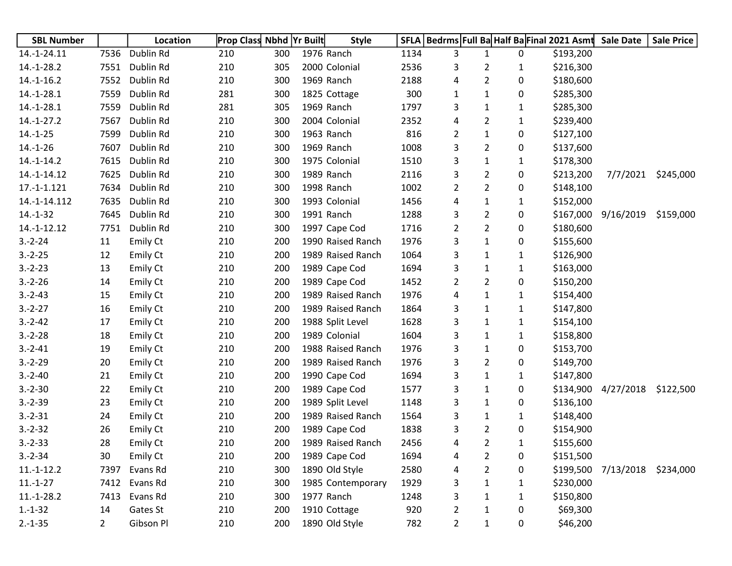| <b>SBL Number</b> |                | Location        | <b>Prop Class Nbhd Yr Built</b> |     | <b>Style</b>      | SFLA |                |                |              | Bedrms Full Ba Half Ba Final 2021 Asmt | <b>Sale Date</b>    | <b>Sale Price</b> |
|-------------------|----------------|-----------------|---------------------------------|-----|-------------------|------|----------------|----------------|--------------|----------------------------------------|---------------------|-------------------|
| 14.-1-24.11       | 7536           | Dublin Rd       | 210                             | 300 | 1976 Ranch        | 1134 | 3              | $\mathbf{1}$   | 0            | \$193,200                              |                     |                   |
| $14.-1-28.2$      | 7551           | Dublin Rd       | 210                             | 305 | 2000 Colonial     | 2536 | 3              | 2              | 1            | \$216,300                              |                     |                   |
| $14.-1-16.2$      | 7552           | Dublin Rd       | 210                             | 300 | 1969 Ranch        | 2188 | 4              | $\overline{2}$ | 0            | \$180,600                              |                     |                   |
| $14.-1-28.1$      | 7559           | Dublin Rd       | 281                             | 300 | 1825 Cottage      | 300  | 1              | $\mathbf{1}$   | 0            | \$285,300                              |                     |                   |
| $14.-1-28.1$      | 7559           | Dublin Rd       | 281                             | 305 | 1969 Ranch        | 1797 | 3              | 1              | 1            | \$285,300                              |                     |                   |
| $14.-1-27.2$      | 7567           | Dublin Rd       | 210                             | 300 | 2004 Colonial     | 2352 | 4              | 2              | 1            | \$239,400                              |                     |                   |
| $14.-1-25$        | 7599           | Dublin Rd       | 210                             | 300 | 1963 Ranch        | 816  | 2              | $\mathbf{1}$   | 0            | \$127,100                              |                     |                   |
| $14.-1-26$        | 7607           | Dublin Rd       | 210                             | 300 | 1969 Ranch        | 1008 | 3              | $\overline{2}$ | 0            | \$137,600                              |                     |                   |
| $14.-1-14.2$      | 7615           | Dublin Rd       | 210                             | 300 | 1975 Colonial     | 1510 | 3              | $\mathbf{1}$   | 1            | \$178,300                              |                     |                   |
| 14.-1-14.12       | 7625           | Dublin Rd       | 210                             | 300 | 1989 Ranch        | 2116 | 3              | $\overline{2}$ | 0            | \$213,200                              | 7/7/2021            | \$245,000         |
| 17.-1-1.121       | 7634           | Dublin Rd       | 210                             | 300 | 1998 Ranch        | 1002 | 2              | $\overline{2}$ | 0            | \$148,100                              |                     |                   |
| 14.-1-14.112      | 7635           | Dublin Rd       | 210                             | 300 | 1993 Colonial     | 1456 | 4              | 1              | 1            | \$152,000                              |                     |                   |
| $14.-1-32$        | 7645           | Dublin Rd       | 210                             | 300 | 1991 Ranch        | 1288 | 3              | $\overline{2}$ | 0            | \$167,000                              | 9/16/2019           | \$159,000         |
| 14.-1-12.12       | 7751           | Dublin Rd       | 210                             | 300 | 1997 Cape Cod     | 1716 | 2              | 2              | 0            | \$180,600                              |                     |                   |
| $3.-2-24$         | 11             | Emily Ct        | 210                             | 200 | 1990 Raised Ranch | 1976 | 3              | $\mathbf{1}$   | 0            | \$155,600                              |                     |                   |
| $3.-2-.25$        | 12             | Emily Ct        | 210                             | 200 | 1989 Raised Ranch | 1064 | 3              | $\mathbf{1}$   | 1            | \$126,900                              |                     |                   |
| $3.-2-.23$        | 13             | Emily Ct        | 210                             | 200 | 1989 Cape Cod     | 1694 | 3              | $\mathbf{1}$   | $\mathbf{1}$ | \$163,000                              |                     |                   |
| $3.-2-26$         | 14             | Emily Ct        | 210                             | 200 | 1989 Cape Cod     | 1452 | 2              | 2              | 0            | \$150,200                              |                     |                   |
| $3.-2-43$         | 15             | Emily Ct        | 210                             | 200 | 1989 Raised Ranch | 1976 | 4              | $\mathbf{1}$   | 1            | \$154,400                              |                     |                   |
| $3.-2-27$         | 16             | Emily Ct        | 210                             | 200 | 1989 Raised Ranch | 1864 | 3              | $\mathbf{1}$   | 1            | \$147,800                              |                     |                   |
| $3.-2-42$         | 17             | Emily Ct        | 210                             | 200 | 1988 Split Level  | 1628 | 3              | $\mathbf{1}$   | 1            | \$154,100                              |                     |                   |
| $3.-2-.28$        | 18             | Emily Ct        | 210                             | 200 | 1989 Colonial     | 1604 | 3              | $\mathbf{1}$   | 1            | \$158,800                              |                     |                   |
| $3.-2-41$         | 19             | Emily Ct        | 210                             | 200 | 1988 Raised Ranch | 1976 | 3              | $\mathbf{1}$   | 0            | \$153,700                              |                     |                   |
| $3.-2-29$         | 20             | Emily Ct        | 210                             | 200 | 1989 Raised Ranch | 1976 | 3              | 2              | 0            | \$149,700                              |                     |                   |
| $3.-2-40$         | 21             | Emily Ct        | 210                             | 200 | 1990 Cape Cod     | 1694 | 3              | $\mathbf{1}$   | 1            | \$147,800                              |                     |                   |
| $3.-2-30$         | 22             | <b>Emily Ct</b> | 210                             | 200 | 1989 Cape Cod     | 1577 | 3              | $\mathbf{1}$   | 0            | \$134,900                              | 4/27/2018           | \$122,500         |
| $3.-2-39$         | 23             | Emily Ct        | 210                             | 200 | 1989 Split Level  | 1148 | 3              | $\mathbf{1}$   | 0            | \$136,100                              |                     |                   |
| $3.-2-31$         | 24             | Emily Ct        | 210                             | 200 | 1989 Raised Ranch | 1564 | 3              | $\mathbf{1}$   | 1            | \$148,400                              |                     |                   |
| $3.-2-32$         | 26             | Emily Ct        | 210                             | 200 | 1989 Cape Cod     | 1838 | 3              | $\overline{2}$ | 0            | \$154,900                              |                     |                   |
| $3.-2-33$         | 28             | <b>Emily Ct</b> | 210                             | 200 | 1989 Raised Ranch | 2456 | 4              | 2              | 1            | \$155,600                              |                     |                   |
| $3.-2-34$         | 30             | Emily Ct        | 210                             | 200 | 1989 Cape Cod     | 1694 | 4              | $\overline{2}$ | 0            | \$151,500                              |                     |                   |
| $11.-1-12.2$      | 7397           | Evans Rd        | 210                             | 300 | 1890 Old Style    | 2580 | 4              | $\overline{c}$ | 0            |                                        | \$199,500 7/13/2018 | \$234,000         |
| $11.-1-27$        | 7412           | Evans Rd        | 210                             | 300 | 1985 Contemporary | 1929 | 3              | $\mathbf{1}$   | 1            | \$230,000                              |                     |                   |
| $11.-1-28.2$      | 7413           | Evans Rd        | 210                             | 300 | 1977 Ranch        | 1248 | 3              | $\mathbf{1}$   | $\mathbf{1}$ | \$150,800                              |                     |                   |
| $1.-1-32$         | 14             | Gates St        | 210                             | 200 | 1910 Cottage      | 920  | 2              | 1              | 0            | \$69,300                               |                     |                   |
| $2.-1-35$         | $\overline{2}$ | Gibson Pl       | 210                             | 200 | 1890 Old Style    | 782  | $\overline{2}$ | $\mathbf{1}$   | 0            | \$46,200                               |                     |                   |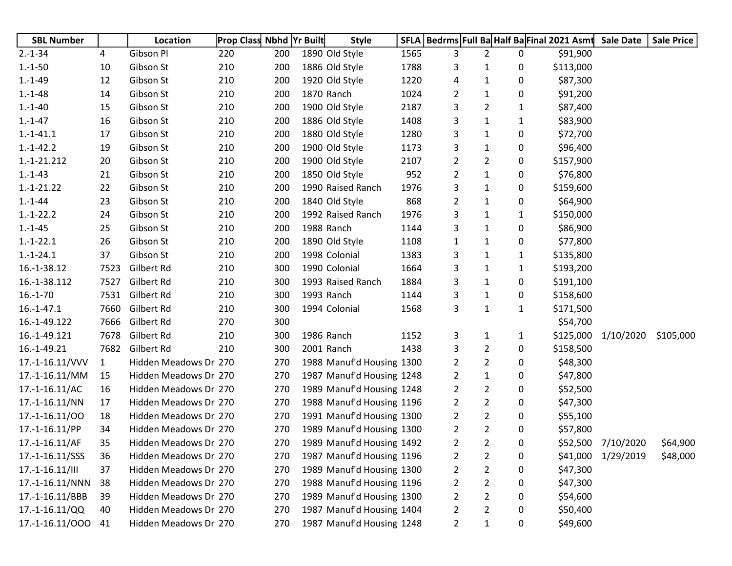| <b>SBL Number</b> |              | Location              | <b>Prop Class Nbhd Yr Built</b> |     | <b>Style</b>              |      |                |                |              | SFLA   Bedrms   Full Ba Half Ba Final 2021 Asmt Sale Date |                     | <b>Sale Price</b> |
|-------------------|--------------|-----------------------|---------------------------------|-----|---------------------------|------|----------------|----------------|--------------|-----------------------------------------------------------|---------------------|-------------------|
| $2.-1-34$         | 4            | Gibson Pl             | 220                             | 200 | 1890 Old Style            | 1565 | 3              | $\overline{2}$ | 0            | \$91,900                                                  |                     |                   |
| $1.-1-50$         | 10           | Gibson St             | 210                             | 200 | 1886 Old Style            | 1788 | 3              | $\mathbf{1}$   | 0            | \$113,000                                                 |                     |                   |
| $1.-1-49$         | 12           | Gibson St             | 210                             | 200 | 1920 Old Style            | 1220 | 4              | $\mathbf{1}$   | 0            | \$87,300                                                  |                     |                   |
| $1.-1-48$         | 14           | Gibson St             | 210                             | 200 | 1870 Ranch                | 1024 | 2              | $\mathbf{1}$   | 0            | \$91,200                                                  |                     |                   |
| $1.-1-40$         | 15           | Gibson St             | 210                             | 200 | 1900 Old Style            | 2187 | 3              | 2              | 1            | \$87,400                                                  |                     |                   |
| $1.-1-47$         | 16           | Gibson St             | 210                             | 200 | 1886 Old Style            | 1408 | 3              | 1              | $\mathbf{1}$ | \$83,900                                                  |                     |                   |
| $1.-1-41.1$       | 17           | Gibson St             | 210                             | 200 | 1880 Old Style            | 1280 | 3              | 1              | 0            | \$72,700                                                  |                     |                   |
| $1.-1-42.2$       | 19           | Gibson St             | 210                             | 200 | 1900 Old Style            | 1173 | 3              | $\mathbf 1$    | 0            | \$96,400                                                  |                     |                   |
| 1.-1-21.212       | 20           | Gibson St             | 210                             | 200 | 1900 Old Style            | 2107 | $\overline{2}$ | 2              | 0            | \$157,900                                                 |                     |                   |
| $1.-1-43$         | 21           | Gibson St             | 210                             | 200 | 1850 Old Style            | 952  | $\overline{2}$ | $\mathbf{1}$   | 0            | \$76,800                                                  |                     |                   |
| $1.-1-21.22$      | 22           | Gibson St             | 210                             | 200 | 1990 Raised Ranch         | 1976 | 3              | $\mathbf{1}$   | 0            | \$159,600                                                 |                     |                   |
| $1.-1-44$         | 23           | Gibson St             | 210                             | 200 | 1840 Old Style            | 868  | $\overline{2}$ | $\mathbf{1}$   | 0            | \$64,900                                                  |                     |                   |
| $1.-1-22.2$       | 24           | Gibson St             | 210                             | 200 | 1992 Raised Ranch         | 1976 | 3              | 1              | $\mathbf{1}$ | \$150,000                                                 |                     |                   |
| $1.-1-45$         | 25           | Gibson St             | 210                             | 200 | 1988 Ranch                | 1144 | 3              | $\mathbf{1}$   | 0            | \$86,900                                                  |                     |                   |
| $1.-1-22.1$       | 26           | Gibson St             | 210                             | 200 | 1890 Old Style            | 1108 | $\mathbf{1}$   | $\mathbf{1}$   | 0            | \$77,800                                                  |                     |                   |
| $1.-1-24.1$       | 37           | Gibson St             | 210                             | 200 | 1998 Colonial             | 1383 | 3              | 1              | 1            | \$135,800                                                 |                     |                   |
| 16.-1-38.12       | 7523         | Gilbert Rd            | 210                             | 300 | 1990 Colonial             | 1664 | 3              | 1              | 1            | \$193,200                                                 |                     |                   |
| 16.-1-38.112      | 7527         | Gilbert Rd            | 210                             | 300 | 1993 Raised Ranch         | 1884 | 3              | $\mathbf{1}$   | 0            | \$191,100                                                 |                     |                   |
| $16.-1-70$        | 7531         | Gilbert Rd            | 210                             | 300 | 1993 Ranch                | 1144 | 3              | 1              | 0            | \$158,600                                                 |                     |                   |
| $16.-1-47.1$      | 7660         | Gilbert Rd            | 210                             | 300 | 1994 Colonial             | 1568 | 3              | $\mathbf{1}$   | $\mathbf{1}$ | \$171,500                                                 |                     |                   |
| 16.-1-49.122      | 7666         | Gilbert Rd            | 270                             | 300 |                           |      |                |                |              | \$54,700                                                  |                     |                   |
| 16.-1-49.121      | 7678         | Gilbert Rd            | 210                             | 300 | 1986 Ranch                | 1152 | 3              | $\mathbf{1}$   | $\mathbf{1}$ |                                                           | \$125,000 1/10/2020 | \$105,000         |
| 16.-1-49.21       | 7682         | Gilbert Rd            | 210                             | 300 | 2001 Ranch                | 1438 | 3              | 2              | 0            | \$158,500                                                 |                     |                   |
| 17.-1-16.11/VVV   | $\mathbf{1}$ | Hidden Meadows Dr 270 |                                 | 270 | 1988 Manuf'd Housing 1300 |      | 2              | 2              | 0            | \$48,300                                                  |                     |                   |
| 17.-1-16.11/MM    | 15           | Hidden Meadows Dr 270 |                                 | 270 | 1987 Manuf'd Housing 1248 |      | 2              | $\mathbf{1}$   | 0            | \$47,800                                                  |                     |                   |
| $17.-1-16.11/AC$  | 16           | Hidden Meadows Dr 270 |                                 | 270 | 1989 Manuf'd Housing 1248 |      | $\overline{2}$ | $\overline{2}$ | 0            | \$52,500                                                  |                     |                   |
| $17.-1-16.11/NN$  | 17           | Hidden Meadows Dr 270 |                                 | 270 | 1988 Manuf'd Housing 1196 |      | $\overline{2}$ | $\overline{2}$ | 0            | \$47,300                                                  |                     |                   |
| 17.-1-16.11/00    | 18           | Hidden Meadows Dr 270 |                                 | 270 | 1991 Manuf'd Housing 1300 |      | 2              | $\overline{2}$ | 0            | \$55,100                                                  |                     |                   |
| 17.-1-16.11/PP    | 34           | Hidden Meadows Dr 270 |                                 | 270 | 1989 Manuf'd Housing 1300 |      | $\overline{2}$ | $\overline{2}$ | 0            | \$57,800                                                  |                     |                   |
| $17.-1-16.11/AF$  | 35           | Hidden Meadows Dr 270 |                                 | 270 | 1989 Manuf'd Housing 1492 |      | 2              | $\overline{2}$ | 0            |                                                           | \$52,500 7/10/2020  | \$64,900          |
| 17.-1-16.11/SSS   | 36           | Hidden Meadows Dr 270 |                                 | 270 | 1987 Manuf'd Housing 1196 |      | $\overline{2}$ | 2              | 0            | \$41,000                                                  | 1/29/2019           | \$48,000          |
| 17.-1-16.11/III   | 37           | Hidden Meadows Dr 270 |                                 | 270 | 1989 Manuf'd Housing 1300 |      | $\overline{2}$ | 2              | 0            | \$47,300                                                  |                     |                   |
| 17.-1-16.11/NNN   | 38           | Hidden Meadows Dr 270 |                                 | 270 | 1988 Manuf'd Housing 1196 |      | $\overline{2}$ | 2              | 0            | \$47,300                                                  |                     |                   |
| 17.-1-16.11/BBB   | 39           | Hidden Meadows Dr 270 |                                 | 270 | 1989 Manuf'd Housing 1300 |      | $\overline{2}$ | 2              | 0            | \$54,600                                                  |                     |                   |
| 17.-1-16.11/QQ    | 40           | Hidden Meadows Dr 270 |                                 | 270 | 1987 Manuf'd Housing 1404 |      | $\overline{2}$ | 2              | 0            | \$50,400                                                  |                     |                   |
| 17.-1-16.11/000   | 41           | Hidden Meadows Dr 270 |                                 | 270 | 1987 Manuf'd Housing 1248 |      | $\overline{2}$ | 1              | 0            | \$49,600                                                  |                     |                   |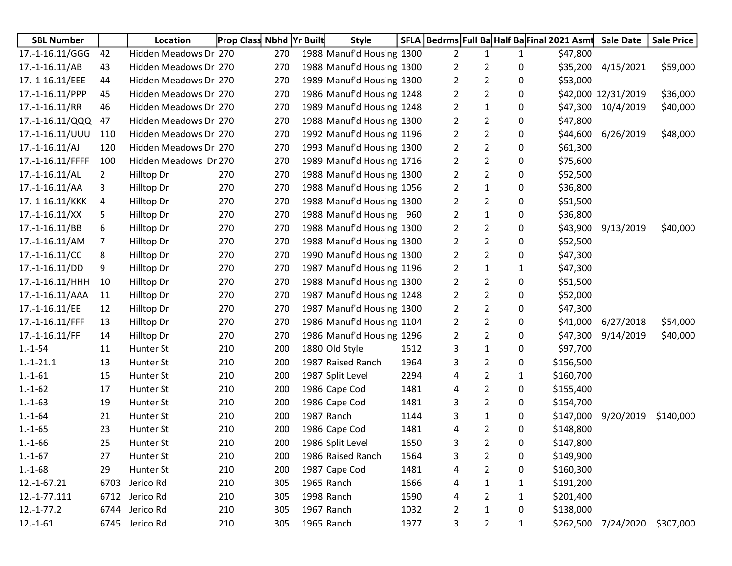| <b>SBL Number</b> |                | Location              | <b>Prop Class Nbhd Yr Built</b> |     | <b>Style</b>              |      |                |                |              | SFLA   Bedrms   Full Ba Half Ba Final 2021 Asmt | <b>Sale Date</b>    | <b>Sale Price</b> |
|-------------------|----------------|-----------------------|---------------------------------|-----|---------------------------|------|----------------|----------------|--------------|-------------------------------------------------|---------------------|-------------------|
| 17.-1-16.11/GGG   | 42             | Hidden Meadows Dr 270 |                                 | 270 | 1988 Manuf'd Housing 1300 |      | 2              | 1              | $\mathbf{1}$ | \$47,800                                        |                     |                   |
| $17.-1-16.11/AB$  | 43             | Hidden Meadows Dr 270 |                                 | 270 | 1988 Manuf'd Housing 1300 |      | 2              | $\overline{2}$ | 0            | \$35,200                                        | 4/15/2021           | \$59,000          |
| 17.-1-16.11/EEE   | 44             | Hidden Meadows Dr 270 |                                 | 270 | 1989 Manuf'd Housing 1300 |      | 2              | $\overline{2}$ | 0            | \$53,000                                        |                     |                   |
| 17.-1-16.11/PPP   | 45             | Hidden Meadows Dr 270 |                                 | 270 | 1986 Manuf'd Housing 1248 |      | $\overline{2}$ | $\overline{2}$ | 0            |                                                 | \$42,000 12/31/2019 | \$36,000          |
| $17.-1-16.11/RR$  | 46             | Hidden Meadows Dr 270 |                                 | 270 | 1989 Manuf'd Housing 1248 |      | 2              | $\mathbf{1}$   | 0            | \$47,300                                        | 10/4/2019           | \$40,000          |
| 17.-1-16.11/QQQ   | 47             | Hidden Meadows Dr 270 |                                 | 270 | 1988 Manuf'd Housing 1300 |      | $\overline{2}$ | $\overline{2}$ | 0            | \$47,800                                        |                     |                   |
| 17.-1-16.11/UUU   | 110            | Hidden Meadows Dr 270 |                                 | 270 | 1992 Manuf'd Housing 1196 |      | $\overline{2}$ | $\overline{2}$ | 0            | \$44,600                                        | 6/26/2019           | \$48,000          |
| $17.-1-16.11/A$   | 120            | Hidden Meadows Dr 270 |                                 | 270 | 1993 Manuf'd Housing 1300 |      | $\overline{2}$ | $\overline{2}$ | 0            | \$61,300                                        |                     |                   |
| 17.-1-16.11/FFFF  | 100            | Hidden Meadows Dr 270 |                                 | 270 | 1989 Manuf'd Housing 1716 |      | 2              | $\overline{2}$ | 0            | \$75,600                                        |                     |                   |
| $17.-1-16.11/AL$  | $\overline{2}$ | Hilltop Dr            | 270                             | 270 | 1988 Manuf'd Housing 1300 |      | $\overline{2}$ | $\overline{2}$ | 0            | \$52,500                                        |                     |                   |
| 17.-1-16.11/AA    | 3              | Hilltop Dr            | 270                             | 270 | 1988 Manuf'd Housing 1056 |      | 2              | $\mathbf{1}$   | 0            | \$36,800                                        |                     |                   |
| 17.-1-16.11/KKK   | 4              | Hilltop Dr            | 270                             | 270 | 1988 Manuf'd Housing 1300 |      | $\overline{2}$ | $\overline{2}$ | 0            | \$51,500                                        |                     |                   |
| $17.-1-16.11/XX$  | 5              | Hilltop Dr            | 270                             | 270 | 1988 Manuf'd Housing 960  |      | $\overline{2}$ | $\mathbf{1}$   | 0            | \$36,800                                        |                     |                   |
| 17.-1-16.11/BB    | 6              | Hilltop Dr            | 270                             | 270 | 1988 Manuf'd Housing 1300 |      | $\overline{2}$ | $\overline{2}$ | 0            | \$43,900                                        | 9/13/2019           | \$40,000          |
| 17.-1-16.11/AM    | $\overline{7}$ | Hilltop Dr            | 270                             | 270 | 1988 Manuf'd Housing 1300 |      | $\overline{2}$ | $\overline{2}$ | 0            | \$52,500                                        |                     |                   |
| $17.-1-16.11/CC$  | 8              | Hilltop Dr            | 270                             | 270 | 1990 Manuf'd Housing 1300 |      | $\overline{2}$ | $\overline{2}$ | 0            | \$47,300                                        |                     |                   |
| 17.-1-16.11/DD    | 9              | Hilltop Dr            | 270                             | 270 | 1987 Manuf'd Housing 1196 |      | 2              | 1              | 1            | \$47,300                                        |                     |                   |
| 17.-1-16.11/HHH   | 10             | Hilltop Dr            | 270                             | 270 | 1988 Manuf'd Housing 1300 |      | 2              | $\overline{2}$ | 0            | \$51,500                                        |                     |                   |
| 17.-1-16.11/AAA   | 11             | Hilltop Dr            | 270                             | 270 | 1987 Manuf'd Housing 1248 |      | $\overline{2}$ | $\overline{2}$ | 0            | \$52,000                                        |                     |                   |
| 17.-1-16.11/EE    | 12             | Hilltop Dr            | 270                             | 270 | 1987 Manuf'd Housing 1300 |      | $\overline{2}$ | $\overline{2}$ | 0            | \$47,300                                        |                     |                   |
| 17.-1-16.11/FFF   | 13             | Hilltop Dr            | 270                             | 270 | 1986 Manuf'd Housing 1104 |      | $\overline{2}$ | $\overline{2}$ | 0            | \$41,000                                        | 6/27/2018           | \$54,000          |
| 17.-1-16.11/FF    | 14             | Hilltop Dr            | 270                             | 270 | 1986 Manuf'd Housing 1296 |      | 2              | $\overline{2}$ | 0            | \$47,300                                        | 9/14/2019           | \$40,000          |
| $1.-1-54$         | 11             | Hunter St             | 210                             | 200 | 1880 Old Style            | 1512 | 3              | $\mathbf{1}$   | 0            | \$97,700                                        |                     |                   |
| $1.-1-21.1$       | 13             | Hunter St             | 210                             | 200 | 1987 Raised Ranch         | 1964 | 3              | $\overline{2}$ | 0            | \$156,500                                       |                     |                   |
| $1.-1-61$         | 15             | Hunter St             | 210                             | 200 | 1987 Split Level          | 2294 | 4              | $\overline{2}$ | $\mathbf{1}$ | \$160,700                                       |                     |                   |
| $1.-1-62$         | 17             | Hunter St             | 210                             | 200 | 1986 Cape Cod             | 1481 | 4              | $\overline{2}$ | 0            | \$155,400                                       |                     |                   |
| $1.-1-63$         | 19             | Hunter St             | 210                             | 200 | 1986 Cape Cod             | 1481 | 3              | $\overline{2}$ | 0            | \$154,700                                       |                     |                   |
| $1.-1-64$         | 21             | Hunter St             | 210                             | 200 | 1987 Ranch                | 1144 | 3              | 1              | 0            | \$147,000                                       | 9/20/2019           | \$140,000         |
| $1.-1-65$         | 23             | Hunter St             | 210                             | 200 | 1986 Cape Cod             | 1481 | 4              | 2              | 0            | \$148,800                                       |                     |                   |
| $1.-1-66$         | 25             | Hunter St             | 210                             | 200 | 1986 Split Level          | 1650 | 3              | $\overline{2}$ | 0            | \$147,800                                       |                     |                   |
| $1.-1-67$         | 27             | Hunter St             | 210                             | 200 | 1986 Raised Ranch         | 1564 | 3              | $\overline{2}$ | 0            | \$149,900                                       |                     |                   |
| $1.-1-68$         | 29             | Hunter St             | 210                             | 200 | 1987 Cape Cod             | 1481 | 4              | $\overline{2}$ | 0            | \$160,300                                       |                     |                   |
| 12.-1-67.21       | 6703           | Jerico Rd             | 210                             | 305 | 1965 Ranch                | 1666 | 4              | 1              | 1            | \$191,200                                       |                     |                   |
| 12.-1-77.111      | 6712           | Jerico Rd             | 210                             | 305 | 1998 Ranch                | 1590 | 4              | 2              | 1            | \$201,400                                       |                     |                   |
| $12.-1-77.2$      | 6744           | Jerico Rd             | 210                             | 305 | 1967 Ranch                | 1032 | $\overline{2}$ | $\mathbf{1}$   | 0            | \$138,000                                       |                     |                   |
| $12.-1-61$        |                | 6745 Jerico Rd        | 210                             | 305 | 1965 Ranch                | 1977 | 3              | $\overline{2}$ | 1            |                                                 | \$262,500 7/24/2020 | \$307,000         |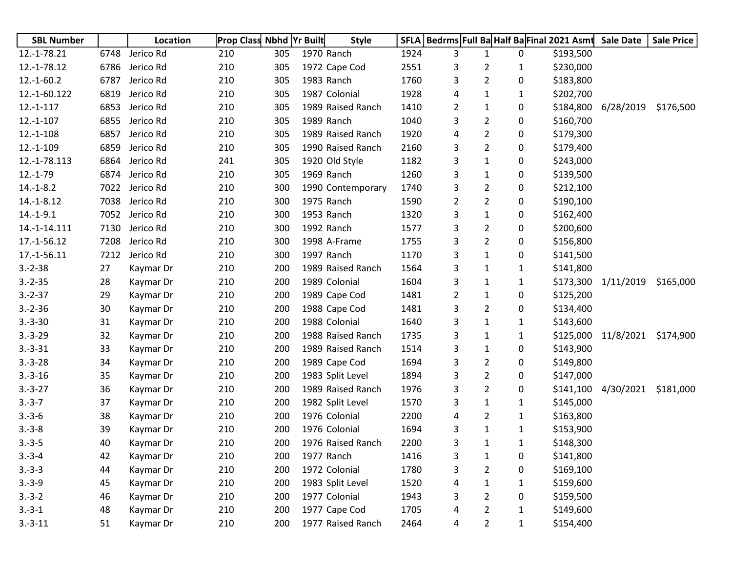| <b>SBL Number</b> |      | Location  | <b>Prop Class Nbhd Yr Built</b> |     | <b>Style</b>      |      | SFLA   Bedrms Full Ba Half Ba Final 2021 Asmt Sale Date |                |              |           |                               | <b>Sale Price</b> |
|-------------------|------|-----------|---------------------------------|-----|-------------------|------|---------------------------------------------------------|----------------|--------------|-----------|-------------------------------|-------------------|
| 12.-1-78.21       | 6748 | Jerico Rd | 210                             | 305 | 1970 Ranch        | 1924 | 3                                                       | 1              | 0            | \$193,500 |                               |                   |
| 12.-1-78.12       | 6786 | Jerico Rd | 210                             | 305 | 1972 Cape Cod     | 2551 | 3                                                       | 2              | 1            | \$230,000 |                               |                   |
| $12.-1-60.2$      | 6787 | Jerico Rd | 210                             | 305 | 1983 Ranch        | 1760 | 3                                                       | $\overline{2}$ | 0            | \$183,800 |                               |                   |
| 12.-1-60.122      | 6819 | Jerico Rd | 210                             | 305 | 1987 Colonial     | 1928 | 4                                                       | 1              | 1            | \$202,700 |                               |                   |
| $12.-1-117$       | 6853 | Jerico Rd | 210                             | 305 | 1989 Raised Ranch | 1410 | 2                                                       | 1              | 0            |           | \$184,800 6/28/2019           | \$176,500         |
| $12.-1-107$       | 6855 | Jerico Rd | 210                             | 305 | 1989 Ranch        | 1040 | 3                                                       | 2              | 0            | \$160,700 |                               |                   |
| $12.-1-108$       | 6857 | Jerico Rd | 210                             | 305 | 1989 Raised Ranch | 1920 | 4                                                       | $\overline{2}$ | 0            | \$179,300 |                               |                   |
| 12.-1-109         | 6859 | Jerico Rd | 210                             | 305 | 1990 Raised Ranch | 2160 | 3                                                       | $\overline{2}$ | 0            | \$179,400 |                               |                   |
| 12.-1-78.113      | 6864 | Jerico Rd | 241                             | 305 | 1920 Old Style    | 1182 | 3                                                       | $\mathbf{1}$   | 0            | \$243,000 |                               |                   |
| $12.-1-79$        | 6874 | Jerico Rd | 210                             | 305 | 1969 Ranch        | 1260 | 3                                                       | $\mathbf{1}$   | 0            | \$139,500 |                               |                   |
| $14.-1-8.2$       | 7022 | Jerico Rd | 210                             | 300 | 1990 Contemporary | 1740 | 3                                                       | $\overline{2}$ | 0            | \$212,100 |                               |                   |
| $14.-1-8.12$      | 7038 | Jerico Rd | 210                             | 300 | 1975 Ranch        | 1590 | $\overline{2}$                                          | $\overline{2}$ | 0            | \$190,100 |                               |                   |
| $14.-1-9.1$       | 7052 | Jerico Rd | 210                             | 300 | 1953 Ranch        | 1320 | 3                                                       | 1              | 0            | \$162,400 |                               |                   |
| 14.-1-14.111      | 7130 | Jerico Rd | 210                             | 300 | 1992 Ranch        | 1577 | 3                                                       | $\overline{2}$ | 0            | \$200,600 |                               |                   |
| 17.-1-56.12       | 7208 | Jerico Rd | 210                             | 300 | 1998 A-Frame      | 1755 | 3                                                       | $\overline{2}$ | 0            | \$156,800 |                               |                   |
| 17.-1-56.11       | 7212 | Jerico Rd | 210                             | 300 | 1997 Ranch        | 1170 | 3                                                       | $\mathbf{1}$   | 0            | \$141,500 |                               |                   |
| $3.-2-38$         | 27   | Kaymar Dr | 210                             | 200 | 1989 Raised Ranch | 1564 | 3                                                       | $\mathbf{1}$   | $\mathbf{1}$ | \$141,800 |                               |                   |
| $3.-2-35$         | 28   | Kaymar Dr | 210                             | 200 | 1989 Colonial     | 1604 | 3                                                       | 1              | $\mathbf{1}$ |           | \$173,300 1/11/2019           | \$165,000         |
| $3.-2-37$         | 29   | Kaymar Dr | 210                             | 200 | 1989 Cape Cod     | 1481 | $\overline{2}$                                          | 1              | 0            | \$125,200 |                               |                   |
| $3.-2-36$         | 30   | Kaymar Dr | 210                             | 200 | 1988 Cape Cod     | 1481 | 3                                                       | $\overline{2}$ | 0            | \$134,400 |                               |                   |
| $3.-3-30$         | 31   | Kaymar Dr | 210                             | 200 | 1988 Colonial     | 1640 | 3                                                       | 1              | 1            | \$143,600 |                               |                   |
| $3.-3-29$         | 32   | Kaymar Dr | 210                             | 200 | 1988 Raised Ranch | 1735 | 3                                                       | 1              | 1            |           | \$125,000 11/8/2021 \$174,900 |                   |
| $3.-3-31$         | 33   | Kaymar Dr | 210                             | 200 | 1989 Raised Ranch | 1514 | 3                                                       | $\mathbf{1}$   | 0            | \$143,900 |                               |                   |
| $3.-3-28$         | 34   | Kaymar Dr | 210                             | 200 | 1989 Cape Cod     | 1694 | 3                                                       | $\overline{2}$ | 0            | \$149,800 |                               |                   |
| $3.-3-16$         | 35   | Kaymar Dr | 210                             | 200 | 1983 Split Level  | 1894 | 3                                                       | $\overline{2}$ | 0            | \$147,000 |                               |                   |
| $3.-3-27$         | 36   | Kaymar Dr | 210                             | 200 | 1989 Raised Ranch | 1976 | 3                                                       | $\overline{2}$ | 0            |           | \$141,100 4/30/2021           | \$181,000         |
| $3.-3-7$          | 37   | Kaymar Dr | 210                             | 200 | 1982 Split Level  | 1570 | 3                                                       | $\mathbf{1}$   | 1            | \$145,000 |                               |                   |
| $3.-3-6$          | 38   | Kaymar Dr | 210                             | 200 | 1976 Colonial     | 2200 | 4                                                       | $\overline{2}$ | $\mathbf{1}$ | \$163,800 |                               |                   |
| $3.-3-8$          | 39   | Kaymar Dr | 210                             | 200 | 1976 Colonial     | 1694 | 3                                                       | $\mathbf{1}$   | 1            | \$153,900 |                               |                   |
| $3.-3-5$          | 40   | Kaymar Dr | 210                             | 200 | 1976 Raised Ranch | 2200 | 3                                                       | 1              | 1            | \$148,300 |                               |                   |
| $3.-3-4$          | 42   | Kaymar Dr | 210                             | 200 | 1977 Ranch        | 1416 | 3                                                       | $\mathbf{1}$   | 0            | \$141,800 |                               |                   |
| $3.-3-3$          | 44   | Kaymar Dr | 210                             | 200 | 1972 Colonial     | 1780 | 3                                                       | $\overline{c}$ | 0            | \$169,100 |                               |                   |
| $3.-3-9$          | 45   | Kaymar Dr | 210                             | 200 | 1983 Split Level  | 1520 | 4                                                       | 1              | 1            | \$159,600 |                               |                   |
| $3.-3-2$          | 46   | Kaymar Dr | 210                             | 200 | 1977 Colonial     | 1943 | 3                                                       | $\overline{2}$ | 0            | \$159,500 |                               |                   |
| $3.-3-1$          | 48   | Kaymar Dr | 210                             | 200 | 1977 Cape Cod     | 1705 | 4                                                       | $\overline{2}$ | 1            | \$149,600 |                               |                   |
| $3.-3-11$         | 51   | Kaymar Dr | 210                             | 200 | 1977 Raised Ranch | 2464 | 4                                                       | $\overline{2}$ | $\mathbf{1}$ | \$154,400 |                               |                   |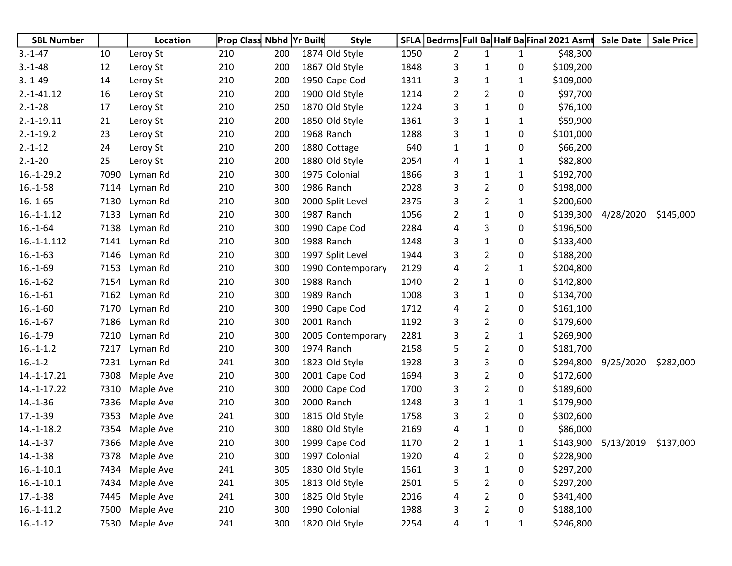| <b>SBL Number</b> |      | Location       | <b>Prop Class Nbhd Yr Built</b> |     |                  | <b>Style</b>      |      |   |                |              | SFLA   Bedrms   Full Ba Half Ba Final 2021 Asmt | <b>Sale Date</b> | <b>Sale Price</b> |
|-------------------|------|----------------|---------------------------------|-----|------------------|-------------------|------|---|----------------|--------------|-------------------------------------------------|------------------|-------------------|
| $3.-1-47$         | 10   | Leroy St       | 210                             | 200 | 1874 Old Style   |                   | 1050 | 2 | 1              | $\mathbf{1}$ | \$48,300                                        |                  |                   |
| $3.-1-48$         | 12   | Leroy St       | 210                             | 200 | 1867 Old Style   |                   | 1848 | 3 | 1              | 0            | \$109,200                                       |                  |                   |
| $3.-1-49$         | 14   | Leroy St       | 210                             | 200 | 1950 Cape Cod    |                   | 1311 | 3 | 1              | $\mathbf{1}$ | \$109,000                                       |                  |                   |
| $2.-1-41.12$      | 16   | Leroy St       | 210                             | 200 | 1900 Old Style   |                   | 1214 | 2 | 2              | 0            | \$97,700                                        |                  |                   |
| $2.-1-28$         | 17   | Leroy St       | 210                             | 250 | 1870 Old Style   |                   | 1224 | 3 | $\mathbf{1}$   | 0            | \$76,100                                        |                  |                   |
| $2.-1-19.11$      | 21   | Leroy St       | 210                             | 200 | 1850 Old Style   |                   | 1361 | 3 | 1              | 1            | \$59,900                                        |                  |                   |
| $2.-1-19.2$       | 23   | Leroy St       | 210                             | 200 | 1968 Ranch       |                   | 1288 | 3 | 1              | 0            | \$101,000                                       |                  |                   |
| $2.-1-12$         | 24   | Leroy St       | 210                             | 200 | 1880 Cottage     |                   | 640  | 1 | 1              | 0            | \$66,200                                        |                  |                   |
| $2.-1-20$         | 25   | Leroy St       | 210                             | 200 | 1880 Old Style   |                   | 2054 | 4 | 1              | 1            | \$82,800                                        |                  |                   |
| $16.-1-29.2$      | 7090 | Lyman Rd       | 210                             | 300 | 1975 Colonial    |                   | 1866 | 3 | 1              | $\mathbf{1}$ | \$192,700                                       |                  |                   |
| $16.-1-58$        | 7114 | Lyman Rd       | 210                             | 300 | 1986 Ranch       |                   | 2028 | 3 | $\overline{2}$ | 0            | \$198,000                                       |                  |                   |
| $16.-1-65$        | 7130 | Lyman Rd       | 210                             | 300 | 2000 Split Level |                   | 2375 | 3 | 2              | 1            | \$200,600                                       |                  |                   |
| $16.-1-1.12$      | 7133 | Lyman Rd       | 210                             | 300 | 1987 Ranch       |                   | 1056 | 2 | $\mathbf{1}$   | 0            | \$139,300                                       | 4/28/2020        | \$145,000         |
| $16.-1-64$        | 7138 | Lyman Rd       | 210                             | 300 | 1990 Cape Cod    |                   | 2284 | 4 | 3              | 0            | \$196,500                                       |                  |                   |
| $16.-1-.112$      | 7141 | Lyman Rd       | 210                             | 300 | 1988 Ranch       |                   | 1248 | 3 | $\mathbf{1}$   | 0            | \$133,400                                       |                  |                   |
| $16.-1-63$        | 7146 | Lyman Rd       | 210                             | 300 | 1997 Split Level |                   | 1944 | 3 | $\overline{2}$ | 0            | \$188,200                                       |                  |                   |
| $16.-1-69$        | 7153 | Lyman Rd       | 210                             | 300 |                  | 1990 Contemporary | 2129 | 4 | $\overline{2}$ | $\mathbf{1}$ | \$204,800                                       |                  |                   |
| $16.-1-62$        | 7154 | Lyman Rd       | 210                             | 300 | 1988 Ranch       |                   | 1040 | 2 | $\mathbf{1}$   | 0            | \$142,800                                       |                  |                   |
| $16.-1-61$        | 7162 | Lyman Rd       | 210                             | 300 | 1989 Ranch       |                   | 1008 | 3 | 1              | 0            | \$134,700                                       |                  |                   |
| $16.-1-60$        | 7170 | Lyman Rd       | 210                             | 300 | 1990 Cape Cod    |                   | 1712 | 4 | $\overline{2}$ | 0            | \$161,100                                       |                  |                   |
| $16.-1-67$        | 7186 | Lyman Rd       | 210                             | 300 | 2001 Ranch       |                   | 1192 | 3 | $\overline{2}$ | 0            | \$179,600                                       |                  |                   |
| $16.-1-79$        | 7210 | Lyman Rd       | 210                             | 300 |                  | 2005 Contemporary | 2281 | 3 | $\overline{2}$ | 1            | \$269,900                                       |                  |                   |
| $16.-1-1.2$       | 7217 | Lyman Rd       | 210                             | 300 | 1974 Ranch       |                   | 2158 | 5 | 2              | 0            | \$181,700                                       |                  |                   |
| $16.-1-2$         | 7231 | Lyman Rd       | 241                             | 300 | 1823 Old Style   |                   | 1928 | 3 | 3              | 0            | \$294,800                                       | 9/25/2020        | \$282,000         |
| 14.-1-17.21       | 7308 | Maple Ave      | 210                             | 300 | 2001 Cape Cod    |                   | 1694 | 3 | $\overline{2}$ | 0            | \$172,600                                       |                  |                   |
| 14.-1-17.22       | 7310 | Maple Ave      | 210                             | 300 | 2000 Cape Cod    |                   | 1700 | 3 | $\overline{2}$ | 0            | \$189,600                                       |                  |                   |
| $14.-1-36$        | 7336 | Maple Ave      | 210                             | 300 | 2000 Ranch       |                   | 1248 | 3 | $\mathbf{1}$   | 1            | \$179,900                                       |                  |                   |
| $17.-1-39$        | 7353 | Maple Ave      | 241                             | 300 | 1815 Old Style   |                   | 1758 | 3 | $\overline{2}$ | 0            | \$302,600                                       |                  |                   |
| $14.-1-18.2$      | 7354 | Maple Ave      | 210                             | 300 | 1880 Old Style   |                   | 2169 | 4 | $\mathbf{1}$   | 0            | \$86,000                                        |                  |                   |
| $14.-1-37$        | 7366 | Maple Ave      | 210                             | 300 | 1999 Cape Cod    |                   | 1170 | 2 | 1              | 1            | \$143,900                                       | 5/13/2019        | \$137,000         |
| $14.-1-38$        |      | 7378 Maple Ave | 210                             | 300 | 1997 Colonial    |                   | 1920 | 4 | 2              | 0            | \$228,900                                       |                  |                   |
| $16.-1-10.1$      | 7434 | Maple Ave      | 241                             | 305 | 1830 Old Style   |                   | 1561 | 3 | $\mathbf{1}$   | 0            | \$297,200                                       |                  |                   |
| $16.-1-10.1$      | 7434 | Maple Ave      | 241                             | 305 | 1813 Old Style   |                   | 2501 | 5 | 2              | 0            | \$297,200                                       |                  |                   |
| $17.-1-38$        | 7445 | Maple Ave      | 241                             | 300 | 1825 Old Style   |                   | 2016 | 4 | 2              | 0            | \$341,400                                       |                  |                   |
| $16.-1-11.2$      | 7500 | Maple Ave      | 210                             | 300 | 1990 Colonial    |                   | 1988 | 3 | 2              | 0            | \$188,100                                       |                  |                   |
| $16.-1-12$        | 7530 | Maple Ave      | 241                             | 300 | 1820 Old Style   |                   | 2254 | 4 | 1              | 1            | \$246,800                                       |                  |                   |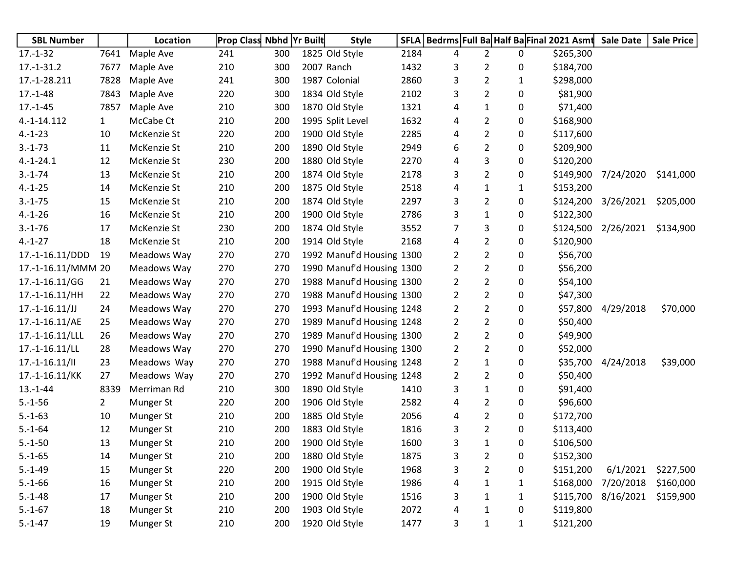| <b>SBL Number</b>  |                | Location         | <b>Prop Class Nbhd Yr Built</b> |     | <b>Style</b>              | SFLA |                |                |              | Bedrms Full Ba Half Ba Final 2021 Asmt | <b>Sale Date</b> | <b>Sale Price</b> |
|--------------------|----------------|------------------|---------------------------------|-----|---------------------------|------|----------------|----------------|--------------|----------------------------------------|------------------|-------------------|
| $17.-1-32$         | 7641           | Maple Ave        | 241                             | 300 | 1825 Old Style            | 2184 | 4              | $\overline{2}$ | 0            | \$265,300                              |                  |                   |
| $17.-1-31.2$       | 7677           | Maple Ave        | 210                             | 300 | 2007 Ranch                | 1432 | 3              | $\overline{2}$ | 0            | \$184,700                              |                  |                   |
| 17.-1-28.211       | 7828           | Maple Ave        | 241                             | 300 | 1987 Colonial             | 2860 | 3              | $\overline{2}$ | $\mathbf{1}$ | \$298,000                              |                  |                   |
| $17.-1-48$         | 7843           | Maple Ave        | 220                             | 300 | 1834 Old Style            | 2102 | 3              | $\overline{2}$ | 0            | \$81,900                               |                  |                   |
| $17.-1-45$         | 7857           | Maple Ave        | 210                             | 300 | 1870 Old Style            | 1321 | 4              | $\mathbf{1}$   | 0            | \$71,400                               |                  |                   |
| 4.-1-14.112        | $\mathbf{1}$   | McCabe Ct        | 210                             | 200 | 1995 Split Level          | 1632 | 4              | $\overline{2}$ | 0            | \$168,900                              |                  |                   |
| $4.-1-23$          | 10             | McKenzie St      | 220                             | 200 | 1900 Old Style            | 2285 | 4              | $\overline{2}$ | 0            | \$117,600                              |                  |                   |
| $3.-1-73$          | 11             | McKenzie St      | 210                             | 200 | 1890 Old Style            | 2949 | 6              | $\overline{2}$ | 0            | \$209,900                              |                  |                   |
| $4.-1-24.1$        | 12             | McKenzie St      | 230                             | 200 | 1880 Old Style            | 2270 | 4              | 3              | 0            | \$120,200                              |                  |                   |
| $3.-1-74$          | 13             | McKenzie St      | 210                             | 200 | 1874 Old Style            | 2178 | 3              | $\overline{2}$ | 0            | \$149,900                              | 7/24/2020        | \$141,000         |
| $4.-1-25$          | 14             | McKenzie St      | 210                             | 200 | 1875 Old Style            | 2518 | 4              | $\mathbf{1}$   | $\mathbf{1}$ | \$153,200                              |                  |                   |
| $3.-1-75$          | 15             | McKenzie St      | 210                             | 200 | 1874 Old Style            | 2297 | 3              | $\overline{2}$ | 0            | \$124,200                              | 3/26/2021        | \$205,000         |
| $4.-1-26$          | 16             | McKenzie St      | 210                             | 200 | 1900 Old Style            | 2786 | 3              | $\mathbf{1}$   | 0            | \$122,300                              |                  |                   |
| $3.-1-76$          | 17             | McKenzie St      | 230                             | 200 | 1874 Old Style            | 3552 | 7              | 3              | 0            | \$124,500                              | 2/26/2021        | \$134,900         |
| $4.-1-27$          | 18             | McKenzie St      | 210                             | 200 | 1914 Old Style            | 2168 | 4              | $\overline{2}$ | 0            | \$120,900                              |                  |                   |
| 17.-1-16.11/DDD    | 19             | Meadows Way      | 270                             | 270 | 1992 Manuf'd Housing 1300 |      | 2              | $\overline{2}$ | 0            | \$56,700                               |                  |                   |
| 17.-1-16.11/MMM 20 |                | Meadows Way      | 270                             | 270 | 1990 Manuf'd Housing 1300 |      | 2              | $\overline{2}$ | 0            | \$56,200                               |                  |                   |
| 17.-1-16.11/GG     | 21             | Meadows Way      | 270                             | 270 | 1988 Manuf'd Housing 1300 |      | $\overline{2}$ | $\overline{2}$ | 0            | \$54,100                               |                  |                   |
| 17.-1-16.11/HH     | 22             | Meadows Way      | 270                             | 270 | 1988 Manuf'd Housing 1300 |      | $\overline{2}$ | $\overline{2}$ | 0            | \$47,300                               |                  |                   |
| $17.-1-16.11/JJ$   | 24             | Meadows Way      | 270                             | 270 | 1993 Manuf'd Housing 1248 |      | $\overline{2}$ | $\overline{2}$ | 0            | \$57,800                               | 4/29/2018        | \$70,000          |
| 17.-1-16.11/AE     | 25             | Meadows Way      | 270                             | 270 | 1989 Manuf'd Housing 1248 |      | $\overline{2}$ | $\overline{2}$ | 0            | \$50,400                               |                  |                   |
| 17.-1-16.11/LLL    | 26             | Meadows Way      | 270                             | 270 | 1989 Manuf'd Housing 1300 |      | 2              | $\overline{2}$ | 0            | \$49,900                               |                  |                   |
| $17.-1-16.11/LL$   | 28             | Meadows Way      | 270                             | 270 | 1990 Manuf'd Housing 1300 |      | $\overline{2}$ | $\overline{2}$ | 0            | \$52,000                               |                  |                   |
| $17.-1-16.11/$     | 23             | Meadows Way      | 270                             | 270 | 1988 Manuf'd Housing 1248 |      | 2              | 1              | 0            | \$35,700                               | 4/24/2018        | \$39,000          |
| 17.-1-16.11/KK     | 27             | Meadows Way      | 270                             | 270 | 1992 Manuf'd Housing 1248 |      | $\overline{2}$ | $\overline{2}$ | 0            | \$50,400                               |                  |                   |
| $13.-1-44$         | 8339           | Merriman Rd      | 210                             | 300 | 1890 Old Style            | 1410 | 3              | $\mathbf{1}$   | 0            | \$91,400                               |                  |                   |
| $5.-1-56$          | $\overline{2}$ | Munger St        | 220                             | 200 | 1906 Old Style            | 2582 | 4              | $\overline{2}$ | 0            | \$96,600                               |                  |                   |
| $5.-1-63$          | 10             | Munger St        | 210                             | 200 | 1885 Old Style            | 2056 | 4              | $\overline{2}$ | 0            | \$172,700                              |                  |                   |
| $5.-1-64$          | 12             | Munger St        | 210                             | 200 | 1883 Old Style            | 1816 | 3              | $\overline{2}$ | 0            | \$113,400                              |                  |                   |
| $5.-1-50$          | 13             | <b>Munger St</b> | 210                             | 200 | 1900 Old Style            | 1600 | 3              | 1              | 0            | \$106,500                              |                  |                   |
| $5.-1-65$          | 14             | Munger St        | 210                             | 200 | 1880 Old Style            | 1875 | 3              | $\overline{2}$ | 0            | \$152,300                              |                  |                   |
| $5.-1-49$          | 15             | Munger St        | 220                             | 200 | 1900 Old Style            | 1968 | 3              | $\overline{2}$ | 0            | \$151,200                              | 6/1/2021         | \$227,500         |
| $5.-1-66$          | 16             | Munger St        | 210                             | 200 | 1915 Old Style            | 1986 | 4              | 1              | 1            | \$168,000                              | 7/20/2018        | \$160,000         |
| $5.-1-48$          | 17             | Munger St        | 210                             | 200 | 1900 Old Style            | 1516 | 3              | $\mathbf{1}$   | $\mathbf{1}$ | \$115,700                              | 8/16/2021        | \$159,900         |
| $5.-1-67$          | 18             | Munger St        | 210                             | 200 | 1903 Old Style            | 2072 | 4              | 1              | 0            | \$119,800                              |                  |                   |
| $5.-1-47$          | 19             | Munger St        | 210                             | 200 | 1920 Old Style            | 1477 | 3              | $\mathbf{1}$   | $\mathbf{1}$ | \$121,200                              |                  |                   |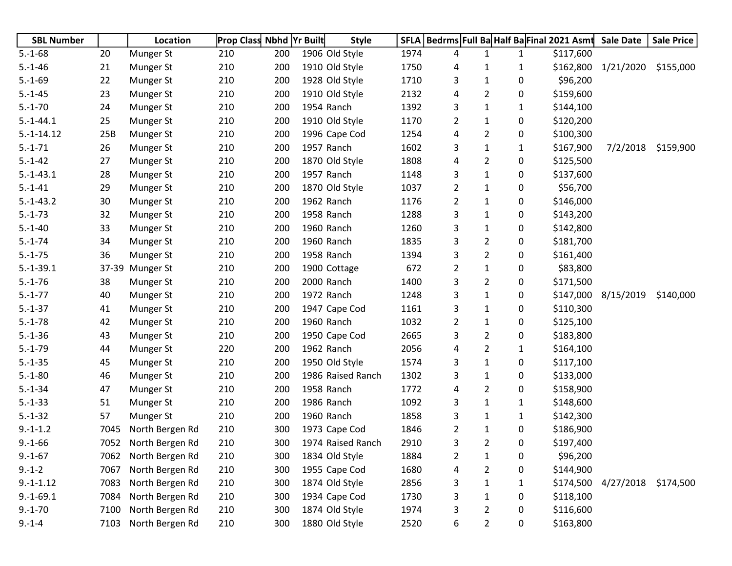| <b>SBL Number</b> |      | Location        | <b>Prop Class Nbhd Yr Built</b> |     | <b>Style</b>      | <b>SFLA</b> | Bedrms Full Ba Half Ba Final 2021 Asmt Sale Date |                |              |           |                     | <b>Sale Price</b> |
|-------------------|------|-----------------|---------------------------------|-----|-------------------|-------------|--------------------------------------------------|----------------|--------------|-----------|---------------------|-------------------|
| $5.-1-68$         | 20   | Munger St       | 210                             | 200 | 1906 Old Style    | 1974        | 4                                                | $\mathbf{1}$   | $\mathbf{1}$ | \$117,600 |                     |                   |
| $5.-1-46$         | 21   | Munger St       | 210                             | 200 | 1910 Old Style    | 1750        | 4                                                | 1              | 1            |           | \$162,800 1/21/2020 | \$155,000         |
| $5.-1-69$         | 22   | Munger St       | 210                             | 200 | 1928 Old Style    | 1710        | 3                                                | $\mathbf{1}$   | 0            | \$96,200  |                     |                   |
| $5.-1-45$         | 23   | Munger St       | 210                             | 200 | 1910 Old Style    | 2132        | 4                                                | $\overline{2}$ | 0            | \$159,600 |                     |                   |
| $5.-1-70$         | 24   | Munger St       | 210                             | 200 | 1954 Ranch        | 1392        | 3                                                | 1              | 1            | \$144,100 |                     |                   |
| $5.-1-44.1$       | 25   | Munger St       | 210                             | 200 | 1910 Old Style    | 1170        | $\overline{2}$                                   | 1              | 0            | \$120,200 |                     |                   |
| $5.-1-14.12$      | 25B  | Munger St       | 210                             | 200 | 1996 Cape Cod     | 1254        | 4                                                | $\overline{2}$ | 0            | \$100,300 |                     |                   |
| $5.-1-71$         | 26   | Munger St       | 210                             | 200 | 1957 Ranch        | 1602        | 3                                                | $\mathbf{1}$   | $\mathbf{1}$ | \$167,900 | 7/2/2018            | \$159,900         |
| $5.-1-42$         | 27   | Munger St       | 210                             | 200 | 1870 Old Style    | 1808        | 4                                                | $\overline{2}$ | 0            | \$125,500 |                     |                   |
| $5.-1-43.1$       | 28   | Munger St       | 210                             | 200 | 1957 Ranch        | 1148        | 3                                                | $\mathbf{1}$   | 0            | \$137,600 |                     |                   |
| $5.-1-41$         | 29   | Munger St       | 210                             | 200 | 1870 Old Style    | 1037        | $\overline{2}$                                   | 1              | 0            | \$56,700  |                     |                   |
| $5.-1-43.2$       | 30   | Munger St       | 210                             | 200 | 1962 Ranch        | 1176        | $\overline{2}$                                   | 1              | 0            | \$146,000 |                     |                   |
| $5.-1-73$         | 32   | Munger St       | 210                             | 200 | 1958 Ranch        | 1288        | 3                                                | 1              | 0            | \$143,200 |                     |                   |
| $5.-1-40$         | 33   | Munger St       | 210                             | 200 | 1960 Ranch        | 1260        | 3                                                | 1              | 0            | \$142,800 |                     |                   |
| $5.-1-74$         | 34   | Munger St       | 210                             | 200 | 1960 Ranch        | 1835        | 3                                                | $\overline{2}$ | 0            | \$181,700 |                     |                   |
| $5.-1-75$         | 36   | Munger St       | 210                             | 200 | 1958 Ranch        | 1394        | 3                                                | $\overline{2}$ | 0            | \$161,400 |                     |                   |
| $5.-1-39.1$       |      | 37-39 Munger St | 210                             | 200 | 1900 Cottage      | 672         | $\overline{2}$                                   | 1              | 0            | \$83,800  |                     |                   |
| $5.-1-76$         | 38   | Munger St       | 210                             | 200 | 2000 Ranch        | 1400        | 3                                                | $\overline{2}$ | 0            | \$171,500 |                     |                   |
| $5.-1-77$         | 40   | Munger St       | 210                             | 200 | 1972 Ranch        | 1248        | 3                                                | 1              | 0            |           | \$147,000 8/15/2019 | \$140,000         |
| $5.-1-37$         | 41   | Munger St       | 210                             | 200 | 1947 Cape Cod     | 1161        | 3                                                | $\mathbf{1}$   | 0            | \$110,300 |                     |                   |
| $5.-1-78$         | 42   | Munger St       | 210                             | 200 | 1960 Ranch        | 1032        | $\overline{2}$                                   | 1              | 0            | \$125,100 |                     |                   |
| $5.-1-36$         | 43   | Munger St       | 210                             | 200 | 1950 Cape Cod     | 2665        | 3                                                | $\overline{2}$ | 0            | \$183,800 |                     |                   |
| $5.-1-79$         | 44   | Munger St       | 220                             | 200 | 1962 Ranch        | 2056        | 4                                                | $\overline{2}$ | $\mathbf{1}$ | \$164,100 |                     |                   |
| $5.-1-35$         | 45   | Munger St       | 210                             | 200 | 1950 Old Style    | 1574        | 3                                                | 1              | 0            | \$117,100 |                     |                   |
| $5.-1-80$         | 46   | Munger St       | 210                             | 200 | 1986 Raised Ranch | 1302        | 3                                                | 1              | 0            | \$133,000 |                     |                   |
| $5.-1-34$         | 47   | Munger St       | 210                             | 200 | 1958 Ranch        | 1772        | 4                                                | $\overline{2}$ | 0            | \$158,900 |                     |                   |
| $5.-1-33$         | 51   | Munger St       | 210                             | 200 | 1986 Ranch        | 1092        | 3                                                | 1              | $\mathbf{1}$ | \$148,600 |                     |                   |
| $5.-1-32$         | 57   | Munger St       | 210                             | 200 | 1960 Ranch        | 1858        | 3                                                | 1              | $\mathbf{1}$ | \$142,300 |                     |                   |
| $9.-1-1.2$        | 7045 | North Bergen Rd | 210                             | 300 | 1973 Cape Cod     | 1846        | $\overline{2}$                                   | $\mathbf{1}$   | 0            | \$186,900 |                     |                   |
| $9.-1-66$         | 7052 | North Bergen Rd | 210                             | 300 | 1974 Raised Ranch | 2910        | 3                                                | $\overline{2}$ | 0            | \$197,400 |                     |                   |
| $9.-1-67$         | 7062 | North Bergen Rd | 210                             | 300 | 1834 Old Style    | 1884        | $\overline{2}$                                   | 1              | 0            | \$96,200  |                     |                   |
| $9.-1-2$          | 7067 | North Bergen Rd | 210                             | 300 | 1955 Cape Cod     | 1680        | 4                                                | $\overline{2}$ | 0            | \$144,900 |                     |                   |
| $9.-1-1.12$       | 7083 | North Bergen Rd | 210                             | 300 | 1874 Old Style    | 2856        | 3                                                | 1              | 1            | \$174,500 | 4/27/2018           | \$174,500         |
| $9.-1-69.1$       | 7084 | North Bergen Rd | 210                             | 300 | 1934 Cape Cod     | 1730        | 3                                                | 1              | 0            | \$118,100 |                     |                   |
| $9.-1-70$         | 7100 | North Bergen Rd | 210                             | 300 | 1874 Old Style    | 1974        | 3                                                | $\overline{2}$ | 0            | \$116,600 |                     |                   |
| $9.-1-4$          | 7103 | North Bergen Rd | 210                             | 300 | 1880 Old Style    | 2520        | 6                                                | 2              | 0            | \$163,800 |                     |                   |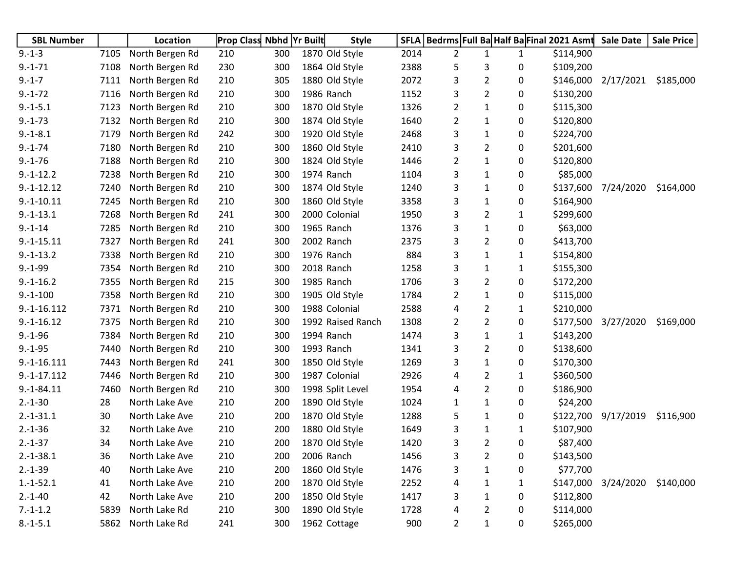| <b>SBL Number</b> |      | <b>Location</b> | <b>Prop Class Nbhd Yr Built</b> |     | <b>Style</b>      | <b>SFLA</b> |                |                |              | Bedrms Full Ba Half Ba Final 2021 Asmt | <b>Sale Date</b> | <b>Sale Price</b> |
|-------------------|------|-----------------|---------------------------------|-----|-------------------|-------------|----------------|----------------|--------------|----------------------------------------|------------------|-------------------|
| $9.-1-3$          | 7105 | North Bergen Rd | 210                             | 300 | 1870 Old Style    | 2014        | 2              | 1              | $\mathbf{1}$ | \$114,900                              |                  |                   |
| $9.-1-71$         | 7108 | North Bergen Rd | 230                             | 300 | 1864 Old Style    | 2388        | 5              | 3              | 0            | \$109,200                              |                  |                   |
| $9.-1-7$          | 7111 | North Bergen Rd | 210                             | 305 | 1880 Old Style    | 2072        | 3              | $\overline{2}$ | 0            | \$146,000                              | 2/17/2021        | \$185,000         |
| $9.-1-72$         | 7116 | North Bergen Rd | 210                             | 300 | 1986 Ranch        | 1152        | 3              | $\overline{2}$ | 0            | \$130,200                              |                  |                   |
| $9.-1-5.1$        | 7123 | North Bergen Rd | 210                             | 300 | 1870 Old Style    | 1326        | 2              | 1              | 0            | \$115,300                              |                  |                   |
| $9.-1-73$         | 7132 | North Bergen Rd | 210                             | 300 | 1874 Old Style    | 1640        | $\overline{2}$ | 1              | 0            | \$120,800                              |                  |                   |
| $9.-1-8.1$        | 7179 | North Bergen Rd | 242                             | 300 | 1920 Old Style    | 2468        | 3              | 1              | 0            | \$224,700                              |                  |                   |
| $9.-1-74$         | 7180 | North Bergen Rd | 210                             | 300 | 1860 Old Style    | 2410        | 3              | 2              | 0            | \$201,600                              |                  |                   |
| $9.-1-76$         | 7188 | North Bergen Rd | 210                             | 300 | 1824 Old Style    | 1446        | 2              | 1              | 0            | \$120,800                              |                  |                   |
| $9.-1-12.2$       | 7238 | North Bergen Rd | 210                             | 300 | 1974 Ranch        | 1104        | 3              | 1              | 0            | \$85,000                               |                  |                   |
| $9.-1-12.12$      | 7240 | North Bergen Rd | 210                             | 300 | 1874 Old Style    | 1240        | 3              | 1              | 0            | \$137,600                              | 7/24/2020        | \$164,000         |
| $9.-1-10.11$      | 7245 | North Bergen Rd | 210                             | 300 | 1860 Old Style    | 3358        | 3              | 1              | 0            | \$164,900                              |                  |                   |
| $9.-1-13.1$       | 7268 | North Bergen Rd | 241                             | 300 | 2000 Colonial     | 1950        | 3              | 2              | 1            | \$299,600                              |                  |                   |
| $9.-1-14$         | 7285 | North Bergen Rd | 210                             | 300 | 1965 Ranch        | 1376        | 3              | 1              | 0            | \$63,000                               |                  |                   |
| $9.-1-15.11$      | 7327 | North Bergen Rd | 241                             | 300 | 2002 Ranch        | 2375        | 3              | $\overline{2}$ | 0            | \$413,700                              |                  |                   |
| $9.-1-13.2$       | 7338 | North Bergen Rd | 210                             | 300 | 1976 Ranch        | 884         | 3              | 1              | 1            | \$154,800                              |                  |                   |
| $9.-1-99$         | 7354 | North Bergen Rd | 210                             | 300 | 2018 Ranch        | 1258        | 3              | 1              | 1            | \$155,300                              |                  |                   |
| $9.-1-16.2$       | 7355 | North Bergen Rd | 215                             | 300 | 1985 Ranch        | 1706        | 3              | 2              | 0            | \$172,200                              |                  |                   |
| $9.-1-100$        | 7358 | North Bergen Rd | 210                             | 300 | 1905 Old Style    | 1784        | 2              | 1              | 0            | \$115,000                              |                  |                   |
| $9.-1-16.112$     | 7371 | North Bergen Rd | 210                             | 300 | 1988 Colonial     | 2588        | 4              | 2              | 1            | \$210,000                              |                  |                   |
| $9.-1-16.12$      | 7375 | North Bergen Rd | 210                             | 300 | 1992 Raised Ranch | 1308        | 2              | $\overline{2}$ | 0            | \$177,500                              | 3/27/2020        | \$169,000         |
| $9.-1-96$         | 7384 | North Bergen Rd | 210                             | 300 | 1994 Ranch        | 1474        | 3              | 1              | 1            | \$143,200                              |                  |                   |
| $9.-1-95$         | 7440 | North Bergen Rd | 210                             | 300 | 1993 Ranch        | 1341        | 3              | $\overline{2}$ | 0            | \$138,600                              |                  |                   |
| $9.-1-16.111$     | 7443 | North Bergen Rd | 241                             | 300 | 1850 Old Style    | 1269        | 3              | 1              | 0            | \$170,300                              |                  |                   |
| $9.-1-17.112$     | 7446 | North Bergen Rd | 210                             | 300 | 1987 Colonial     | 2926        | 4              | $\overline{2}$ | 1            | \$360,500                              |                  |                   |
| $9.-1-84.11$      | 7460 | North Bergen Rd | 210                             | 300 | 1998 Split Level  | 1954        | 4              | 2              | 0            | \$186,900                              |                  |                   |
| $2.-1-30$         | 28   | North Lake Ave  | 210                             | 200 | 1890 Old Style    | 1024        | 1              | 1              | 0            | \$24,200                               |                  |                   |
| $2.-1-31.1$       | 30   | North Lake Ave  | 210                             | 200 | 1870 Old Style    | 1288        | 5              | 1              | 0            | \$122,700                              | 9/17/2019        | \$116,900         |
| $2.-1-36$         | 32   | North Lake Ave  | 210                             | 200 | 1880 Old Style    | 1649        | 3              | 1              | 1            | \$107,900                              |                  |                   |
| $2.-1-37$         | 34   | North Lake Ave  | 210                             | 200 | 1870 Old Style    | 1420        | 3              | 2              | 0            | \$87,400                               |                  |                   |
| $2.-1-38.1$       | 36   | North Lake Ave  | 210                             | 200 | 2006 Ranch        | 1456        | 3              | $\overline{2}$ | 0            | \$143,500                              |                  |                   |
| $2.-1-39$         | 40   | North Lake Ave  | 210                             | 200 | 1860 Old Style    | 1476        | 3              | $\mathbf 1$    | 0            | \$77,700                               |                  |                   |
| $1.-1-52.1$       | 41   | North Lake Ave  | 210                             | 200 | 1870 Old Style    | 2252        | 4              | 1              | 1            | \$147,000                              | 3/24/2020        | \$140,000         |
| $2.-1-40$         | 42   | North Lake Ave  | 210                             | 200 | 1850 Old Style    | 1417        | 3              | $\mathbf{1}$   | 0            | \$112,800                              |                  |                   |
| $7.-1-1.2$        | 5839 | North Lake Rd   | 210                             | 300 | 1890 Old Style    | 1728        | 4              | 2              | 0            | \$114,000                              |                  |                   |
| $8.-1-5.1$        | 5862 | North Lake Rd   | 241                             | 300 | 1962 Cottage      | 900         | $\overline{2}$ | $\mathbf{1}$   | 0            | \$265,000                              |                  |                   |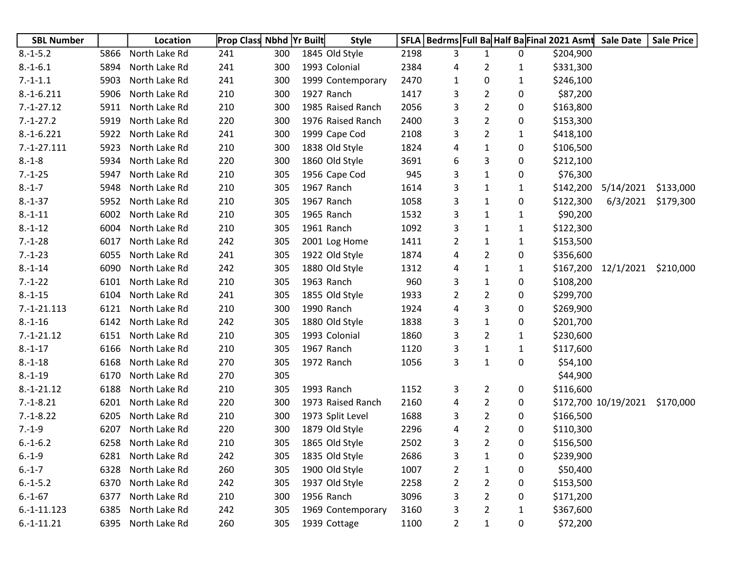| <b>SBL Number</b> |      | Location      | <b>Prop Class Nbhd Yr Built</b> |     | <b>Style</b>      |      |                |                |              | SFLA   Bedrms   Full Ba Half Ba Final 2021 Asmt | <b>Sale Date</b>     | <b>Sale Price</b> |
|-------------------|------|---------------|---------------------------------|-----|-------------------|------|----------------|----------------|--------------|-------------------------------------------------|----------------------|-------------------|
| $8.-1-5.2$        | 5866 | North Lake Rd | 241                             | 300 | 1845 Old Style    | 2198 | 3              | $\mathbf{1}$   | 0            | \$204,900                                       |                      |                   |
| $8.-1-6.1$        | 5894 | North Lake Rd | 241                             | 300 | 1993 Colonial     | 2384 | 4              | $\overline{2}$ | 1            | \$331,300                                       |                      |                   |
| $7.-1-1.1$        | 5903 | North Lake Rd | 241                             | 300 | 1999 Contemporary | 2470 | 1              | 0              | $\mathbf{1}$ | \$246,100                                       |                      |                   |
| $8.-1-6.211$      | 5906 | North Lake Rd | 210                             | 300 | 1927 Ranch        | 1417 | 3              | $\overline{2}$ | 0            | \$87,200                                        |                      |                   |
| $7.-1-27.12$      | 5911 | North Lake Rd | 210                             | 300 | 1985 Raised Ranch | 2056 | 3              | $\overline{2}$ | 0            | \$163,800                                       |                      |                   |
| $7.-1-27.2$       | 5919 | North Lake Rd | 220                             | 300 | 1976 Raised Ranch | 2400 | 3              | $\overline{2}$ | 0            | \$153,300                                       |                      |                   |
| $8.-1-6.221$      | 5922 | North Lake Rd | 241                             | 300 | 1999 Cape Cod     | 2108 | 3              | $\overline{2}$ | 1            | \$418,100                                       |                      |                   |
| $7.-1-27.111$     | 5923 | North Lake Rd | 210                             | 300 | 1838 Old Style    | 1824 | 4              | $\mathbf{1}$   | 0            | \$106,500                                       |                      |                   |
| $8.-1-8$          | 5934 | North Lake Rd | 220                             | 300 | 1860 Old Style    | 3691 | 6              | 3              | 0            | \$212,100                                       |                      |                   |
| $7.-1-25$         | 5947 | North Lake Rd | 210                             | 305 | 1956 Cape Cod     | 945  | 3              | $\mathbf{1}$   | 0            | \$76,300                                        |                      |                   |
| $8.-1-7$          | 5948 | North Lake Rd | 210                             | 305 | 1967 Ranch        | 1614 | 3              | $\mathbf{1}$   | 1            | \$142,200                                       | 5/14/2021            | \$133,000         |
| $8.-1-37$         | 5952 | North Lake Rd | 210                             | 305 | 1967 Ranch        | 1058 | 3              | 1              | 0            | \$122,300                                       | 6/3/2021             | \$179,300         |
| $8.-1-11$         | 6002 | North Lake Rd | 210                             | 305 | 1965 Ranch        | 1532 | 3              | $\mathbf{1}$   | $\mathbf{1}$ | \$90,200                                        |                      |                   |
| $8.-1-12$         | 6004 | North Lake Rd | 210                             | 305 | 1961 Ranch        | 1092 | 3              | $\mathbf{1}$   | 1            | \$122,300                                       |                      |                   |
| $7.-1-28$         | 6017 | North Lake Rd | 242                             | 305 | 2001 Log Home     | 1411 | 2              | $\mathbf{1}$   | $\mathbf{1}$ | \$153,500                                       |                      |                   |
| $7.-1-23$         | 6055 | North Lake Rd | 241                             | 305 | 1922 Old Style    | 1874 | 4              | $\overline{2}$ | 0            | \$356,600                                       |                      |                   |
| $8.-1-14$         | 6090 | North Lake Rd | 242                             | 305 | 1880 Old Style    | 1312 | 4              | $\mathbf{1}$   | 1            | \$167,200                                       | 12/1/2021            | \$210,000         |
| $7.-1-22$         | 6101 | North Lake Rd | 210                             | 305 | 1963 Ranch        | 960  | 3              | $\mathbf{1}$   | 0            | \$108,200                                       |                      |                   |
| $8.-1-15$         | 6104 | North Lake Rd | 241                             | 305 | 1855 Old Style    | 1933 | 2              | $\overline{2}$ | 0            | \$299,700                                       |                      |                   |
| $7.-1-21.113$     | 6121 | North Lake Rd | 210                             | 300 | 1990 Ranch        | 1924 | 4              | 3              | 0            | \$269,900                                       |                      |                   |
| $8.-1-16$         | 6142 | North Lake Rd | 242                             | 305 | 1880 Old Style    | 1838 | 3              | $\mathbf{1}$   | 0            | \$201,700                                       |                      |                   |
| $7.-1-21.12$      | 6151 | North Lake Rd | 210                             | 305 | 1993 Colonial     | 1860 | 3              | $\overline{2}$ | $\mathbf{1}$ | \$230,600                                       |                      |                   |
| $8.-1-17$         | 6166 | North Lake Rd | 210                             | 305 | 1967 Ranch        | 1120 | 3              | $\mathbf{1}$   | 1            | \$117,600                                       |                      |                   |
| $8.-1-18$         | 6168 | North Lake Rd | 270                             | 305 | 1972 Ranch        | 1056 | 3              | $\mathbf{1}$   | 0            | \$54,100                                        |                      |                   |
| $8.-1-19$         | 6170 | North Lake Rd | 270                             | 305 |                   |      |                |                |              | \$44,900                                        |                      |                   |
| $8.-1-21.12$      | 6188 | North Lake Rd | 210                             | 305 | 1993 Ranch        | 1152 | 3              | $\overline{2}$ | 0            | \$116,600                                       |                      |                   |
| $7.-1-8.21$       | 6201 | North Lake Rd | 220                             | 300 | 1973 Raised Ranch | 2160 | 4              | $\overline{2}$ | 0            |                                                 | \$172,700 10/19/2021 | \$170,000         |
| $7.-1-8.22$       | 6205 | North Lake Rd | 210                             | 300 | 1973 Split Level  | 1688 | 3              | $\overline{2}$ | 0            | \$166,500                                       |                      |                   |
| $7.-1-9$          | 6207 | North Lake Rd | 220                             | 300 | 1879 Old Style    | 2296 | 4              | $\overline{2}$ | 0            | \$110,300                                       |                      |                   |
| $6.-1-6.2$        | 6258 | North Lake Rd | 210                             | 305 | 1865 Old Style    | 2502 | 3              | $\overline{2}$ | 0            | \$156,500                                       |                      |                   |
| $6.-1-9$          | 6281 | North Lake Rd | 242                             | 305 | 1835 Old Style    | 2686 | 3              | $\mathbf{1}$   | 0            | \$239,900                                       |                      |                   |
| $6.-1-7$          | 6328 | North Lake Rd | 260                             | 305 | 1900 Old Style    | 1007 | 2              | $\mathbf{1}$   | 0            | \$50,400                                        |                      |                   |
| $6.-1-5.2$        | 6370 | North Lake Rd | 242                             | 305 | 1937 Old Style    | 2258 | 2              | 2              | 0            | \$153,500                                       |                      |                   |
| $6.-1-67$         | 6377 | North Lake Rd | 210                             | 300 | 1956 Ranch        | 3096 | 3              | $\overline{2}$ | 0            | \$171,200                                       |                      |                   |
| $6.-1-11.123$     | 6385 | North Lake Rd | 242                             | 305 | 1969 Contemporary | 3160 | 3              | 2              | 1            | \$367,600                                       |                      |                   |
| $6.-1-11.21$      | 6395 | North Lake Rd | 260                             | 305 | 1939 Cottage      | 1100 | $\overline{2}$ | $\mathbf{1}$   | 0            | \$72,200                                        |                      |                   |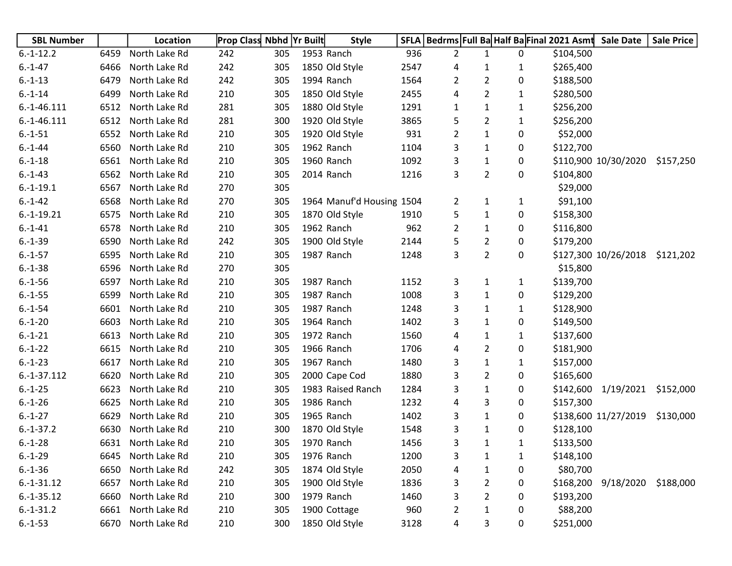| <b>SBL Number</b> |      | Location      | <b>Prop Class Nbhd Yr Built</b> |     | <b>Style</b>              | SFLA |   |                | Bedrms Full Ba Half Ba Final 2021 Asmt |           | <b>Sale Date</b>     | <b>Sale Price</b> |
|-------------------|------|---------------|---------------------------------|-----|---------------------------|------|---|----------------|----------------------------------------|-----------|----------------------|-------------------|
| $6.-1-12.2$       | 6459 | North Lake Rd | 242                             | 305 | 1953 Ranch                | 936  | 2 | $\mathbf{1}$   | 0                                      | \$104,500 |                      |                   |
| $6.-1-47$         | 6466 | North Lake Rd | 242                             | 305 | 1850 Old Style            | 2547 | 4 | 1              | 1                                      | \$265,400 |                      |                   |
| $6.-1-13$         | 6479 | North Lake Rd | 242                             | 305 | 1994 Ranch                | 1564 | 2 | $\overline{2}$ | 0                                      | \$188,500 |                      |                   |
| $6.-1-14$         | 6499 | North Lake Rd | 210                             | 305 | 1850 Old Style            | 2455 | 4 | $\overline{2}$ | 1                                      | \$280,500 |                      |                   |
| $6.-1-46.111$     | 6512 | North Lake Rd | 281                             | 305 | 1880 Old Style            | 1291 | 1 | 1              | 1                                      | \$256,200 |                      |                   |
| $6.-1-46.111$     | 6512 | North Lake Rd | 281                             | 300 | 1920 Old Style            | 3865 | 5 | $\overline{2}$ | 1                                      | \$256,200 |                      |                   |
| $6.-1-51$         | 6552 | North Lake Rd | 210                             | 305 | 1920 Old Style            | 931  | 2 | 1              | 0                                      | \$52,000  |                      |                   |
| $6.-1-44$         | 6560 | North Lake Rd | 210                             | 305 | 1962 Ranch                | 1104 | 3 | $\mathbf{1}$   | 0                                      | \$122,700 |                      |                   |
| $6.-1-18$         | 6561 | North Lake Rd | 210                             | 305 | 1960 Ranch                | 1092 | 3 | $\mathbf{1}$   | 0                                      |           | \$110,900 10/30/2020 | \$157,250         |
| $6.-1-43$         | 6562 | North Lake Rd | 210                             | 305 | 2014 Ranch                | 1216 | 3 | $\overline{2}$ | 0                                      | \$104,800 |                      |                   |
| $6.-1-19.1$       | 6567 | North Lake Rd | 270                             | 305 |                           |      |   |                |                                        | \$29,000  |                      |                   |
| $6.-1-42$         | 6568 | North Lake Rd | 270                             | 305 | 1964 Manuf'd Housing 1504 |      | 2 | 1              | 1                                      | \$91,100  |                      |                   |
| $6.-1-19.21$      | 6575 | North Lake Rd | 210                             | 305 | 1870 Old Style            | 1910 | 5 | $\mathbf{1}$   | 0                                      | \$158,300 |                      |                   |
| $6 - 1 - 41$      | 6578 | North Lake Rd | 210                             | 305 | 1962 Ranch                | 962  | 2 | $\mathbf{1}$   | 0                                      | \$116,800 |                      |                   |
| $6.-1-39$         | 6590 | North Lake Rd | 242                             | 305 | 1900 Old Style            | 2144 | 5 | $\overline{2}$ | 0                                      | \$179,200 |                      |                   |
| $6.-1-57$         | 6595 | North Lake Rd | 210                             | 305 | 1987 Ranch                | 1248 | 3 | $\overline{2}$ | $\mathbf{0}$                           |           | \$127,300 10/26/2018 | \$121,202         |
| $6.-1-38$         | 6596 | North Lake Rd | 270                             | 305 |                           |      |   |                |                                        | \$15,800  |                      |                   |
| $6.-1-56$         | 6597 | North Lake Rd | 210                             | 305 | 1987 Ranch                | 1152 | 3 | 1              | 1                                      | \$139,700 |                      |                   |
| $6.-1-55$         | 6599 | North Lake Rd | 210                             | 305 | 1987 Ranch                | 1008 | 3 | 1              | 0                                      | \$129,200 |                      |                   |
| $6.-1-54$         | 6601 | North Lake Rd | 210                             | 305 | 1987 Ranch                | 1248 | 3 | $\mathbf{1}$   | 1                                      | \$128,900 |                      |                   |
| $6.-1-20$         | 6603 | North Lake Rd | 210                             | 305 | 1964 Ranch                | 1402 | 3 | 1              | 0                                      | \$149,500 |                      |                   |
| $6.-1-21$         | 6613 | North Lake Rd | 210                             | 305 | 1972 Ranch                | 1560 | 4 | 1              | $\mathbf{1}$                           | \$137,600 |                      |                   |
| $6.-1-22$         | 6615 | North Lake Rd | 210                             | 305 | 1966 Ranch                | 1706 | 4 | $\overline{2}$ | 0                                      | \$181,900 |                      |                   |
| $6.-1-23$         | 6617 | North Lake Rd | 210                             | 305 | 1967 Ranch                | 1480 | 3 | 1              | 1                                      | \$157,000 |                      |                   |
| $6.-1-37.112$     | 6620 | North Lake Rd | 210                             | 305 | 2000 Cape Cod             | 1880 | 3 | $\overline{2}$ | 0                                      | \$165,600 |                      |                   |
| $6.-1-25$         | 6623 | North Lake Rd | 210                             | 305 | 1983 Raised Ranch         | 1284 | 3 | $\mathbf{1}$   | 0                                      | \$142,600 | 1/19/2021            | \$152,000         |
| $6.-1-26$         | 6625 | North Lake Rd | 210                             | 305 | 1986 Ranch                | 1232 | 4 | 3              | 0                                      | \$157,300 |                      |                   |
| $6.-1-27$         | 6629 | North Lake Rd | 210                             | 305 | 1965 Ranch                | 1402 | 3 | $\mathbf{1}$   | 0                                      |           | \$138,600 11/27/2019 | \$130,000         |
| $6.-1-37.2$       | 6630 | North Lake Rd | 210                             | 300 | 1870 Old Style            | 1548 | 3 | $\mathbf{1}$   | 0                                      | \$128,100 |                      |                   |
| $6.-1-28$         | 6631 | North Lake Rd | 210                             | 305 | 1970 Ranch                | 1456 | 3 | 1              | 1                                      | \$133,500 |                      |                   |
| $6.-1-29$         | 6645 | North Lake Rd | 210                             | 305 | 1976 Ranch                | 1200 | 3 | $\mathbf{1}$   | 1                                      | \$148,100 |                      |                   |
| $6.-1-36$         | 6650 | North Lake Rd | 242                             | 305 | 1874 Old Style            | 2050 | 4 | $\mathbf{1}$   | 0                                      | \$80,700  |                      |                   |
| $6.-1-31.12$      | 6657 | North Lake Rd | 210                             | 305 | 1900 Old Style            | 1836 | 3 | $\overline{2}$ | 0                                      | \$168,200 | 9/18/2020            | \$188,000         |
| $6.-1-35.12$      | 6660 | North Lake Rd | 210                             | 300 | 1979 Ranch                | 1460 | 3 | $\overline{2}$ | 0                                      | \$193,200 |                      |                   |
| $6.-1-31.2$       | 6661 | North Lake Rd | 210                             | 305 | 1900 Cottage              | 960  | 2 | 1              | 0                                      | \$88,200  |                      |                   |
| $6.-1-53$         | 6670 | North Lake Rd | 210                             | 300 | 1850 Old Style            | 3128 | 4 | 3              | 0                                      | \$251,000 |                      |                   |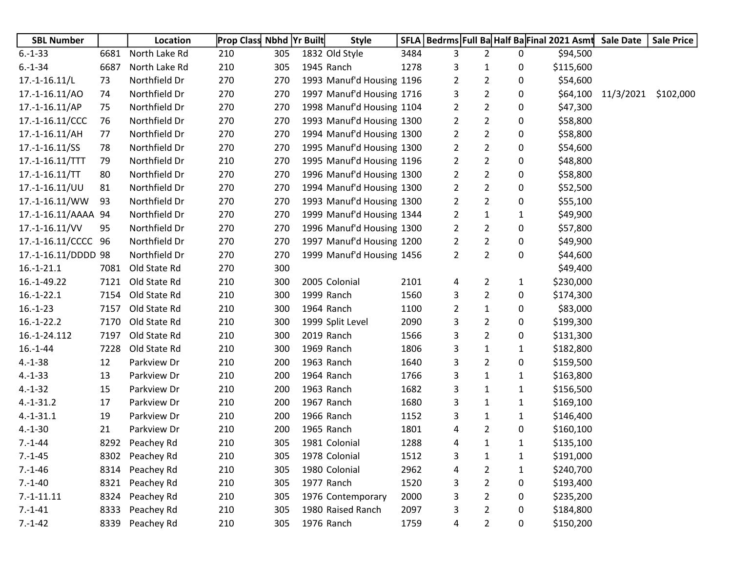| <b>SBL Number</b>   |      | Location      | <b>Prop Class Nbhd Yr Built</b> |     | <b>Style</b>              |      |                |                |              | SFLA   Bedrms   Full Ba Half Ba Final 2021 Asmt Sale Date |                    | <b>Sale Price</b> |
|---------------------|------|---------------|---------------------------------|-----|---------------------------|------|----------------|----------------|--------------|-----------------------------------------------------------|--------------------|-------------------|
| $6.-1-33$           | 6681 | North Lake Rd | 210                             | 305 | 1832 Old Style            | 3484 | 3              | $\overline{2}$ | 0            | \$94,500                                                  |                    |                   |
| $6.-1-34$           | 6687 | North Lake Rd | 210                             | 305 | 1945 Ranch                | 1278 | 3              | $\mathbf{1}$   | 0            | \$115,600                                                 |                    |                   |
| $17.-1-16.11/L$     | 73   | Northfield Dr | 270                             | 270 | 1993 Manuf'd Housing 1196 |      | $\overline{2}$ | $\overline{2}$ | 0            | \$54,600                                                  |                    |                   |
| 17.-1-16.11/AO      | 74   | Northfield Dr | 270                             | 270 | 1997 Manuf'd Housing 1716 |      | 3              | $\overline{2}$ | 0            |                                                           | \$64,100 11/3/2021 | \$102,000         |
| $17.-1-16.11/AP$    | 75   | Northfield Dr | 270                             | 270 | 1998 Manuf'd Housing 1104 |      | 2              | $\overline{2}$ | 0            | \$47,300                                                  |                    |                   |
| 17.-1-16.11/CCC     | 76   | Northfield Dr | 270                             | 270 | 1993 Manuf'd Housing 1300 |      | $\overline{2}$ | $\overline{2}$ | 0            | \$58,800                                                  |                    |                   |
| $17.-1-16.11/AH$    | 77   | Northfield Dr | 270                             | 270 | 1994 Manuf'd Housing 1300 |      | 2              | $\overline{2}$ | 0            | \$58,800                                                  |                    |                   |
| 17.-1-16.11/SS      | 78   | Northfield Dr | 270                             | 270 | 1995 Manuf'd Housing 1300 |      | $\overline{2}$ | $\overline{2}$ | 0            | \$54,600                                                  |                    |                   |
| 17.-1-16.11/TTT     | 79   | Northfield Dr | 210                             | 270 | 1995 Manuf'd Housing 1196 |      | $\overline{2}$ | $\overline{2}$ | 0            | \$48,800                                                  |                    |                   |
| $17.-1-16.11/TT$    | 80   | Northfield Dr | 270                             | 270 | 1996 Manuf'd Housing 1300 |      | $\overline{2}$ | $\overline{2}$ | 0            | \$58,800                                                  |                    |                   |
| 17.-1-16.11/UU      | 81   | Northfield Dr | 270                             | 270 | 1994 Manuf'd Housing 1300 |      | $\overline{2}$ | $\overline{2}$ | 0            | \$52,500                                                  |                    |                   |
| 17.-1-16.11/WW      | 93   | Northfield Dr | 270                             | 270 | 1993 Manuf'd Housing 1300 |      | $\overline{2}$ | $\overline{2}$ | 0            | \$55,100                                                  |                    |                   |
| 17.-1-16.11/AAAA 94 |      | Northfield Dr | 270                             | 270 | 1999 Manuf'd Housing 1344 |      | $\overline{2}$ | $\mathbf{1}$   | $\mathbf{1}$ | \$49,900                                                  |                    |                   |
| 17.-1-16.11/VV      | 95   | Northfield Dr | 270                             | 270 | 1996 Manuf'd Housing 1300 |      | 2              | $\overline{2}$ | 0            | \$57,800                                                  |                    |                   |
| 17.-1-16.11/CCCC 96 |      | Northfield Dr | 270                             | 270 | 1997 Manuf'd Housing 1200 |      | 2              | $\overline{2}$ | 0            | \$49,900                                                  |                    |                   |
| 17.-1-16.11/DDDD 98 |      | Northfield Dr | 270                             | 270 | 1999 Manuf'd Housing 1456 |      | $\overline{2}$ | $\overline{2}$ | $\pmb{0}$    | \$44,600                                                  |                    |                   |
| $16.-1-21.1$        | 7081 | Old State Rd  | 270                             | 300 |                           |      |                |                |              | \$49,400                                                  |                    |                   |
| 16.-1-49.22         | 7121 | Old State Rd  | 210                             | 300 | 2005 Colonial             | 2101 | 4              | $\overline{2}$ | $\mathbf{1}$ | \$230,000                                                 |                    |                   |
| $16.-1-22.1$        | 7154 | Old State Rd  | 210                             | 300 | 1999 Ranch                | 1560 | 3              | $\overline{2}$ | 0            | \$174,300                                                 |                    |                   |
| $16.-1-23$          | 7157 | Old State Rd  | 210                             | 300 | 1964 Ranch                | 1100 | $\overline{2}$ | $\mathbf{1}$   | 0            | \$83,000                                                  |                    |                   |
| $16.-1-22.2$        | 7170 | Old State Rd  | 210                             | 300 | 1999 Split Level          | 2090 | 3              | $\overline{2}$ | 0            | \$199,300                                                 |                    |                   |
| 16.-1-24.112        | 7197 | Old State Rd  | 210                             | 300 | 2019 Ranch                | 1566 | 3              | $\overline{2}$ | 0            | \$131,300                                                 |                    |                   |
| $16.-1-44$          | 7228 | Old State Rd  | 210                             | 300 | 1969 Ranch                | 1806 | 3              | $\mathbf{1}$   | $\mathbf{1}$ | \$182,800                                                 |                    |                   |
| $4.-1-38$           | 12   | Parkview Dr   | 210                             | 200 | 1963 Ranch                | 1640 | 3              | $\overline{2}$ | 0            | \$159,500                                                 |                    |                   |
| $4.-1-33$           | 13   | Parkview Dr   | 210                             | 200 | 1964 Ranch                | 1766 | 3              | $\mathbf{1}$   | $\mathbf{1}$ | \$163,800                                                 |                    |                   |
| $4.-1-32$           | 15   | Parkview Dr   | 210                             | 200 | 1963 Ranch                | 1682 | 3              | $\mathbf{1}$   | 1            | \$156,500                                                 |                    |                   |
| $4.-1-31.2$         | 17   | Parkview Dr   | 210                             | 200 | 1967 Ranch                | 1680 | 3              | $\mathbf{1}$   | $\mathbf{1}$ | \$169,100                                                 |                    |                   |
| $4.-1-31.1$         | 19   | Parkview Dr   | 210                             | 200 | 1966 Ranch                | 1152 | 3              | 1              | 1            | \$146,400                                                 |                    |                   |
| $4.-1-30$           | 21   | Parkview Dr   | 210                             | 200 | 1965 Ranch                | 1801 | 4              | $\overline{2}$ | 0            | \$160,100                                                 |                    |                   |
| $7.-1-44$           | 8292 | Peachey Rd    | 210                             | 305 | 1981 Colonial             | 1288 | 4              | $\mathbf{1}$   | $\mathbf{1}$ | \$135,100                                                 |                    |                   |
| $7.-1-45$           | 8302 | Peachey Rd    | 210                             | 305 | 1978 Colonial             | 1512 | 3              | $\mathbf{1}$   | $\mathbf{1}$ | \$191,000                                                 |                    |                   |
| $7.-1-46$           | 8314 | Peachey Rd    | 210                             | 305 | 1980 Colonial             | 2962 | 4              | $\overline{2}$ | $\mathbf{1}$ | \$240,700                                                 |                    |                   |
| $7.-1-40$           | 8321 | Peachey Rd    | 210                             | 305 | 1977 Ranch                | 1520 | 3              | $\overline{2}$ | 0            | \$193,400                                                 |                    |                   |
| $7.-1-11.11$        | 8324 | Peachey Rd    | 210                             | 305 | 1976 Contemporary         | 2000 | 3              | $\overline{2}$ | 0            | \$235,200                                                 |                    |                   |
| $7.-1-41$           | 8333 | Peachey Rd    | 210                             | 305 | 1980 Raised Ranch         | 2097 | 3              | $\overline{2}$ | 0            | \$184,800                                                 |                    |                   |
| $7.-1-42$           | 8339 | Peachey Rd    | 210                             | 305 | 1976 Ranch                | 1759 | 4              | $\overline{2}$ | 0            | \$150,200                                                 |                    |                   |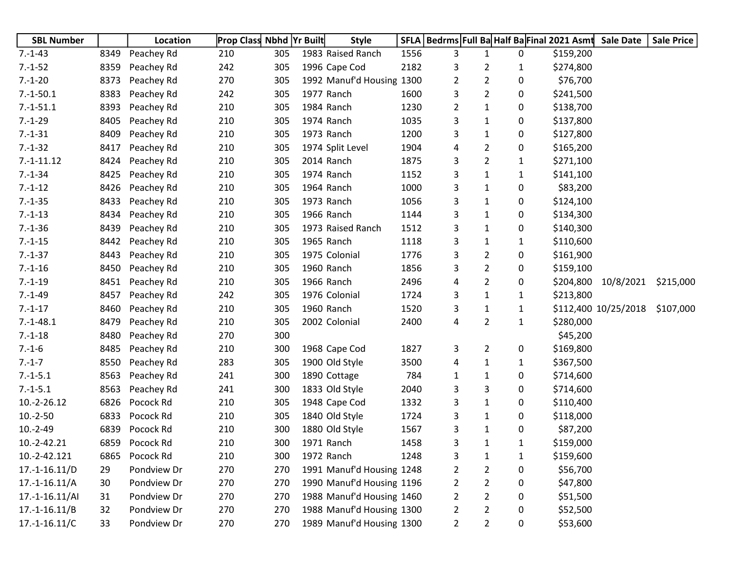| <b>SBL Number</b> |      | Location    | <b>Prop Class Nbhd Yr Built</b> |     | <b>Style</b>              |      | SFLA   Bedrms   Full Ba Half Ba Final 2021 Asmt |                |              |           | <b>Sale Date</b>     | <b>Sale Price</b> |
|-------------------|------|-------------|---------------------------------|-----|---------------------------|------|-------------------------------------------------|----------------|--------------|-----------|----------------------|-------------------|
| $7.-1-43$         | 8349 | Peachey Rd  | 210                             | 305 | 1983 Raised Ranch         | 1556 | 3                                               | 1              | 0            | \$159,200 |                      |                   |
| $7.-1-52$         | 8359 | Peachey Rd  | 242                             | 305 | 1996 Cape Cod             | 2182 | 3                                               | 2              | 1            | \$274,800 |                      |                   |
| $7.-1-20$         | 8373 | Peachey Rd  | 270                             | 305 | 1992 Manuf'd Housing 1300 |      | 2                                               | 2              | 0            | \$76,700  |                      |                   |
| $7.-1-50.1$       | 8383 | Peachey Rd  | 242                             | 305 | 1977 Ranch                | 1600 | 3                                               | 2              | 0            | \$241,500 |                      |                   |
| $7.-1-51.1$       | 8393 | Peachey Rd  | 210                             | 305 | 1984 Ranch                | 1230 | 2                                               | 1              | 0            | \$138,700 |                      |                   |
| $7.-1-29$         | 8405 | Peachey Rd  | 210                             | 305 | 1974 Ranch                | 1035 | 3                                               | 1              | 0            | \$137,800 |                      |                   |
| $7.-1-31$         | 8409 | Peachey Rd  | 210                             | 305 | 1973 Ranch                | 1200 | 3                                               | 1              | 0            | \$127,800 |                      |                   |
| $7.-1-32$         | 8417 | Peachey Rd  | 210                             | 305 | 1974 Split Level          | 1904 | 4                                               | 2              | 0            | \$165,200 |                      |                   |
| $7.-1-11.12$      | 8424 | Peachey Rd  | 210                             | 305 | 2014 Ranch                | 1875 | 3                                               | 2              | 1            | \$271,100 |                      |                   |
| $7.-1-34$         | 8425 | Peachey Rd  | 210                             | 305 | 1974 Ranch                | 1152 | 3                                               | 1              | 1            | \$141,100 |                      |                   |
| $7.-1-12$         | 8426 | Peachey Rd  | 210                             | 305 | 1964 Ranch                | 1000 | 3                                               | 1              | 0            | \$83,200  |                      |                   |
| $7.-1-35$         | 8433 | Peachey Rd  | 210                             | 305 | 1973 Ranch                | 1056 | 3                                               | 1              | 0            | \$124,100 |                      |                   |
| $7.-1-13$         | 8434 | Peachey Rd  | 210                             | 305 | 1966 Ranch                | 1144 | 3                                               | 1              | 0            | \$134,300 |                      |                   |
| $7.-1-36$         | 8439 | Peachey Rd  | 210                             | 305 | 1973 Raised Ranch         | 1512 | 3                                               | 1              | 0            | \$140,300 |                      |                   |
| $7.-1-15$         | 8442 | Peachey Rd  | 210                             | 305 | 1965 Ranch                | 1118 | 3                                               | 1              | 1            | \$110,600 |                      |                   |
| $7.-1-37$         | 8443 | Peachey Rd  | 210                             | 305 | 1975 Colonial             | 1776 | 3                                               | 2              | 0            | \$161,900 |                      |                   |
| $7.-1-16$         | 8450 | Peachey Rd  | 210                             | 305 | 1960 Ranch                | 1856 | 3                                               | 2              | 0            | \$159,100 |                      |                   |
| $7.-1-19$         | 8451 | Peachey Rd  | 210                             | 305 | 1966 Ranch                | 2496 | 4                                               | 2              | 0            |           | \$204,800 10/8/2021  | \$215,000         |
| $7.-1-49$         | 8457 | Peachey Rd  | 242                             | 305 | 1976 Colonial             | 1724 | 3                                               | 1              | 1            | \$213,800 |                      |                   |
| $7 - 1 - 17$      | 8460 | Peachey Rd  | 210                             | 305 | 1960 Ranch                | 1520 | 3                                               | $\mathbf{1}$   | 1            |           | \$112,400 10/25/2018 | \$107,000         |
| $7.-1-48.1$       | 8479 | Peachey Rd  | 210                             | 305 | 2002 Colonial             | 2400 | 4                                               | 2              | $\mathbf{1}$ | \$280,000 |                      |                   |
| $7.-1-18$         | 8480 | Peachey Rd  | 270                             | 300 |                           |      |                                                 |                |              | \$45,200  |                      |                   |
| $7.-1-6$          | 8485 | Peachey Rd  | 210                             | 300 | 1968 Cape Cod             | 1827 | 3                                               | $\overline{2}$ | 0            | \$169,800 |                      |                   |
| $7 - 1 - 7$       | 8550 | Peachey Rd  | 283                             | 305 | 1900 Old Style            | 3500 | 4                                               | 1              | 1            | \$367,500 |                      |                   |
| $7.-1-5.1$        | 8563 | Peachey Rd  | 241                             | 300 | 1890 Cottage              | 784  | 1                                               | 1              | 0            | \$714,600 |                      |                   |
| $7.-1-5.1$        | 8563 | Peachey Rd  | 241                             | 300 | 1833 Old Style            | 2040 | 3                                               | 3              | 0            | \$714,600 |                      |                   |
| 10.-2-26.12       | 6826 | Pocock Rd   | 210                             | 305 | 1948 Cape Cod             | 1332 | 3                                               | 1              | 0            | \$110,400 |                      |                   |
| $10.-2-50$        | 6833 | Pocock Rd   | 210                             | 305 | 1840 Old Style            | 1724 | 3                                               | 1              | 0            | \$118,000 |                      |                   |
| $10.-2-49$        | 6839 | Pocock Rd   | 210                             | 300 | 1880 Old Style            | 1567 | 3                                               | 1              | 0            | \$87,200  |                      |                   |
| 10.-2-42.21       | 6859 | Pocock Rd   | 210                             | 300 | 1971 Ranch                | 1458 | 3                                               | 1              | 1            | \$159,000 |                      |                   |
| 10.-2-42.121      | 6865 | Pocock Rd   | 210                             | 300 | 1972 Ranch                | 1248 | 3                                               | $\mathbf{1}$   | $\mathbf{1}$ | \$159,600 |                      |                   |
| $17.-1-16.11/D$   | 29   | Pondview Dr | 270                             | 270 | 1991 Manuf'd Housing 1248 |      | $\overline{2}$                                  | 2              | 0            | \$56,700  |                      |                   |
| $17.-1-16.11/A$   | 30   | Pondview Dr | 270                             | 270 | 1990 Manuf'd Housing 1196 |      | $\overline{2}$                                  | 2              | 0            | \$47,800  |                      |                   |
| $17.-1-16.11/A$   | 31   | Pondview Dr | 270                             | 270 | 1988 Manuf'd Housing 1460 |      | $\overline{2}$                                  | 2              | 0            | \$51,500  |                      |                   |
| $17.-1-16.11/B$   | 32   | Pondview Dr | 270                             | 270 | 1988 Manuf'd Housing 1300 |      | $\overline{2}$                                  | 2              | 0            | \$52,500  |                      |                   |
| $17.-1-16.11/C$   | 33   | Pondview Dr | 270                             | 270 | 1989 Manuf'd Housing 1300 |      | $\overline{2}$                                  | 2              | 0            | \$53,600  |                      |                   |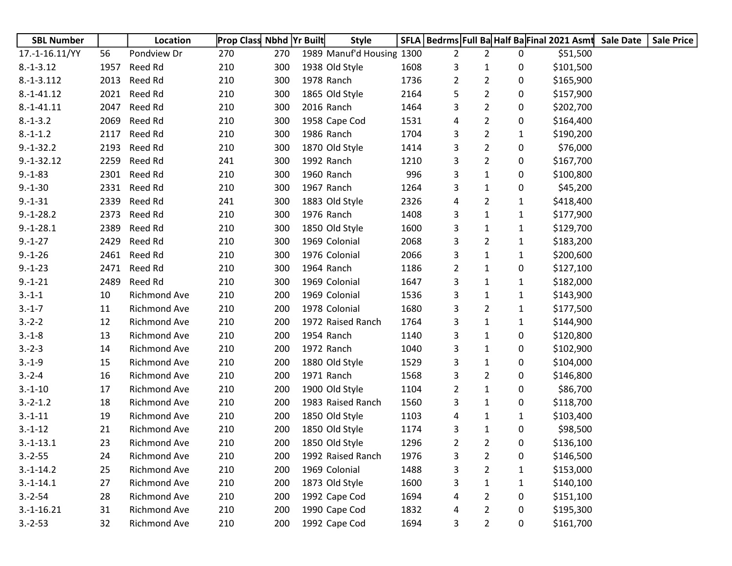| <b>SBL Number</b> |      | Location            | <b>Prop Class Nbhd Yr Built</b> |     | <b>Style</b>              |      |                |                |   |           | SFLA   Bedrms   Full Ba Half Ba Final 2021 Asmt Sale Date | <b>Sale Price</b> |
|-------------------|------|---------------------|---------------------------------|-----|---------------------------|------|----------------|----------------|---|-----------|-----------------------------------------------------------|-------------------|
| 17.-1-16.11/YY    | 56   | Pondview Dr         | 270                             | 270 | 1989 Manuf'd Housing 1300 |      | $\overline{2}$ | $\overline{2}$ | 0 | \$51,500  |                                                           |                   |
| $8.-1-3.12$       | 1957 | Reed Rd             | 210                             | 300 | 1938 Old Style            | 1608 | 3              | 1              | 0 | \$101,500 |                                                           |                   |
| $8.-1-3.112$      | 2013 | Reed Rd             | 210                             | 300 | 1978 Ranch                | 1736 | 2              | $\overline{2}$ | 0 | \$165,900 |                                                           |                   |
| $8.-1-41.12$      | 2021 | Reed Rd             | 210                             | 300 | 1865 Old Style            | 2164 | 5              | $\overline{c}$ | 0 | \$157,900 |                                                           |                   |
| $8.-1-41.11$      | 2047 | Reed Rd             | 210                             | 300 | 2016 Ranch                | 1464 | 3              | $\overline{2}$ | 0 | \$202,700 |                                                           |                   |
| $8.-1-3.2$        | 2069 | Reed Rd             | 210                             | 300 | 1958 Cape Cod             | 1531 | 4              | $\overline{c}$ | 0 | \$164,400 |                                                           |                   |
| $8.-1-1.2$        | 2117 | Reed Rd             | 210                             | 300 | 1986 Ranch                | 1704 | 3              | $\overline{2}$ | 1 | \$190,200 |                                                           |                   |
| $9.-1-32.2$       | 2193 | Reed Rd             | 210                             | 300 | 1870 Old Style            | 1414 | 3              | $\overline{2}$ | 0 | \$76,000  |                                                           |                   |
| $9.-1-32.12$      | 2259 | Reed Rd             | 241                             | 300 | 1992 Ranch                | 1210 | 3              | $\overline{2}$ | 0 | \$167,700 |                                                           |                   |
| $9.-1-83$         | 2301 | Reed Rd             | 210                             | 300 | 1960 Ranch                | 996  | 3              | $\mathbf{1}$   | 0 | \$100,800 |                                                           |                   |
| $9.-1-30$         | 2331 | Reed Rd             | 210                             | 300 | 1967 Ranch                | 1264 | 3              | 1              | 0 | \$45,200  |                                                           |                   |
| $9.-1-31$         | 2339 | Reed Rd             | 241                             | 300 | 1883 Old Style            | 2326 | 4              | $\overline{2}$ | 1 | \$418,400 |                                                           |                   |
| $9.-1-28.2$       | 2373 | Reed Rd             | 210                             | 300 | 1976 Ranch                | 1408 | 3              | $\mathbf{1}$   | 1 | \$177,900 |                                                           |                   |
| $9.-1-28.1$       | 2389 | Reed Rd             | 210                             | 300 | 1850 Old Style            | 1600 | 3              | $\mathbf{1}$   | 1 | \$129,700 |                                                           |                   |
| $9.-1-27$         | 2429 | Reed Rd             | 210                             | 300 | 1969 Colonial             | 2068 | 3              | $\overline{2}$ | 1 | \$183,200 |                                                           |                   |
| $9.-1-26$         | 2461 | Reed Rd             | 210                             | 300 | 1976 Colonial             | 2066 | 3              | 1              | 1 | \$200,600 |                                                           |                   |
| $9.-1-23$         | 2471 | Reed Rd             | 210                             | 300 | 1964 Ranch                | 1186 | 2              | 1              | 0 | \$127,100 |                                                           |                   |
| $9.-1-21$         | 2489 | Reed Rd             | 210                             | 300 | 1969 Colonial             | 1647 | 3              | 1              | 1 | \$182,000 |                                                           |                   |
| $3.-1-1$          | 10   | Richmond Ave        | 210                             | 200 | 1969 Colonial             | 1536 | 3              | $\mathbf{1}$   | 1 | \$143,900 |                                                           |                   |
| $3.-1-7$          | 11   | Richmond Ave        | 210                             | 200 | 1978 Colonial             | 1680 | 3              | $\overline{2}$ | 1 | \$177,500 |                                                           |                   |
| $3.-2-2$          | 12   | <b>Richmond Ave</b> | 210                             | 200 | 1972 Raised Ranch         | 1764 | 3              | $\mathbf{1}$   | 1 | \$144,900 |                                                           |                   |
| $3.-1-8$          | 13   | <b>Richmond Ave</b> | 210                             | 200 | 1954 Ranch                | 1140 | 3              | $\mathbf{1}$   | 0 | \$120,800 |                                                           |                   |
| $3.-2-3$          | 14   | Richmond Ave        | 210                             | 200 | 1972 Ranch                | 1040 | 3              | $\mathbf{1}$   | 0 | \$102,900 |                                                           |                   |
| $3.-1-9$          | 15   | <b>Richmond Ave</b> | 210                             | 200 | 1880 Old Style            | 1529 | 3              | $\mathbf{1}$   | 0 | \$104,000 |                                                           |                   |
| $3.-2-4$          | 16   | Richmond Ave        | 210                             | 200 | 1971 Ranch                | 1568 | 3              | $\overline{c}$ | 0 | \$146,800 |                                                           |                   |
| $3.-1-10$         | 17   | Richmond Ave        | 210                             | 200 | 1900 Old Style            | 1104 | 2              | $\mathbf{1}$   | 0 | \$86,700  |                                                           |                   |
| $3.-2-1.2$        | 18   | <b>Richmond Ave</b> | 210                             | 200 | 1983 Raised Ranch         | 1560 | 3              | $\mathbf{1}$   | 0 | \$118,700 |                                                           |                   |
| $3.-1-11$         | 19   | <b>Richmond Ave</b> | 210                             | 200 | 1850 Old Style            | 1103 | 4              | 1              | 1 | \$103,400 |                                                           |                   |
| $3.-1-12$         | 21   | Richmond Ave        | 210                             | 200 | 1850 Old Style            | 1174 | 3              | 1              | 0 | \$98,500  |                                                           |                   |
| $3.-1-13.1$       | 23   | <b>Richmond Ave</b> | 210                             | 200 | 1850 Old Style            | 1296 | 2              | 2              | 0 | \$136,100 |                                                           |                   |
| $3.-2-55$         | 24   | Richmond Ave        | 210                             | 200 | 1992 Raised Ranch         | 1976 | 3              | $\overline{2}$ | 0 | \$146,500 |                                                           |                   |
| $3.-1-14.2$       | 25   | Richmond Ave        | 210                             | 200 | 1969 Colonial             | 1488 | 3              | $\overline{2}$ | 1 | \$153,000 |                                                           |                   |
| $3.-1-14.1$       | 27   | <b>Richmond Ave</b> | 210                             | 200 | 1873 Old Style            | 1600 | 3              | 1              | 1 | \$140,100 |                                                           |                   |
| $3.-2-54$         | 28   | Richmond Ave        | 210                             | 200 | 1992 Cape Cod             | 1694 | 4              | $\overline{2}$ | 0 | \$151,100 |                                                           |                   |
| $3.-1-16.21$      | 31   | Richmond Ave        | 210                             | 200 | 1990 Cape Cod             | 1832 | 4              | 2              | 0 | \$195,300 |                                                           |                   |
| $3.-2-53$         | 32   | Richmond Ave        | 210                             | 200 | 1992 Cape Cod             | 1694 | 3              | $\overline{2}$ | 0 | \$161,700 |                                                           |                   |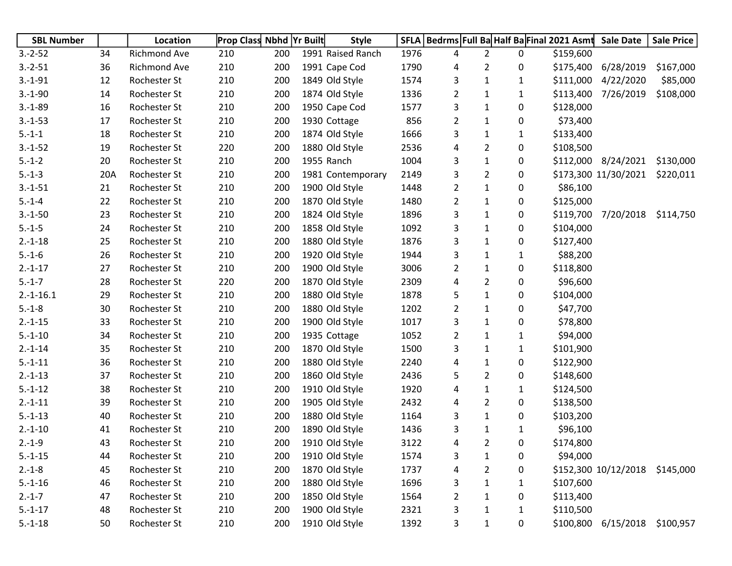| <b>SBL Number</b> |     | Location     | <b>Prop Class Nbhd Yr Built</b> |     | <b>Style</b>      | <b>SFLA</b> | Bedrms Full Ba Half Ba Final 2021 Asmt |                |              |           | <b>Sale Date</b>               | <b>Sale Price</b> |
|-------------------|-----|--------------|---------------------------------|-----|-------------------|-------------|----------------------------------------|----------------|--------------|-----------|--------------------------------|-------------------|
| $3.-2-52$         | 34  | Richmond Ave | 210                             | 200 | 1991 Raised Ranch | 1976        | 4                                      | $\overline{2}$ | 0            | \$159,600 |                                |                   |
| $3.-2-51$         | 36  | Richmond Ave | 210                             | 200 | 1991 Cape Cod     | 1790        | 4                                      | $\overline{2}$ | 0            | \$175,400 | 6/28/2019                      | \$167,000         |
| $3.-1-91$         | 12  | Rochester St | 210                             | 200 | 1849 Old Style    | 1574        | 3                                      | $\mathbf{1}$   | $\mathbf{1}$ |           | \$111,000 4/22/2020            | \$85,000          |
| $3.-1-90$         | 14  | Rochester St | 210                             | 200 | 1874 Old Style    | 1336        | $\overline{2}$                         | $\mathbf{1}$   | $\mathbf{1}$ |           | \$113,400 7/26/2019            | \$108,000         |
| $3.-1-89$         | 16  | Rochester St | 210                             | 200 | 1950 Cape Cod     | 1577        | 3                                      | 1              | 0            | \$128,000 |                                |                   |
| $3.-1-53$         | 17  | Rochester St | 210                             | 200 | 1930 Cottage      | 856         | $\overline{2}$                         | 1              | 0            | \$73,400  |                                |                   |
| $5.-1-1$          | 18  | Rochester St | 210                             | 200 | 1874 Old Style    | 1666        | 3                                      | 1              | 1            | \$133,400 |                                |                   |
| $3.-1-52$         | 19  | Rochester St | 220                             | 200 | 1880 Old Style    | 2536        | 4                                      | $\overline{2}$ | 0            | \$108,500 |                                |                   |
| $5.-1-2$          | 20  | Rochester St | 210                             | 200 | 1955 Ranch        | 1004        | 3                                      | $\mathbf{1}$   | 0            |           | \$112,000 8/24/2021            | \$130,000         |
| $5.-1-3$          | 20A | Rochester St | 210                             | 200 | 1981 Contemporary | 2149        | 3                                      | $\overline{2}$ | 0            |           | \$173,300 11/30/2021           | \$220,011         |
| $3.-1-51$         | 21  | Rochester St | 210                             | 200 | 1900 Old Style    | 1448        | $\overline{2}$                         | 1              | 0            | \$86,100  |                                |                   |
| $5.-1-4$          | 22  | Rochester St | 210                             | 200 | 1870 Old Style    | 1480        | $\overline{2}$                         | 1              | 0            | \$125,000 |                                |                   |
| $3.-1-50$         | 23  | Rochester St | 210                             | 200 | 1824 Old Style    | 1896        | 3                                      | 1              | 0            |           | \$119,700 7/20/2018            | \$114,750         |
| $5.-1-5$          | 24  | Rochester St | 210                             | 200 | 1858 Old Style    | 1092        | 3                                      | 1              | 0            | \$104,000 |                                |                   |
| $2.-1-18$         | 25  | Rochester St | 210                             | 200 | 1880 Old Style    | 1876        | 3                                      | $\mathbf{1}$   | 0            | \$127,400 |                                |                   |
| $5.-1-6$          | 26  | Rochester St | 210                             | 200 | 1920 Old Style    | 1944        | 3                                      | $\mathbf{1}$   | 1            | \$88,200  |                                |                   |
| $2.-1-17$         | 27  | Rochester St | 210                             | 200 | 1900 Old Style    | 3006        | $\overline{2}$                         | $\mathbf{1}$   | 0            | \$118,800 |                                |                   |
| $5.-1-7$          | 28  | Rochester St | 220                             | 200 | 1870 Old Style    | 2309        | 4                                      | $\overline{2}$ | 0            | \$96,600  |                                |                   |
| $2.-1-16.1$       | 29  | Rochester St | 210                             | 200 | 1880 Old Style    | 1878        | 5                                      | $\mathbf{1}$   | 0            | \$104,000 |                                |                   |
| $5.-1-8$          | 30  | Rochester St | 210                             | 200 | 1880 Old Style    | 1202        | $\overline{2}$                         | 1              | 0            | \$47,700  |                                |                   |
| $2.-1-15$         | 33  | Rochester St | 210                             | 200 | 1900 Old Style    | 1017        | 3                                      | 1              | 0            | \$78,800  |                                |                   |
| $5.-1-10$         | 34  | Rochester St | 210                             | 200 | 1935 Cottage      | 1052        | $\overline{2}$                         | $\mathbf{1}$   | $\mathbf{1}$ | \$94,000  |                                |                   |
| $2.-1-14$         | 35  | Rochester St | 210                             | 200 | 1870 Old Style    | 1500        | 3                                      | 1              | $\mathbf{1}$ | \$101,900 |                                |                   |
| $5.-1-11$         | 36  | Rochester St | 210                             | 200 | 1880 Old Style    | 2240        | 4                                      | 1              | 0            | \$122,900 |                                |                   |
| $2.-1-13$         | 37  | Rochester St | 210                             | 200 | 1860 Old Style    | 2436        | 5                                      | $\overline{2}$ | 0            | \$148,600 |                                |                   |
| $5.-1-12$         | 38  | Rochester St | 210                             | 200 | 1910 Old Style    | 1920        | 4                                      | 1              | $\mathbf{1}$ | \$124,500 |                                |                   |
| $2.-1-11$         | 39  | Rochester St | 210                             | 200 | 1905 Old Style    | 2432        | 4                                      | $\overline{2}$ | 0            | \$138,500 |                                |                   |
| $5.-1-13$         | 40  | Rochester St | 210                             | 200 | 1880 Old Style    | 1164        | 3                                      | $\mathbf{1}$   | 0            | \$103,200 |                                |                   |
| $2.-1-10$         | 41  | Rochester St | 210                             | 200 | 1890 Old Style    | 1436        | 3                                      | $\mathbf{1}$   | $\mathbf{1}$ | \$96,100  |                                |                   |
| $2.-1-9$          | 43  | Rochester St | 210                             | 200 | 1910 Old Style    | 3122        | 4                                      | 2              | 0            | \$174,800 |                                |                   |
| $5.-1-15$         | 44  | Rochester St | 210                             | 200 | 1910 Old Style    | 1574        | 3                                      | 1              | 0            | \$94,000  |                                |                   |
| $2.-1-8$          | 45  | Rochester St | 210                             | 200 | 1870 Old Style    | 1737        | 4                                      | 2              | 0            |           | \$152,300 10/12/2018 \$145,000 |                   |
| $5.-1-16$         | 46  | Rochester St | 210                             | 200 | 1880 Old Style    | 1696        | 3                                      | 1              | 1            | \$107,600 |                                |                   |
| $2.-1-7$          | 47  | Rochester St | 210                             | 200 | 1850 Old Style    | 1564        | $\overline{2}$                         | $\mathbf{1}$   | 0            | \$113,400 |                                |                   |
| $5.-1-17$         | 48  | Rochester St | 210                             | 200 | 1900 Old Style    | 2321        | 3                                      | 1              | 1            | \$110,500 |                                |                   |
| $5.-1-18$         | 50  | Rochester St | 210                             | 200 | 1910 Old Style    | 1392        | 3                                      | 1              | 0            |           | \$100,800 6/15/2018            | \$100,957         |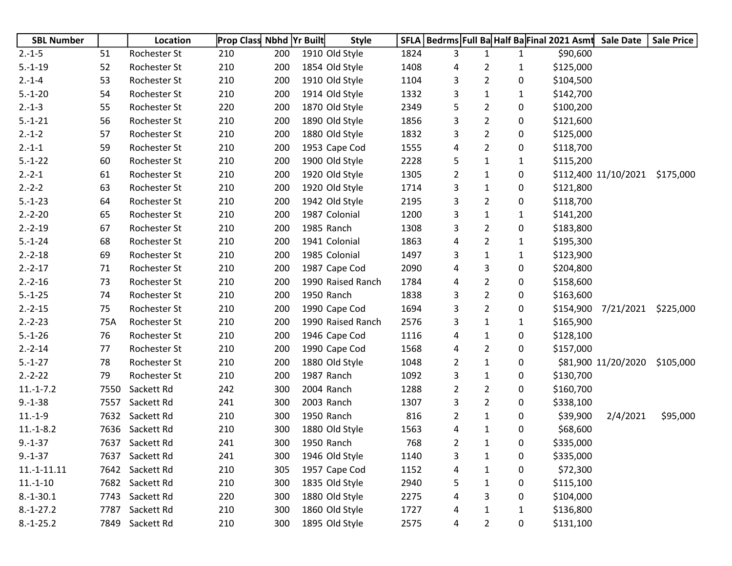| <b>SBL Number</b> |      | Location        | <b>Prop Class Nbhd Yr Built</b> |     | <b>Style</b>      |      |                |                | SFLA   Bedrms   Full Ba Half Ba Final 2021 Asmt |           | <b>Sale Date</b>     | <b>Sale Price</b> |
|-------------------|------|-----------------|---------------------------------|-----|-------------------|------|----------------|----------------|-------------------------------------------------|-----------|----------------------|-------------------|
| $2.-1-5$          | 51   | Rochester St    | 210                             | 200 | 1910 Old Style    | 1824 | 3              | $\mathbf{1}$   | $\mathbf{1}$                                    | \$90,600  |                      |                   |
| $5.-1-19$         | 52   | Rochester St    | 210                             | 200 | 1854 Old Style    | 1408 | 4              | 2              | 1                                               | \$125,000 |                      |                   |
| $2.-1-4$          | 53   | Rochester St    | 210                             | 200 | 1910 Old Style    | 1104 | 3              | $\overline{2}$ | 0                                               | \$104,500 |                      |                   |
| $5.-1-20$         | 54   | Rochester St    | 210                             | 200 | 1914 Old Style    | 1332 | 3              | $\mathbf{1}$   | $\mathbf{1}$                                    | \$142,700 |                      |                   |
| $2.-1-3$          | 55   | Rochester St    | 220                             | 200 | 1870 Old Style    | 2349 | 5              | $\overline{2}$ | 0                                               | \$100,200 |                      |                   |
| $5.-1-21$         | 56   | Rochester St    | 210                             | 200 | 1890 Old Style    | 1856 | 3              | $\overline{2}$ | 0                                               | \$121,600 |                      |                   |
| $2.-1-2$          | 57   | Rochester St    | 210                             | 200 | 1880 Old Style    | 1832 | 3              | $\overline{2}$ | 0                                               | \$125,000 |                      |                   |
| $2.-1-1$          | 59   | Rochester St    | 210                             | 200 | 1953 Cape Cod     | 1555 | 4              | $\overline{2}$ | 0                                               | \$118,700 |                      |                   |
| $5.-1-22$         | 60   | Rochester St    | 210                             | 200 | 1900 Old Style    | 2228 | 5              | $\mathbf{1}$   | $\mathbf{1}$                                    | \$115,200 |                      |                   |
| $2.-2-1$          | 61   | Rochester St    | 210                             | 200 | 1920 Old Style    | 1305 | $\overline{2}$ | $\mathbf{1}$   | 0                                               |           | \$112,400 11/10/2021 | \$175,000         |
| $2.-2-2$          | 63   | Rochester St    | 210                             | 200 | 1920 Old Style    | 1714 | 3              | $\mathbf{1}$   | 0                                               | \$121,800 |                      |                   |
| $5.-1-23$         | 64   | Rochester St    | 210                             | 200 | 1942 Old Style    | 2195 | 3              | $\overline{2}$ | 0                                               | \$118,700 |                      |                   |
| $2.-2-20$         | 65   | Rochester St    | 210                             | 200 | 1987 Colonial     | 1200 | 3              | $\mathbf{1}$   | $\mathbf{1}$                                    | \$141,200 |                      |                   |
| $2.-2-19$         | 67   | Rochester St    | 210                             | 200 | 1985 Ranch        | 1308 | 3              | $\overline{2}$ | 0                                               | \$183,800 |                      |                   |
| $5.-1-24$         | 68   | Rochester St    | 210                             | 200 | 1941 Colonial     | 1863 | 4              | $\overline{2}$ | 1                                               | \$195,300 |                      |                   |
| $2.-2-18$         | 69   | Rochester St    | 210                             | 200 | 1985 Colonial     | 1497 | 3              | $\mathbf{1}$   | $\mathbf{1}$                                    | \$123,900 |                      |                   |
| $2.-2-17$         | 71   | Rochester St    | 210                             | 200 | 1987 Cape Cod     | 2090 | 4              | 3              | 0                                               | \$204,800 |                      |                   |
| $2.-2-16$         | 73   | Rochester St    | 210                             | 200 | 1990 Raised Ranch | 1784 | 4              | $\overline{2}$ | 0                                               | \$158,600 |                      |                   |
| $5.-1-25$         | 74   | Rochester St    | 210                             | 200 | 1950 Ranch        | 1838 | 3              | $\overline{2}$ | 0                                               | \$163,600 |                      |                   |
| $2.-2-15$         | 75   | Rochester St    | 210                             | 200 | 1990 Cape Cod     | 1694 | 3              | $\overline{2}$ | 0                                               | \$154,900 | 7/21/2021            | \$225,000         |
| $2.-2-23$         | 75A  | Rochester St    | 210                             | 200 | 1990 Raised Ranch | 2576 | 3              | $\mathbf{1}$   | 1                                               | \$165,900 |                      |                   |
| $5.-1-26$         | 76   | Rochester St    | 210                             | 200 | 1946 Cape Cod     | 1116 | 4              | $\mathbf{1}$   | 0                                               | \$128,100 |                      |                   |
| $2.-2-14$         | 77   | Rochester St    | 210                             | 200 | 1990 Cape Cod     | 1568 | 4              | $\overline{2}$ | 0                                               | \$157,000 |                      |                   |
| $5.-1-27$         | 78   | Rochester St    | 210                             | 200 | 1880 Old Style    | 1048 | 2              | $\mathbf{1}$   | 0                                               |           | \$81,900 11/20/2020  | \$105,000         |
| $2.-2-22$         | 79   | Rochester St    | 210                             | 200 | 1987 Ranch        | 1092 | 3              | $\mathbf{1}$   | 0                                               | \$130,700 |                      |                   |
| $11.-1-.7.2$      | 7550 | Sackett Rd      | 242                             | 300 | 2004 Ranch        | 1288 | 2              | $\overline{2}$ | 0                                               | \$160,700 |                      |                   |
| $9.-1-38$         | 7557 | Sackett Rd      | 241                             | 300 | 2003 Ranch        | 1307 | 3              | $\overline{2}$ | 0                                               | \$338,100 |                      |                   |
| $11.-1-9$         | 7632 | Sackett Rd      | 210                             | 300 | 1950 Ranch        | 816  | $\overline{2}$ | $\mathbf{1}$   | 0                                               | \$39,900  | 2/4/2021             | \$95,000          |
| $11.-1-8.2$       | 7636 | Sackett Rd      | 210                             | 300 | 1880 Old Style    | 1563 | 4              | $\mathbf{1}$   | 0                                               | \$68,600  |                      |                   |
| $9.-1-37$         |      | 7637 Sackett Rd | 241                             | 300 | 1950 Ranch        | 768  | 2              | 1              | 0                                               | \$335,000 |                      |                   |
| $9.-1-37$         |      | 7637 Sackett Rd | 241                             | 300 | 1946 Old Style    | 1140 | 3              | $\mathbf{1}$   | 0                                               | \$335,000 |                      |                   |
| $11.-1-11.11$     |      | 7642 Sackett Rd | 210                             | 305 | 1957 Cape Cod     | 1152 | 4              | 1              | 0                                               | \$72,300  |                      |                   |
| $11.-1-10$        |      | 7682 Sackett Rd | 210                             | 300 | 1835 Old Style    | 2940 | 5              | 1              | 0                                               | \$115,100 |                      |                   |
| $8.-1-30.1$       | 7743 | Sackett Rd      | 220                             | 300 | 1880 Old Style    | 2275 | 4              | 3              | 0                                               | \$104,000 |                      |                   |
| $8.-1-27.2$       | 7787 | Sackett Rd      | 210                             | 300 | 1860 Old Style    | 1727 | 4              | 1              | 1                                               | \$136,800 |                      |                   |
| $8.-1-25.2$       | 7849 | Sackett Rd      | 210                             | 300 | 1895 Old Style    | 2575 | 4              | 2              | 0                                               | \$131,100 |                      |                   |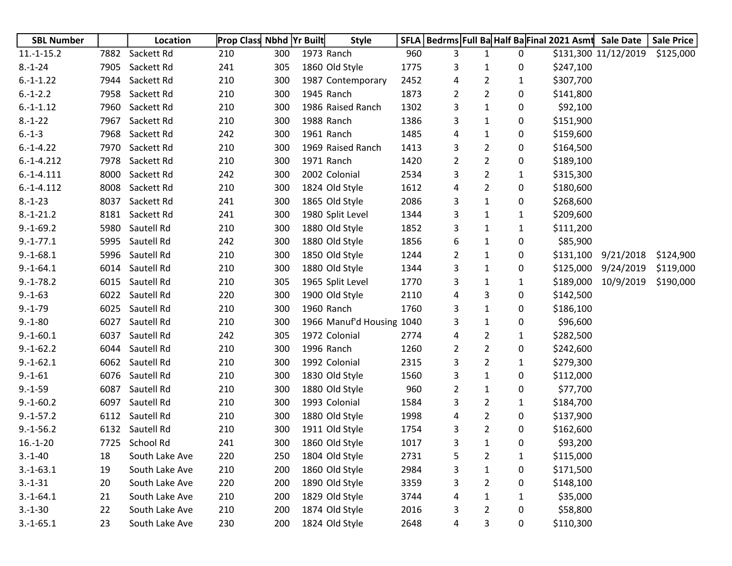| <b>SBL Number</b> |      | Location       | Prop Class Nbhd Yr Built |     | <b>Style</b>              |      | SFLA   Bedrms   Full Ba Half Ba Final 2021 Asmt Sale Date |                |              |           |                      | <b>Sale Price</b> |
|-------------------|------|----------------|--------------------------|-----|---------------------------|------|-----------------------------------------------------------|----------------|--------------|-----------|----------------------|-------------------|
| $11.-1-15.2$      | 7882 | Sackett Rd     | 210                      | 300 | 1973 Ranch                | 960  | 3                                                         | 1              | 0            |           | \$131,300 11/12/2019 | \$125,000         |
| $8.-1-24$         | 7905 | Sackett Rd     | 241                      | 305 | 1860 Old Style            | 1775 | 3                                                         | 1              | 0            | \$247,100 |                      |                   |
| $6.-1-1.22$       | 7944 | Sackett Rd     | 210                      | 300 | 1987 Contemporary         | 2452 | 4                                                         | 2              | 1            | \$307,700 |                      |                   |
| $6.-1-2.2$        | 7958 | Sackett Rd     | 210                      | 300 | 1945 Ranch                | 1873 | 2                                                         | $\overline{2}$ | 0            | \$141,800 |                      |                   |
| $6.-1-1.12$       | 7960 | Sackett Rd     | 210                      | 300 | 1986 Raised Ranch         | 1302 | 3                                                         | 1              | 0            | \$92,100  |                      |                   |
| $8.-1-22$         | 7967 | Sackett Rd     | 210                      | 300 | 1988 Ranch                | 1386 | 3                                                         | 1              | 0            | \$151,900 |                      |                   |
| $6.-1-3$          | 7968 | Sackett Rd     | 242                      | 300 | 1961 Ranch                | 1485 | 4                                                         | 1              | 0            | \$159,600 |                      |                   |
| $6.-1-4.22$       | 7970 | Sackett Rd     | 210                      | 300 | 1969 Raised Ranch         | 1413 | 3                                                         | $\overline{2}$ | 0            | \$164,500 |                      |                   |
| $6.-1-4.212$      | 7978 | Sackett Rd     | 210                      | 300 | 1971 Ranch                | 1420 | $\overline{2}$                                            | $\overline{2}$ | 0            | \$189,100 |                      |                   |
| $6.-1-4.111$      | 8000 | Sackett Rd     | 242                      | 300 | 2002 Colonial             | 2534 | 3                                                         | $\overline{2}$ | 1            | \$315,300 |                      |                   |
| $6.-1-4.112$      | 8008 | Sackett Rd     | 210                      | 300 | 1824 Old Style            | 1612 | 4                                                         | $\overline{2}$ | 0            | \$180,600 |                      |                   |
| $8.-1-23$         | 8037 | Sackett Rd     | 241                      | 300 | 1865 Old Style            | 2086 | 3                                                         | $\mathbf{1}$   | 0            | \$268,600 |                      |                   |
| $8.-1-21.2$       | 8181 | Sackett Rd     | 241                      | 300 | 1980 Split Level          | 1344 | 3                                                         | 1              | 1            | \$209,600 |                      |                   |
| $9.-1-69.2$       | 5980 | Sautell Rd     | 210                      | 300 | 1880 Old Style            | 1852 | 3                                                         | 1              | 1            | \$111,200 |                      |                   |
| $9.-1-77.1$       | 5995 | Sautell Rd     | 242                      | 300 | 1880 Old Style            | 1856 | 6                                                         | 1              | 0            | \$85,900  |                      |                   |
| $9.-1-68.1$       | 5996 | Sautell Rd     | 210                      | 300 | 1850 Old Style            | 1244 | $\overline{2}$                                            | 1              | 0            | \$131,100 | 9/21/2018            | \$124,900         |
| $9.-1-64.1$       | 6014 | Sautell Rd     | 210                      | 300 | 1880 Old Style            | 1344 | 3                                                         | 1              | 0            | \$125,000 | 9/24/2019            | \$119,000         |
| $9.-1-78.2$       | 6015 | Sautell Rd     | 210                      | 305 | 1965 Split Level          | 1770 | 3                                                         | $\mathbf{1}$   | 1            |           | \$189,000 10/9/2019  | \$190,000         |
| $9.-1-63$         | 6022 | Sautell Rd     | 220                      | 300 | 1900 Old Style            | 2110 | 4                                                         | 3              | 0            | \$142,500 |                      |                   |
| $9.-1-79$         | 6025 | Sautell Rd     | 210                      | 300 | 1960 Ranch                | 1760 | 3                                                         | $\mathbf{1}$   | 0            | \$186,100 |                      |                   |
| $9.-1-80$         | 6027 | Sautell Rd     | 210                      | 300 | 1966 Manuf'd Housing 1040 |      | 3                                                         | 1              | 0            | \$96,600  |                      |                   |
| $9.-1-60.1$       | 6037 | Sautell Rd     | 242                      | 305 | 1972 Colonial             | 2774 | 4                                                         | $\overline{2}$ | 1            | \$282,500 |                      |                   |
| $9.-1-62.2$       | 6044 | Sautell Rd     | 210                      | 300 | 1996 Ranch                | 1260 | $\overline{a}$                                            | $\overline{2}$ | 0            | \$242,600 |                      |                   |
| $9.-1-62.1$       | 6062 | Sautell Rd     | 210                      | 300 | 1992 Colonial             | 2315 | 3                                                         | 2              | 1            | \$279,300 |                      |                   |
| $9.-1-61$         | 6076 | Sautell Rd     | 210                      | 300 | 1830 Old Style            | 1560 | 3                                                         | $\mathbf{1}$   | 0            | \$112,000 |                      |                   |
| $9.-1-59$         | 6087 | Sautell Rd     | 210                      | 300 | 1880 Old Style            | 960  | $\overline{a}$                                            | $\mathbf{1}$   | 0            | \$77,700  |                      |                   |
| $9.-1-60.2$       | 6097 | Sautell Rd     | 210                      | 300 | 1993 Colonial             | 1584 | 3                                                         | $\overline{2}$ | 1            | \$184,700 |                      |                   |
| $9.-1-57.2$       | 6112 | Sautell Rd     | 210                      | 300 | 1880 Old Style            | 1998 | 4                                                         | $\overline{2}$ | 0            | \$137,900 |                      |                   |
| $9.-1-56.2$       | 6132 | Sautell Rd     | 210                      | 300 | 1911 Old Style            | 1754 | 3                                                         | $\overline{2}$ | 0            | \$162,600 |                      |                   |
| $16.-1-20$        |      | 7725 School Rd | 241                      | 300 | 1860 Old Style            | 1017 | 3                                                         | 1              | 0            | \$93,200  |                      |                   |
| $3.-1-40$         | 18   | South Lake Ave | 220                      | 250 | 1804 Old Style            | 2731 | 5                                                         | $\overline{2}$ | $\mathbf{1}$ | \$115,000 |                      |                   |
| $3.-1-63.1$       | 19   | South Lake Ave | 210                      | 200 | 1860 Old Style            | 2984 | 3                                                         | $\mathbf 1$    | 0            | \$171,500 |                      |                   |
| $3.-1-31$         | 20   | South Lake Ave | 220                      | 200 | 1890 Old Style            | 3359 | 3                                                         | $\overline{2}$ | 0            | \$148,100 |                      |                   |
| $3.-1-64.1$       | 21   | South Lake Ave | 210                      | 200 | 1829 Old Style            | 3744 | 4                                                         | 1              | 1            | \$35,000  |                      |                   |
| $3.-1-30$         | 22   | South Lake Ave | 210                      | 200 | 1874 Old Style            | 2016 | 3                                                         | $\overline{2}$ | 0            | \$58,800  |                      |                   |
| $3.-1-65.1$       | 23   | South Lake Ave | 230                      | 200 | 1824 Old Style            | 2648 | 4                                                         | 3              | 0            | \$110,300 |                      |                   |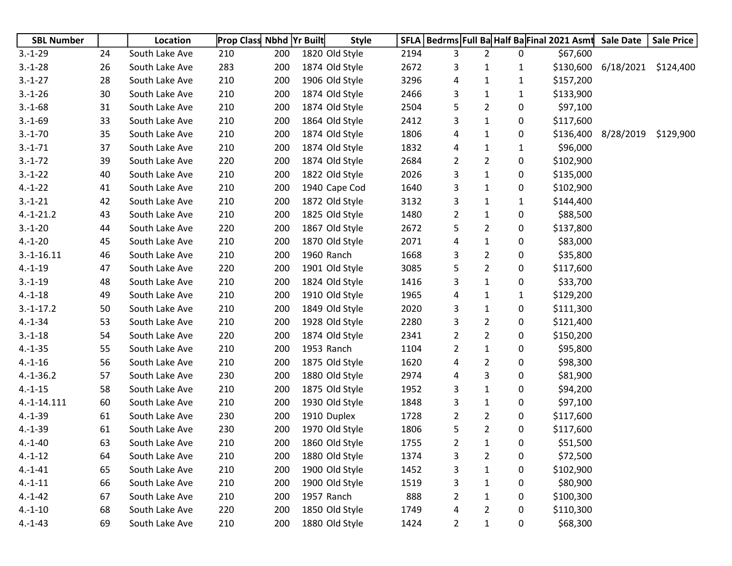| <b>SBL Number</b> |    | Location       |     | <b>Prop Class Nbhd Yr Built</b> | <b>Style</b>   |      |                |                |              | SFLA   Bedrms   Full Ba Half Ba Final 2021 Asmt | <b>Sale Date</b>    | <b>Sale Price</b> |
|-------------------|----|----------------|-----|---------------------------------|----------------|------|----------------|----------------|--------------|-------------------------------------------------|---------------------|-------------------|
| $3.-1-29$         | 24 | South Lake Ave | 210 | 200                             | 1820 Old Style | 2194 | 3              | $\overline{2}$ | 0            | \$67,600                                        |                     |                   |
| $3.-1-28$         | 26 | South Lake Ave | 283 | 200                             | 1874 Old Style | 2672 | 3              | 1              | 1            | \$130,600                                       | 6/18/2021           | \$124,400         |
| $3.-1-27$         | 28 | South Lake Ave | 210 | 200                             | 1906 Old Style | 3296 | 4              | $\mathbf{1}$   | 1            | \$157,200                                       |                     |                   |
| $3.-1-26$         | 30 | South Lake Ave | 210 | 200                             | 1874 Old Style | 2466 | 3              | $\mathbf{1}$   | 1            | \$133,900                                       |                     |                   |
| $3.-1-68$         | 31 | South Lake Ave | 210 | 200                             | 1874 Old Style | 2504 | 5              | $\overline{2}$ | 0            | \$97,100                                        |                     |                   |
| $3.-1-69$         | 33 | South Lake Ave | 210 | 200                             | 1864 Old Style | 2412 | 3              | $\mathbf{1}$   | 0            | \$117,600                                       |                     |                   |
| $3.-1-70$         | 35 | South Lake Ave | 210 | 200                             | 1874 Old Style | 1806 | 4              | $\mathbf{1}$   | 0            |                                                 | \$136,400 8/28/2019 | \$129,900         |
| $3.-1-71$         | 37 | South Lake Ave | 210 | 200                             | 1874 Old Style | 1832 | 4              | $\mathbf{1}$   | $\mathbf{1}$ | \$96,000                                        |                     |                   |
| $3.-1-72$         | 39 | South Lake Ave | 220 | 200                             | 1874 Old Style | 2684 | $\overline{2}$ | $\overline{2}$ | 0            | \$102,900                                       |                     |                   |
| $3.-1-22$         | 40 | South Lake Ave | 210 | 200                             | 1822 Old Style | 2026 | 3              | $\mathbf{1}$   | 0            | \$135,000                                       |                     |                   |
| $4.-1-22$         | 41 | South Lake Ave | 210 | 200                             | 1940 Cape Cod  | 1640 | 3              | 1              | 0            | \$102,900                                       |                     |                   |
| $3.-1-21$         | 42 | South Lake Ave | 210 | 200                             | 1872 Old Style | 3132 | 3              | $\mathbf{1}$   | 1            | \$144,400                                       |                     |                   |
| $4.-1-21.2$       | 43 | South Lake Ave | 210 | 200                             | 1825 Old Style | 1480 | $\overline{2}$ | $\mathbf{1}$   | 0            | \$88,500                                        |                     |                   |
| $3.-1-20$         | 44 | South Lake Ave | 220 | 200                             | 1867 Old Style | 2672 | 5              | $\overline{2}$ | 0            | \$137,800                                       |                     |                   |
| $4.-1-20$         | 45 | South Lake Ave | 210 | 200                             | 1870 Old Style | 2071 | 4              | $\mathbf{1}$   | 0            | \$83,000                                        |                     |                   |
| $3.-1-16.11$      | 46 | South Lake Ave | 210 | 200                             | 1960 Ranch     | 1668 | 3              | $\overline{2}$ | 0            | \$35,800                                        |                     |                   |
| $4.-1-19$         | 47 | South Lake Ave | 220 | 200                             | 1901 Old Style | 3085 | 5              | $\overline{2}$ | 0            | \$117,600                                       |                     |                   |
| $3.-1-19$         | 48 | South Lake Ave | 210 | 200                             | 1824 Old Style | 1416 | 3              | $\mathbf{1}$   | 0            | \$33,700                                        |                     |                   |
| $4.-1-18$         | 49 | South Lake Ave | 210 | 200                             | 1910 Old Style | 1965 | 4              | $\mathbf{1}$   | 1            | \$129,200                                       |                     |                   |
| $3.-1-17.2$       | 50 | South Lake Ave | 210 | 200                             | 1849 Old Style | 2020 | 3              | $\mathbf{1}$   | 0            | \$111,300                                       |                     |                   |
| $4.-1-34$         | 53 | South Lake Ave | 210 | 200                             | 1928 Old Style | 2280 | 3              | $\overline{2}$ | 0            | \$121,400                                       |                     |                   |
| $3.-1-18$         | 54 | South Lake Ave | 220 | 200                             | 1874 Old Style | 2341 | $\overline{2}$ | $\overline{2}$ | 0            | \$150,200                                       |                     |                   |
| $4.-1-35$         | 55 | South Lake Ave | 210 | 200                             | 1953 Ranch     | 1104 | $\overline{2}$ | $\mathbf{1}$   | 0            | \$95,800                                        |                     |                   |
| $4.-1-16$         | 56 | South Lake Ave | 210 | 200                             | 1875 Old Style | 1620 | 4              | $\overline{2}$ | 0            | \$98,300                                        |                     |                   |
| $4.-1-36.2$       | 57 | South Lake Ave | 230 | 200                             | 1880 Old Style | 2974 | 4              | 3              | 0            | \$81,900                                        |                     |                   |
| $4.-1-15$         | 58 | South Lake Ave | 210 | 200                             | 1875 Old Style | 1952 | 3              | $\mathbf{1}$   | 0            | \$94,200                                        |                     |                   |
| 4.-1-14.111       | 60 | South Lake Ave | 210 | 200                             | 1930 Old Style | 1848 | 3              | $\mathbf{1}$   | 0            | \$97,100                                        |                     |                   |
| $4.-1-39$         | 61 | South Lake Ave | 230 | 200                             | 1910 Duplex    | 1728 | $\overline{2}$ | $\overline{2}$ | 0            | \$117,600                                       |                     |                   |
| $4.-1-39$         | 61 | South Lake Ave | 230 | 200                             | 1970 Old Style | 1806 | 5              | $\overline{2}$ | 0            | \$117,600                                       |                     |                   |
| $4.-1-40$         | 63 | South Lake Ave | 210 | 200                             | 1860 Old Style | 1755 | $\overline{2}$ | 1              | 0            | \$51,500                                        |                     |                   |
| $4.-1-12$         | 64 | South Lake Ave | 210 | 200                             | 1880 Old Style | 1374 | 3              | $\overline{2}$ | 0            | \$72,500                                        |                     |                   |
| $4.-1-41$         | 65 | South Lake Ave | 210 | 200                             | 1900 Old Style | 1452 | 3              | $\mathbf 1$    | 0            | \$102,900                                       |                     |                   |
| $4.-1-11$         | 66 | South Lake Ave | 210 | 200                             | 1900 Old Style | 1519 | 3              | $\mathbf{1}$   | 0            | \$80,900                                        |                     |                   |
| $4.-1-42$         | 67 | South Lake Ave | 210 | 200                             | 1957 Ranch     | 888  | $\overline{2}$ | $\mathbf{1}$   | 0            | \$100,300                                       |                     |                   |
| $4.-1-10$         | 68 | South Lake Ave | 220 | 200                             | 1850 Old Style | 1749 | 4              | $\overline{2}$ | 0            | \$110,300                                       |                     |                   |
| $4.-1-43$         | 69 | South Lake Ave | 210 | 200                             | 1880 Old Style | 1424 | $\overline{2}$ | $\mathbf{1}$   | 0            | \$68,300                                        |                     |                   |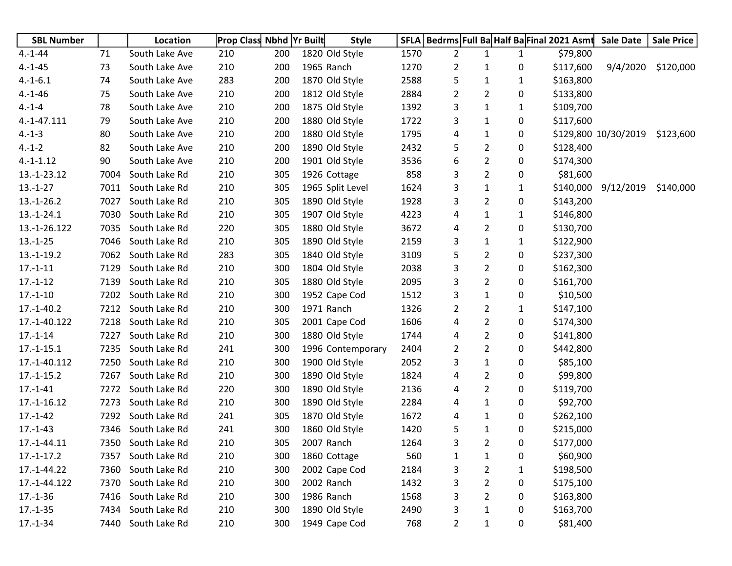| <b>SBL Number</b> |      | Location       |     | <b>Prop Class Nbhd Yr Built</b> | <b>Style</b>      |      |                |                |              | SFLA   Bedrms   Full Ba Half Ba Final 2021 Asmt | <b>Sale Date</b>     | <b>Sale Price</b> |
|-------------------|------|----------------|-----|---------------------------------|-------------------|------|----------------|----------------|--------------|-------------------------------------------------|----------------------|-------------------|
| $4.-1-44$         | 71   | South Lake Ave | 210 | 200                             | 1820 Old Style    | 1570 | $\overline{2}$ | 1              | 1            | \$79,800                                        |                      |                   |
| $4.-1-45$         | 73   | South Lake Ave | 210 | 200                             | 1965 Ranch        | 1270 | 2              | $\mathbf{1}$   | 0            | \$117,600                                       | 9/4/2020             | \$120,000         |
| $4.-1-6.1$        | 74   | South Lake Ave | 283 | 200                             | 1870 Old Style    | 2588 | 5              | $\mathbf{1}$   | $\mathbf{1}$ | \$163,800                                       |                      |                   |
| $4.-1-46$         | 75   | South Lake Ave | 210 | 200                             | 1812 Old Style    | 2884 | 2              | 2              | 0            | \$133,800                                       |                      |                   |
| $4.-1-4$          | 78   | South Lake Ave | 210 | 200                             | 1875 Old Style    | 1392 | 3              | $\mathbf{1}$   | 1            | \$109,700                                       |                      |                   |
| 4.-1-47.111       | 79   | South Lake Ave | 210 | 200                             | 1880 Old Style    | 1722 | 3              | $\mathbf{1}$   | 0            | \$117,600                                       |                      |                   |
| $4.-1-3$          | 80   | South Lake Ave | 210 | 200                             | 1880 Old Style    | 1795 | 4              | $\mathbf{1}$   | 0            |                                                 | \$129,800 10/30/2019 | \$123,600         |
| $4.-1-2$          | 82   | South Lake Ave | 210 | 200                             | 1890 Old Style    | 2432 | 5              | $\overline{2}$ | 0            | \$128,400                                       |                      |                   |
| $4.-1-1.12$       | 90   | South Lake Ave | 210 | 200                             | 1901 Old Style    | 3536 | 6              | $\overline{2}$ | 0            | \$174,300                                       |                      |                   |
| 13.-1-23.12       | 7004 | South Lake Rd  | 210 | 305                             | 1926 Cottage      | 858  | 3              | $\overline{2}$ | 0            | \$81,600                                        |                      |                   |
| $13.-1-27$        | 7011 | South Lake Rd  | 210 | 305                             | 1965 Split Level  | 1624 | 3              | $\mathbf{1}$   | 1            | \$140,000                                       | 9/12/2019            | \$140,000         |
| $13.-1-26.2$      | 7027 | South Lake Rd  | 210 | 305                             | 1890 Old Style    | 1928 | 3              | $\overline{2}$ | 0            | \$143,200                                       |                      |                   |
| $13.-1-24.1$      | 7030 | South Lake Rd  | 210 | 305                             | 1907 Old Style    | 4223 | 4              | $\mathbf{1}$   | $\mathbf{1}$ | \$146,800                                       |                      |                   |
| 13.-1-26.122      | 7035 | South Lake Rd  | 220 | 305                             | 1880 Old Style    | 3672 | 4              | $\overline{2}$ | 0            | \$130,700                                       |                      |                   |
| $13.-1-25$        | 7046 | South Lake Rd  | 210 | 305                             | 1890 Old Style    | 2159 | 3              | $\mathbf{1}$   | $\mathbf{1}$ | \$122,900                                       |                      |                   |
| $13.-1-19.2$      | 7062 | South Lake Rd  | 283 | 305                             | 1840 Old Style    | 3109 | 5              | $\overline{2}$ | 0            | \$237,300                                       |                      |                   |
| $17.-1-11$        | 7129 | South Lake Rd  | 210 | 300                             | 1804 Old Style    | 2038 | 3              | $\overline{2}$ | 0            | \$162,300                                       |                      |                   |
| $17.-1-12$        | 7139 | South Lake Rd  | 210 | 305                             | 1880 Old Style    | 2095 | 3              | $\overline{2}$ | 0            | \$161,700                                       |                      |                   |
| $17.-1-10$        | 7202 | South Lake Rd  | 210 | 300                             | 1952 Cape Cod     | 1512 | 3              | $\mathbf{1}$   | 0            | \$10,500                                        |                      |                   |
| $17.-1-40.2$      | 7212 | South Lake Rd  | 210 | 300                             | 1971 Ranch        | 1326 | 2              | $\overline{2}$ | $\mathbf{1}$ | \$147,100                                       |                      |                   |
| 17.-1-40.122      | 7218 | South Lake Rd  | 210 | 305                             | 2001 Cape Cod     | 1606 | 4              | $\overline{2}$ | 0            | \$174,300                                       |                      |                   |
| $17.-1-14$        | 7227 | South Lake Rd  | 210 | 300                             | 1880 Old Style    | 1744 | 4              | $\overline{2}$ | 0            | \$141,800                                       |                      |                   |
| $17.-1-15.1$      | 7235 | South Lake Rd  | 241 | 300                             | 1996 Contemporary | 2404 | 2              | $\overline{2}$ | 0            | \$442,800                                       |                      |                   |
| 17.-1-40.112      | 7250 | South Lake Rd  | 210 | 300                             | 1900 Old Style    | 2052 | 3              | $\mathbf{1}$   | 0            | \$85,100                                        |                      |                   |
| $17.-1-15.2$      | 7267 | South Lake Rd  | 210 | 300                             | 1890 Old Style    | 1824 | 4              | $\overline{2}$ | 0            | \$99,800                                        |                      |                   |
| $17.-1-41$        | 7272 | South Lake Rd  | 220 | 300                             | 1890 Old Style    | 2136 | 4              | $\overline{2}$ | 0            | \$119,700                                       |                      |                   |
| 17.-1-16.12       | 7273 | South Lake Rd  | 210 | 300                             | 1890 Old Style    | 2284 | 4              | $\mathbf{1}$   | 0            | \$92,700                                        |                      |                   |
| $17.-1-42$        | 7292 | South Lake Rd  | 241 | 305                             | 1870 Old Style    | 1672 | 4              | $\mathbf{1}$   | 0            | \$262,100                                       |                      |                   |
| $17.-1-43$        | 7346 | South Lake Rd  | 241 | 300                             | 1860 Old Style    | 1420 | 5              | $\mathbf{1}$   | 0            | \$215,000                                       |                      |                   |
| 17.-1-44.11       | 7350 | South Lake Rd  | 210 | 305                             | 2007 Ranch        | 1264 | 3              | 2              | $\mathbf{0}$ | \$177,000                                       |                      |                   |
| $17.-1-17.2$      | 7357 | South Lake Rd  | 210 | 300                             | 1860 Cottage      | 560  | 1              | $\mathbf{1}$   | 0            | \$60,900                                        |                      |                   |
| 17.-1-44.22       | 7360 | South Lake Rd  | 210 | 300                             | 2002 Cape Cod     | 2184 | 3              | $\overline{2}$ | $\mathbf{1}$ | \$198,500                                       |                      |                   |
| 17.-1-44.122      | 7370 | South Lake Rd  | 210 | 300                             | 2002 Ranch        | 1432 | 3              | $\overline{2}$ | 0            | \$175,100                                       |                      |                   |
| $17.-1-36$        | 7416 | South Lake Rd  | 210 | 300                             | 1986 Ranch        | 1568 | 3              | $\overline{2}$ | 0            | \$163,800                                       |                      |                   |
| $17.-1-35$        | 7434 | South Lake Rd  | 210 | 300                             | 1890 Old Style    | 2490 | 3              | $\mathbf{1}$   | 0            | \$163,700                                       |                      |                   |
| $17.-1-34$        | 7440 | South Lake Rd  | 210 | 300                             | 1949 Cape Cod     | 768  | $\overline{2}$ | $\mathbf{1}$   | 0            | \$81,400                                        |                      |                   |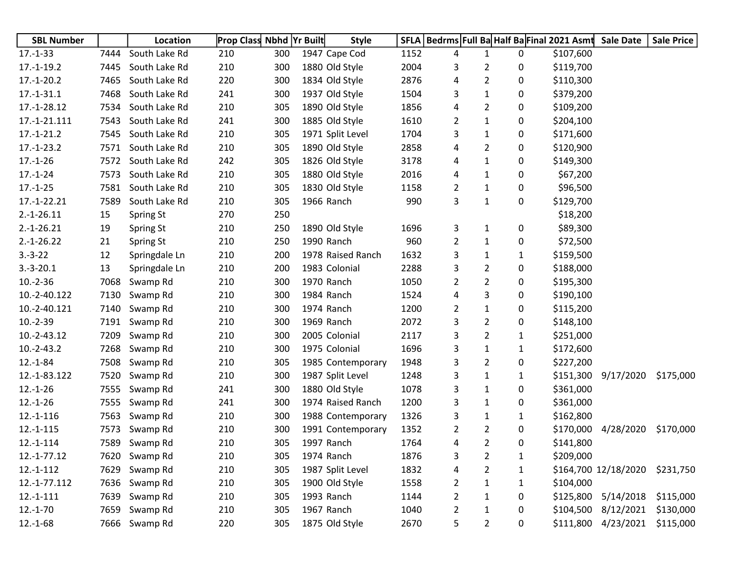| <b>SBL Number</b> |      | Location      | <b>Prop Class Nbhd Yr Built</b> |     | <b>Style</b>      |      |                |                |              | SFLA   Bedrms   Full Ba Half Ba Final 2021 Asmt | <b>Sale Date</b>     | <b>Sale Price</b> |
|-------------------|------|---------------|---------------------------------|-----|-------------------|------|----------------|----------------|--------------|-------------------------------------------------|----------------------|-------------------|
| $17.-1-33$        | 7444 | South Lake Rd | 210                             | 300 | 1947 Cape Cod     | 1152 | 4              | 1              | 0            | \$107,600                                       |                      |                   |
| $17.-1-19.2$      | 7445 | South Lake Rd | 210                             | 300 | 1880 Old Style    | 2004 | 3              | 2              | 0            | \$119,700                                       |                      |                   |
| $17.-1-20.2$      | 7465 | South Lake Rd | 220                             | 300 | 1834 Old Style    | 2876 | 4              | 2              | 0            | \$110,300                                       |                      |                   |
| $17.-1-31.1$      | 7468 | South Lake Rd | 241                             | 300 | 1937 Old Style    | 1504 | 3              | 1              | 0            | \$379,200                                       |                      |                   |
| 17.-1-28.12       | 7534 | South Lake Rd | 210                             | 305 | 1890 Old Style    | 1856 | 4              | 2              | 0            | \$109,200                                       |                      |                   |
| 17.-1-21.111      | 7543 | South Lake Rd | 241                             | 300 | 1885 Old Style    | 1610 | 2              | 1              | 0            | \$204,100                                       |                      |                   |
| $17.-1-21.2$      | 7545 | South Lake Rd | 210                             | 305 | 1971 Split Level  | 1704 | 3              | 1              | 0            | \$171,600                                       |                      |                   |
| $17.-1-23.2$      | 7571 | South Lake Rd | 210                             | 305 | 1890 Old Style    | 2858 | 4              | 2              | 0            | \$120,900                                       |                      |                   |
| $17.-1-26$        | 7572 | South Lake Rd | 242                             | 305 | 1826 Old Style    | 3178 | 4              | 1              | 0            | \$149,300                                       |                      |                   |
| $17.-1-24$        | 7573 | South Lake Rd | 210                             | 305 | 1880 Old Style    | 2016 | 4              | 1              | 0            | \$67,200                                        |                      |                   |
| $17.-1-25$        | 7581 | South Lake Rd | 210                             | 305 | 1830 Old Style    | 1158 | 2              | 1              | 0            | \$96,500                                        |                      |                   |
| 17.-1-22.21       | 7589 | South Lake Rd | 210                             | 305 | 1966 Ranch        | 990  | 3              | 1              | 0            | \$129,700                                       |                      |                   |
| $2.-1-26.11$      | 15   | Spring St     | 270                             | 250 |                   |      |                |                |              | \$18,200                                        |                      |                   |
| $2.-1-26.21$      | 19   | Spring St     | 210                             | 250 | 1890 Old Style    | 1696 | 3              | 1              | 0            | \$89,300                                        |                      |                   |
| $2.-1-26.22$      | 21   | Spring St     | 210                             | 250 | 1990 Ranch        | 960  | $\overline{2}$ | 1              | 0            | \$72,500                                        |                      |                   |
| $3.-3-22$         | 12   | Springdale Ln | 210                             | 200 | 1978 Raised Ranch | 1632 | 3              | 1              | 1            | \$159,500                                       |                      |                   |
| $3.-3-20.1$       | 13   | Springdale Ln | 210                             | 200 | 1983 Colonial     | 2288 | 3              | 2              | 0            | \$188,000                                       |                      |                   |
| $10.-2-36$        | 7068 | Swamp Rd      | 210                             | 300 | 1970 Ranch        | 1050 | $\overline{2}$ | 2              | 0            | \$195,300                                       |                      |                   |
| 10.-2-40.122      | 7130 | Swamp Rd      | 210                             | 300 | 1984 Ranch        | 1524 | 4              | 3              | 0            | \$190,100                                       |                      |                   |
| 10.-2-40.121      | 7140 | Swamp Rd      | 210                             | 300 | 1974 Ranch        | 1200 | 2              | $\mathbf{1}$   | 0            | \$115,200                                       |                      |                   |
| $10.-2-39$        | 7191 | Swamp Rd      | 210                             | 300 | 1969 Ranch        | 2072 | 3              | $\overline{2}$ | 0            | \$148,100                                       |                      |                   |
| 10.-2-43.12       | 7209 | Swamp Rd      | 210                             | 300 | 2005 Colonial     | 2117 | 3              | 2              | $\mathbf{1}$ | \$251,000                                       |                      |                   |
| $10.-2-43.2$      | 7268 | Swamp Rd      | 210                             | 300 | 1975 Colonial     | 1696 | 3              | 1              | 1            | \$172,600                                       |                      |                   |
| $12.-1-84$        | 7508 | Swamp Rd      | 210                             | 305 | 1985 Contemporary | 1948 | 3              | 2              | 0            | \$227,200                                       |                      |                   |
| 12.-1-83.122      | 7520 | Swamp Rd      | 210                             | 300 | 1987 Split Level  | 1248 | 3              | 1              | 1            | \$151,300                                       | 9/17/2020            | \$175,000         |
| $12.-1-26$        | 7555 | Swamp Rd      | 241                             | 300 | 1880 Old Style    | 1078 | 3              | 1              | 0            | \$361,000                                       |                      |                   |
| $12.-1-26$        | 7555 | Swamp Rd      | 241                             | 300 | 1974 Raised Ranch | 1200 | 3              | 1              | 0            | \$361,000                                       |                      |                   |
| 12.-1-116         | 7563 | Swamp Rd      | 210                             | 300 | 1988 Contemporary | 1326 | 3              | 1              | 1            | \$162,800                                       |                      |                   |
| $12.-1-115$       | 7573 | Swamp Rd      | 210                             | 300 | 1991 Contemporary | 1352 | $\overline{2}$ | 2              | 0            | \$170,000                                       | 4/28/2020            | \$170,000         |
| $12.-1-114$       | 7589 | Swamp Rd      | 210                             | 305 | 1997 Ranch        | 1764 | 4              | 2              | 0            | \$141,800                                       |                      |                   |
| 12.-1-77.12       |      | 7620 Swamp Rd | 210                             | 305 | 1974 Ranch        | 1876 | 3              | $\overline{2}$ | 1            | \$209,000                                       |                      |                   |
| $12.-1-112$       | 7629 | Swamp Rd      | 210                             | 305 | 1987 Split Level  | 1832 | 4              | 2              | $\mathbf{1}$ |                                                 | \$164,700 12/18/2020 | \$231,750         |
| 12.-1-77.112      | 7636 | Swamp Rd      | 210                             | 305 | 1900 Old Style    | 1558 | $\overline{2}$ | 1              | 1            | \$104,000                                       |                      |                   |
| $12.-1-111$       | 7639 | Swamp Rd      | 210                             | 305 | 1993 Ranch        | 1144 | $\overline{2}$ | 1              | 0            |                                                 | \$125,800 5/14/2018  | \$115,000         |
| $12.-1-70$        | 7659 | Swamp Rd      | 210                             | 305 | 1967 Ranch        | 1040 | $\overline{2}$ | 1              | 0            | \$104,500                                       | 8/12/2021            | \$130,000         |
| $12.-1-68$        | 7666 | Swamp Rd      | 220                             | 305 | 1875 Old Style    | 2670 | 5              | 2              | 0            |                                                 | \$111,800 4/23/2021  | \$115,000         |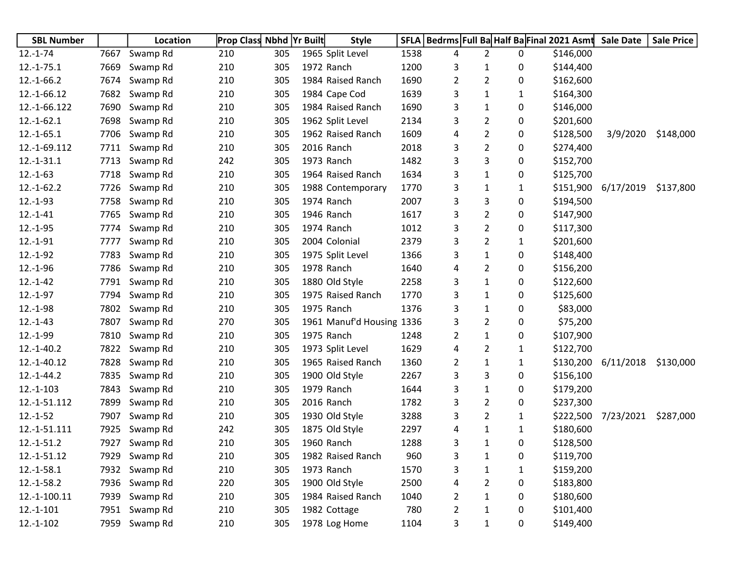| <b>SBL Number</b> |      | Location      | <b>Prop Class Nbhd Yr Built</b> |     | <b>Style</b>              |      |   |                |              | SFLA   Bedrms   Full Ba Half Ba Final 2021 Asmt | <b>Sale Date</b> | <b>Sale Price</b> |
|-------------------|------|---------------|---------------------------------|-----|---------------------------|------|---|----------------|--------------|-------------------------------------------------|------------------|-------------------|
| $12.-1-74$        | 7667 | Swamp Rd      | 210                             | 305 | 1965 Split Level          | 1538 | 4 | $\overline{2}$ | 0            | \$146,000                                       |                  |                   |
| $12.-1-75.1$      | 7669 | Swamp Rd      | 210                             | 305 | 1972 Ranch                | 1200 | 3 | 1              | 0            | \$144,400                                       |                  |                   |
| $12.-1-66.2$      | 7674 | Swamp Rd      | 210                             | 305 | 1984 Raised Ranch         | 1690 | 2 | 2              | 0            | \$162,600                                       |                  |                   |
| 12.-1-66.12       | 7682 | Swamp Rd      | 210                             | 305 | 1984 Cape Cod             | 1639 | 3 | $\mathbf{1}$   | 1            | \$164,300                                       |                  |                   |
| 12.-1-66.122      | 7690 | Swamp Rd      | 210                             | 305 | 1984 Raised Ranch         | 1690 | 3 | 1              | 0            | \$146,000                                       |                  |                   |
| $12.-1-62.1$      | 7698 | Swamp Rd      | 210                             | 305 | 1962 Split Level          | 2134 | 3 | 2              | 0            | \$201,600                                       |                  |                   |
| $12.-1-65.1$      | 7706 | Swamp Rd      | 210                             | 305 | 1962 Raised Ranch         | 1609 | 4 | 2              | 0            | \$128,500                                       | 3/9/2020         | \$148,000         |
| 12.-1-69.112      | 7711 | Swamp Rd      | 210                             | 305 | 2016 Ranch                | 2018 | 3 | $\overline{2}$ | 0            | \$274,400                                       |                  |                   |
| $12.-1-31.1$      | 7713 | Swamp Rd      | 242                             | 305 | 1973 Ranch                | 1482 | 3 | 3              | 0            | \$152,700                                       |                  |                   |
| $12.-1-63$        | 7718 | Swamp Rd      | 210                             | 305 | 1964 Raised Ranch         | 1634 | 3 | 1              | 0            | \$125,700                                       |                  |                   |
| $12.-1-62.2$      | 7726 | Swamp Rd      | 210                             | 305 | 1988 Contemporary         | 1770 | 3 | 1              | 1            | \$151,900                                       | 6/17/2019        | \$137,800         |
| $12.-1-93$        | 7758 | Swamp Rd      | 210                             | 305 | 1974 Ranch                | 2007 | 3 | 3              | 0            | \$194,500                                       |                  |                   |
| $12.-1-41$        | 7765 | Swamp Rd      | 210                             | 305 | 1946 Ranch                | 1617 | 3 | $\overline{2}$ | 0            | \$147,900                                       |                  |                   |
| $12.-1-95$        | 7774 | Swamp Rd      | 210                             | 305 | 1974 Ranch                | 1012 | 3 | 2              | 0            | \$117,300                                       |                  |                   |
| $12.-1-91$        | 7777 | Swamp Rd      | 210                             | 305 | 2004 Colonial             | 2379 | 3 | 2              | 1            | \$201,600                                       |                  |                   |
| $12.-1-92$        | 7783 | Swamp Rd      | 210                             | 305 | 1975 Split Level          | 1366 | 3 | 1              | 0            | \$148,400                                       |                  |                   |
| $12.-1-96$        | 7786 | Swamp Rd      | 210                             | 305 | 1978 Ranch                | 1640 | 4 | 2              | 0            | \$156,200                                       |                  |                   |
| $12.-1-42$        | 7791 | Swamp Rd      | 210                             | 305 | 1880 Old Style            | 2258 | 3 | 1              | 0            | \$122,600                                       |                  |                   |
| $12.-1-97$        | 7794 | Swamp Rd      | 210                             | 305 | 1975 Raised Ranch         | 1770 | 3 | 1              | 0            | \$125,600                                       |                  |                   |
| $12.-1-98$        | 7802 | Swamp Rd      | 210                             | 305 | 1975 Ranch                | 1376 | 3 | 1              | 0            | \$83,000                                        |                  |                   |
| $12.-1-43$        | 7807 | Swamp Rd      | 270                             | 305 | 1961 Manuf'd Housing 1336 |      | 3 | 2              | 0            | \$75,200                                        |                  |                   |
| $12.-1-99$        | 7810 | Swamp Rd      | 210                             | 305 | 1975 Ranch                | 1248 | 2 | $\mathbf{1}$   | 0            | \$107,900                                       |                  |                   |
| $12.-1-40.2$      | 7822 | Swamp Rd      | 210                             | 305 | 1973 Split Level          | 1629 | 4 | 2              | 1            | \$122,700                                       |                  |                   |
| 12.-1-40.12       | 7828 | Swamp Rd      | 210                             | 305 | 1965 Raised Ranch         | 1360 | 2 | 1              | 1            | \$130,200                                       | 6/11/2018        | \$130,000         |
| $12.-1-44.2$      | 7835 | Swamp Rd      | 210                             | 305 | 1900 Old Style            | 2267 | 3 | 3              | 0            | \$156,100                                       |                  |                   |
| $12.-1-103$       | 7843 | Swamp Rd      | 210                             | 305 | 1979 Ranch                | 1644 | 3 | 1              | 0            | \$179,200                                       |                  |                   |
| 12.-1-51.112      | 7899 | Swamp Rd      | 210                             | 305 | 2016 Ranch                | 1782 | 3 | $\overline{2}$ | 0            | \$237,300                                       |                  |                   |
| $12.-1-52$        | 7907 | Swamp Rd      | 210                             | 305 | 1930 Old Style            | 3288 | 3 | 2              | 1            | \$222,500                                       | 7/23/2021        | \$287,000         |
| 12.-1-51.111      | 7925 | Swamp Rd      | 242                             | 305 | 1875 Old Style            | 2297 | 4 | 1              | 1            | \$180,600                                       |                  |                   |
| $12.-1-51.2$      | 7927 | Swamp Rd      | 210                             | 305 | 1960 Ranch                | 1288 | 3 | 1              | 0            | \$128,500                                       |                  |                   |
| 12.-1-51.12       |      | 7929 Swamp Rd | 210                             | 305 | 1982 Raised Ranch         | 960  | 3 | 1              | 0            | \$119,700                                       |                  |                   |
| $12.-1-58.1$      | 7932 | Swamp Rd      | 210                             | 305 | 1973 Ranch                | 1570 | 3 | $\mathbf{1}$   | $\mathbf{1}$ | \$159,200                                       |                  |                   |
| $12.-1-58.2$      | 7936 | Swamp Rd      | 220                             | 305 | 1900 Old Style            | 2500 | 4 | 2              | 0            | \$183,800                                       |                  |                   |
| 12.-1-100.11      | 7939 | Swamp Rd      | 210                             | 305 | 1984 Raised Ranch         | 1040 | 2 | 1              | 0            | \$180,600                                       |                  |                   |
| $12.-1-101$       | 7951 | Swamp Rd      | 210                             | 305 | 1982 Cottage              | 780  | 2 | 1              | 0            | \$101,400                                       |                  |                   |
| $12.-1-102$       | 7959 | Swamp Rd      | 210                             | 305 | 1978 Log Home             | 1104 | 3 | $\mathbf{1}$   | 0            | \$149,400                                       |                  |                   |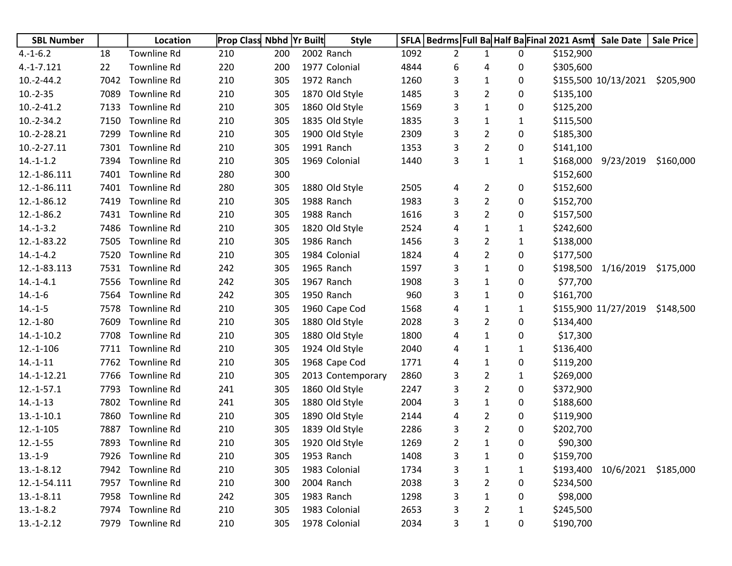| <b>SBL Number</b> |      | Location           | <b>Prop Class Nbhd Yr Built</b> |     | <b>Style</b>      |      |                |                |              |           | SFLA   Bedrms   Full Ba Half Ba Final 2021 Asmt Sale Date | <b>Sale Price</b> |
|-------------------|------|--------------------|---------------------------------|-----|-------------------|------|----------------|----------------|--------------|-----------|-----------------------------------------------------------|-------------------|
| $4.-1-6.2$        | 18   | Townline Rd        | 210                             | 200 | 2002 Ranch        | 1092 | $\overline{2}$ | 1              | 0            | \$152,900 |                                                           |                   |
| $4.-1-7.121$      | 22   | <b>Townline Rd</b> | 220                             | 200 | 1977 Colonial     | 4844 | 6              | 4              | 0            | \$305,600 |                                                           |                   |
| $10.-2-44.2$      | 7042 | <b>Townline Rd</b> | 210                             | 305 | 1972 Ranch        | 1260 | 3              | $\mathbf{1}$   | 0            |           | \$155,500 10/13/2021                                      | \$205,900         |
| $10.-2-35$        | 7089 | <b>Townline Rd</b> | 210                             | 305 | 1870 Old Style    | 1485 | 3              | 2              | 0            | \$135,100 |                                                           |                   |
| $10.-2-41.2$      | 7133 | Townline Rd        | 210                             | 305 | 1860 Old Style    | 1569 | 3              | 1              | 0            | \$125,200 |                                                           |                   |
| $10.-2-34.2$      | 7150 | <b>Townline Rd</b> | 210                             | 305 | 1835 Old Style    | 1835 | 3              | 1              | 1            | \$115,500 |                                                           |                   |
| 10.-2-28.21       | 7299 | <b>Townline Rd</b> | 210                             | 305 | 1900 Old Style    | 2309 | 3              | 2              | 0            | \$185,300 |                                                           |                   |
| $10.-2-.27.11$    | 7301 | <b>Townline Rd</b> | 210                             | 305 | 1991 Ranch        | 1353 | 3              | 2              | 0            | \$141,100 |                                                           |                   |
| $14.-1-1.2$       | 7394 | <b>Townline Rd</b> | 210                             | 305 | 1969 Colonial     | 1440 | 3              | $\mathbf 1$    | $\mathbf{1}$ |           | \$168,000 9/23/2019                                       | \$160,000         |
| 12.-1-86.111      | 7401 | <b>Townline Rd</b> | 280                             | 300 |                   |      |                |                |              | \$152,600 |                                                           |                   |
| 12.-1-86.111      | 7401 | <b>Townline Rd</b> | 280                             | 305 | 1880 Old Style    | 2505 | 4              | 2              | 0            | \$152,600 |                                                           |                   |
| 12.-1-86.12       | 7419 | <b>Townline Rd</b> | 210                             | 305 | 1988 Ranch        | 1983 | 3              | $\overline{2}$ | 0            | \$152,700 |                                                           |                   |
| 12.-1-86.2        | 7431 | Townline Rd        | 210                             | 305 | 1988 Ranch        | 1616 | 3              | 2              | 0            | \$157,500 |                                                           |                   |
| $14.-1-3.2$       | 7486 | <b>Townline Rd</b> | 210                             | 305 | 1820 Old Style    | 2524 | 4              | 1              | 1            | \$242,600 |                                                           |                   |
| 12.-1-83.22       | 7505 | <b>Townline Rd</b> | 210                             | 305 | 1986 Ranch        | 1456 | 3              | $\overline{2}$ | $\mathbf{1}$ | \$138,000 |                                                           |                   |
| $14.-1-4.2$       | 7520 | Townline Rd        | 210                             | 305 | 1984 Colonial     | 1824 | 4              | 2              | 0            | \$177,500 |                                                           |                   |
| 12.-1-83.113      | 7531 | <b>Townline Rd</b> | 242                             | 305 | 1965 Ranch        | 1597 | 3              | 1              | 0            |           | \$198,500 1/16/2019                                       | \$175,000         |
| $14.-1-4.1$       | 7556 | <b>Townline Rd</b> | 242                             | 305 | 1967 Ranch        | 1908 | 3              | 1              | 0            | \$77,700  |                                                           |                   |
| $14.-1-6$         | 7564 | <b>Townline Rd</b> | 242                             | 305 | 1950 Ranch        | 960  | 3              | 1              | 0            | \$161,700 |                                                           |                   |
| $14.-1-5$         | 7578 | <b>Townline Rd</b> | 210                             | 305 | 1960 Cape Cod     | 1568 | 4              | 1              | 1            |           | \$155,900 11/27/2019                                      | \$148,500         |
| $12.-1-80$        | 7609 | <b>Townline Rd</b> | 210                             | 305 | 1880 Old Style    | 2028 | 3              | $\overline{2}$ | 0            | \$134,400 |                                                           |                   |
| $14.-1-10.2$      | 7708 | Townline Rd        | 210                             | 305 | 1880 Old Style    | 1800 | 4              | 1              | 0            | \$17,300  |                                                           |                   |
| $12.-1-106$       | 7711 | <b>Townline Rd</b> | 210                             | 305 | 1924 Old Style    | 2040 | 4              | 1              | 1            | \$136,400 |                                                           |                   |
| $14.-1-11$        | 7762 | <b>Townline Rd</b> | 210                             | 305 | 1968 Cape Cod     | 1771 | 4              | 1              | 0            | \$119,200 |                                                           |                   |
| 14.-1-12.21       | 7766 | Townline Rd        | 210                             | 305 | 2013 Contemporary | 2860 | 3              | 2              | 1            | \$269,000 |                                                           |                   |
| $12.-1-57.1$      | 7793 | Townline Rd        | 241                             | 305 | 1860 Old Style    | 2247 | 3              | 2              | 0            | \$372,900 |                                                           |                   |
| $14.-1-13$        | 7802 | Townline Rd        | 241                             | 305 | 1880 Old Style    | 2004 | 3              | 1              | 0            | \$188,600 |                                                           |                   |
| $13.-1-10.1$      | 7860 | Townline Rd        | 210                             | 305 | 1890 Old Style    | 2144 | 4              | 2              | 0            | \$119,900 |                                                           |                   |
| $12.-1-105$       | 7887 | <b>Townline Rd</b> | 210                             | 305 | 1839 Old Style    | 2286 | 3              | $\overline{2}$ | 0            | \$202,700 |                                                           |                   |
| $12.-1-55$        | 7893 | Townline Rd        | 210                             | 305 | 1920 Old Style    | 1269 | 2              | 1              | 0            | \$90,300  |                                                           |                   |
| $13.-1-9$         |      | 7926 Townline Rd   | 210                             | 305 | 1953 Ranch        | 1408 | 3              | 1              | 0            | \$159,700 |                                                           |                   |
| $13.-1-8.12$      |      | 7942 Townline Rd   | 210                             | 305 | 1983 Colonial     | 1734 | 3              | 1              | 1            |           | \$193,400 10/6/2021 \$185,000                             |                   |
| 12.-1-54.111      |      | 7957 Townline Rd   | 210                             | 300 | 2004 Ranch        | 2038 | 3              | 2              | 0            | \$234,500 |                                                           |                   |
| $13.-1-8.11$      |      | 7958 Townline Rd   | 242                             | 305 | 1983 Ranch        | 1298 | 3              | 1              | 0            | \$98,000  |                                                           |                   |
| $13.-1-8.2$       |      | 7974 Townline Rd   | 210                             | 305 | 1983 Colonial     | 2653 | 3              | 2              | 1            | \$245,500 |                                                           |                   |
| $13.-1-2.12$      |      | 7979 Townline Rd   | 210                             | 305 | 1978 Colonial     | 2034 | 3              | 1              | 0            | \$190,700 |                                                           |                   |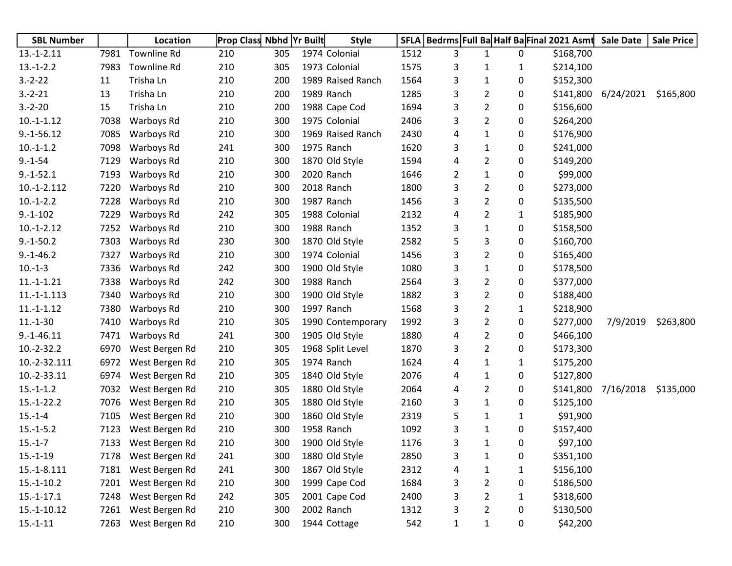| <b>SBL Number</b> |      | <b>Location</b>     | <b>Prop Class Nbhd Yr Built</b> |     | <b>Style</b>      | <b>SFLA</b> | Bedrms Full Ba Half Ba Final 2021 Asmt |                |              |           | <b>Sale Date</b> | <b>Sale Price</b> |
|-------------------|------|---------------------|---------------------------------|-----|-------------------|-------------|----------------------------------------|----------------|--------------|-----------|------------------|-------------------|
| $13.-1-2.11$      | 7981 | <b>Townline Rd</b>  | 210                             | 305 | 1974 Colonial     | 1512        | 3                                      | 1              | 0            | \$168,700 |                  |                   |
| $13.-1-2.2$       | 7983 | <b>Townline Rd</b>  | 210                             | 305 | 1973 Colonial     | 1575        | 3                                      | 1              | 1            | \$214,100 |                  |                   |
| $3.-2-.22$        | 11   | Trisha Ln           | 210                             | 200 | 1989 Raised Ranch | 1564        | 3                                      | 1              | 0            | \$152,300 |                  |                   |
| $3.-2-21$         | 13   | Trisha Ln           | 210                             | 200 | 1989 Ranch        | 1285        | 3                                      | 2              | 0            | \$141,800 | 6/24/2021        | \$165,800         |
| $3.-2-20$         | 15   | Trisha Ln           | 210                             | 200 | 1988 Cape Cod     | 1694        | 3                                      | $\overline{2}$ | 0            | \$156,600 |                  |                   |
| $10.-1-1.12$      | 7038 | Warboys Rd          | 210                             | 300 | 1975 Colonial     | 2406        | 3                                      | 2              | 0            | \$264,200 |                  |                   |
| $9.-1-56.12$      | 7085 | Warboys Rd          | 210                             | 300 | 1969 Raised Ranch | 2430        | 4                                      | 1              | 0            | \$176,900 |                  |                   |
| $10.-1-1.2$       | 7098 | Warboys Rd          | 241                             | 300 | 1975 Ranch        | 1620        | 3                                      | 1              | 0            | \$241,000 |                  |                   |
| $9.-1-54$         | 7129 | Warboys Rd          | 210                             | 300 | 1870 Old Style    | 1594        | 4                                      | $\overline{2}$ | 0            | \$149,200 |                  |                   |
| $9.-1-52.1$       | 7193 | Warboys Rd          | 210                             | 300 | 2020 Ranch        | 1646        | $\overline{2}$                         | 1              | 0            | \$99,000  |                  |                   |
| $10.-1-.2.112$    | 7220 | Warboys Rd          | 210                             | 300 | 2018 Ranch        | 1800        | 3                                      | $\overline{2}$ | 0            | \$273,000 |                  |                   |
| $10.-1-2.2$       | 7228 | Warboys Rd          | 210                             | 300 | 1987 Ranch        | 1456        | 3                                      | 2              | 0            | \$135,500 |                  |                   |
| $9.-1-102$        | 7229 | Warboys Rd          | 242                             | 305 | 1988 Colonial     | 2132        | 4                                      | 2              | 1            | \$185,900 |                  |                   |
| $10.-1-2.12$      | 7252 | Warboys Rd          | 210                             | 300 | 1988 Ranch        | 1352        | 3                                      | 1              | 0            | \$158,500 |                  |                   |
| $9.-1-50.2$       | 7303 | Warboys Rd          | 230                             | 300 | 1870 Old Style    | 2582        | 5                                      | 3              | 0            | \$160,700 |                  |                   |
| $9.-1-46.2$       | 7327 | Warboys Rd          | 210                             | 300 | 1974 Colonial     | 1456        | 3                                      | $\overline{2}$ | 0            | \$165,400 |                  |                   |
| $10.-1-3$         | 7336 | Warboys Rd          | 242                             | 300 | 1900 Old Style    | 1080        | 3                                      | 1              | 0            | \$178,500 |                  |                   |
| $11.-1-1.21$      | 7338 | Warboys Rd          | 242                             | 300 | 1988 Ranch        | 2564        | 3                                      | 2              | 0            | \$377,000 |                  |                   |
| $11.-1-1.113$     | 7340 | Warboys Rd          | 210                             | 300 | 1900 Old Style    | 1882        | 3                                      | 2              | 0            | \$188,400 |                  |                   |
| $11.-1-1.12$      | 7380 | Warboys Rd          | 210                             | 300 | 1997 Ranch        | 1568        | 3                                      | $\overline{2}$ | 1            | \$218,900 |                  |                   |
| $11.-1-30$        | 7410 | Warboys Rd          | 210                             | 305 | 1990 Contemporary | 1992        | 3                                      | 2              | 0            | \$277,000 | 7/9/2019         | \$263,800         |
| $9.-1-46.11$      | 7471 | Warboys Rd          | 241                             | 300 | 1905 Old Style    | 1880        | 4                                      | $\overline{2}$ | 0            | \$466,100 |                  |                   |
| $10.-2-32.2$      | 6970 | West Bergen Rd      | 210                             | 305 | 1968 Split Level  | 1870        | 3                                      | $\overline{2}$ | 0            | \$173,300 |                  |                   |
| 10.-2-32.111      | 6972 | West Bergen Rd      | 210                             | 305 | 1974 Ranch        | 1624        | 4                                      | 1              | 1            | \$175,200 |                  |                   |
| 10.-2-33.11       | 6974 | West Bergen Rd      | 210                             | 305 | 1840 Old Style    | 2076        | 4                                      | 1              | 0            | \$127,800 |                  |                   |
| $15.-1-1.2$       | 7032 | West Bergen Rd      | 210                             | 305 | 1880 Old Style    | 2064        | 4                                      | 2              | 0            | \$141,800 | 7/16/2018        | \$135,000         |
| $15.-1-22.2$      | 7076 | West Bergen Rd      | 210                             | 305 | 1880 Old Style    | 2160        | 3                                      | 1              | 0            | \$125,100 |                  |                   |
| $15.-1-4$         | 7105 | West Bergen Rd      | 210                             | 300 | 1860 Old Style    | 2319        | 5                                      | 1              | 1            | \$91,900  |                  |                   |
| $15.-1-5.2$       | 7123 | West Bergen Rd      | 210                             | 300 | 1958 Ranch        | 1092        | 3                                      | 1              | 0            | \$157,400 |                  |                   |
| $15.-1-7$         | 7133 | West Bergen Rd      | 210                             | 300 | 1900 Old Style    | 1176        | 3                                      | 1              | 0            | \$97,100  |                  |                   |
| $15.-1-19$        |      | 7178 West Bergen Rd | 241                             | 300 | 1880 Old Style    | 2850        | 3                                      | 1              | 0            | \$351,100 |                  |                   |
| 15.-1-8.111       | 7181 | West Bergen Rd      | 241                             | 300 | 1867 Old Style    | 2312        | 4                                      | 1              | $\mathbf{1}$ | \$156,100 |                  |                   |
| $15.-1-10.2$      | 7201 | West Bergen Rd      | 210                             | 300 | 1999 Cape Cod     | 1684        | 3                                      | $\overline{2}$ | 0            | \$186,500 |                  |                   |
| $15.-1-17.1$      | 7248 | West Bergen Rd      | 242                             | 305 | 2001 Cape Cod     | 2400        | 3                                      | $\overline{c}$ | $\mathbf{1}$ | \$318,600 |                  |                   |
| 15.-1-10.12       | 7261 | West Bergen Rd      | 210                             | 300 | 2002 Ranch        | 1312        | 3                                      | $\overline{2}$ | 0            | \$130,500 |                  |                   |
| $15.-1-11$        | 7263 | West Bergen Rd      | 210                             | 300 | 1944 Cottage      | 542         | $\mathbf{1}$                           | 1              | 0            | \$42,200  |                  |                   |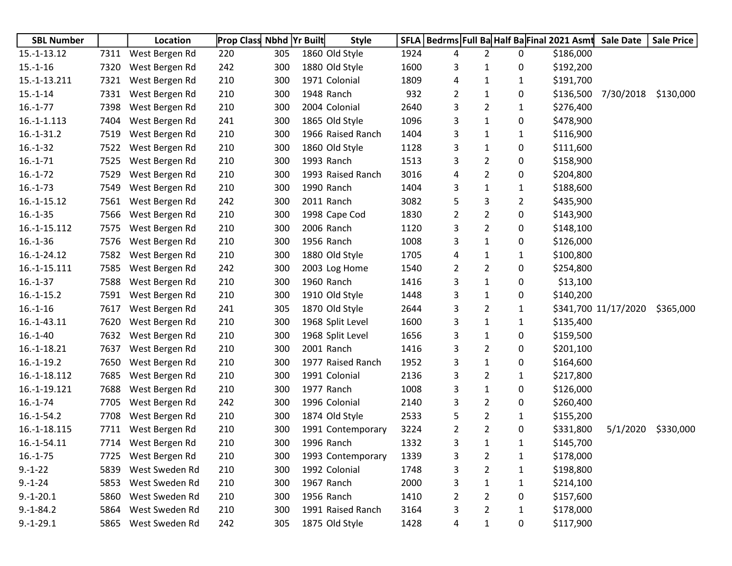| <b>SBL Number</b> |      | Location            | <b>Prop Class Nbhd Yr Built</b> |     |            | <b>Style</b>      | <b>SFLA</b> |   |                |              | Bedrms Full Ba Half Ba Final 2021 Asmt | <b>Sale Date</b>     | <b>Sale Price</b> |
|-------------------|------|---------------------|---------------------------------|-----|------------|-------------------|-------------|---|----------------|--------------|----------------------------------------|----------------------|-------------------|
| 15.-1-13.12       | 7311 | West Bergen Rd      | 220                             | 305 |            | 1860 Old Style    | 1924        | 4 | $\overline{2}$ | 0            | \$186,000                              |                      |                   |
| $15.-1-16$        | 7320 | West Bergen Rd      | 242                             | 300 |            | 1880 Old Style    | 1600        | 3 | 1              | 0            | \$192,200                              |                      |                   |
| 15.-1-13.211      | 7321 | West Bergen Rd      | 210                             | 300 |            | 1971 Colonial     | 1809        | 4 | 1              | 1            | \$191,700                              |                      |                   |
| $15.-1-14$        | 7331 | West Bergen Rd      | 210                             | 300 | 1948 Ranch |                   | 932         | 2 | 1              | 0            | \$136,500                              | 7/30/2018            | \$130,000         |
| $16.-1-77$        | 7398 | West Bergen Rd      | 210                             | 300 |            | 2004 Colonial     | 2640        | 3 | 2              | 1            | \$276,400                              |                      |                   |
| 16.-1-1.113       | 7404 | West Bergen Rd      | 241                             | 300 |            | 1865 Old Style    | 1096        | 3 | 1              | 0            | \$478,900                              |                      |                   |
| $16.-1-31.2$      | 7519 | West Bergen Rd      | 210                             | 300 |            | 1966 Raised Ranch | 1404        | 3 | 1              | 1            | \$116,900                              |                      |                   |
| $16.-1-32$        | 7522 | West Bergen Rd      | 210                             | 300 |            | 1860 Old Style    | 1128        | 3 | 1              | 0            | \$111,600                              |                      |                   |
| $16.-1-71$        | 7525 | West Bergen Rd      | 210                             | 300 | 1993 Ranch |                   | 1513        | 3 | 2              | 0            | \$158,900                              |                      |                   |
| $16.-1-72$        | 7529 | West Bergen Rd      | 210                             | 300 |            | 1993 Raised Ranch | 3016        | 4 | 2              | 0            | \$204,800                              |                      |                   |
| $16.-1-73$        | 7549 | West Bergen Rd      | 210                             | 300 | 1990 Ranch |                   | 1404        | 3 | 1              | 1            | \$188,600                              |                      |                   |
| 16.-1-15.12       | 7561 | West Bergen Rd      | 242                             | 300 | 2011 Ranch |                   | 3082        | 5 | 3              | 2            | \$435,900                              |                      |                   |
| $16.-1-35$        | 7566 | West Bergen Rd      | 210                             | 300 |            | 1998 Cape Cod     | 1830        | 2 | 2              | 0            | \$143,900                              |                      |                   |
| 16.-1-15.112      | 7575 | West Bergen Rd      | 210                             | 300 | 2006 Ranch |                   | 1120        | 3 | 2              | 0            | \$148,100                              |                      |                   |
| $16.-1-36$        | 7576 | West Bergen Rd      | 210                             | 300 | 1956 Ranch |                   | 1008        | 3 | 1              | 0            | \$126,000                              |                      |                   |
| 16.-1-24.12       | 7582 | West Bergen Rd      | 210                             | 300 |            | 1880 Old Style    | 1705        | 4 | 1              | 1            | \$100,800                              |                      |                   |
| 16.-1-15.111      | 7585 | West Bergen Rd      | 242                             | 300 |            | 2003 Log Home     | 1540        | 2 | 2              | 0            | \$254,800                              |                      |                   |
| $16.-1-37$        | 7588 | West Bergen Rd      | 210                             | 300 | 1960 Ranch |                   | 1416        | 3 | 1              | 0            | \$13,100                               |                      |                   |
| $16.-1-15.2$      | 7591 | West Bergen Rd      | 210                             | 300 |            | 1910 Old Style    | 1448        | 3 | 1              | 0            | \$140,200                              |                      |                   |
| $16.-1-16$        | 7617 | West Bergen Rd      | 241                             | 305 |            | 1870 Old Style    | 2644        | 3 | 2              | 1            |                                        | \$341,700 11/17/2020 | \$365,000         |
| 16.-1-43.11       | 7620 | West Bergen Rd      | 210                             | 300 |            | 1968 Split Level  | 1600        | 3 | 1              | 1            | \$135,400                              |                      |                   |
| $16.-1-40$        | 7632 | West Bergen Rd      | 210                             | 300 |            | 1968 Split Level  | 1656        | 3 | 1              | 0            | \$159,500                              |                      |                   |
| 16.-1-18.21       | 7637 | West Bergen Rd      | 210                             | 300 | 2001 Ranch |                   | 1416        | 3 | 2              | 0            | \$201,100                              |                      |                   |
| $16.-1-19.2$      | 7650 | West Bergen Rd      | 210                             | 300 |            | 1977 Raised Ranch | 1952        | 3 | 1              | 0            | \$164,600                              |                      |                   |
| 16.-1-18.112      | 7685 | West Bergen Rd      | 210                             | 300 |            | 1991 Colonial     | 2136        | 3 | 2              | 1            | \$217,800                              |                      |                   |
| 16.-1-19.121      | 7688 | West Bergen Rd      | 210                             | 300 | 1977 Ranch |                   | 1008        | 3 | 1              | 0            | \$126,000                              |                      |                   |
| $16.-1-74$        | 7705 | West Bergen Rd      | 242                             | 300 |            | 1996 Colonial     | 2140        | 3 | 2              | 0            | \$260,400                              |                      |                   |
| $16.-1-54.2$      | 7708 | West Bergen Rd      | 210                             | 300 |            | 1874 Old Style    | 2533        | 5 | 2              | 1            | \$155,200                              |                      |                   |
| 16.-1-18.115      | 7711 | West Bergen Rd      | 210                             | 300 |            | 1991 Contemporary | 3224        | 2 | 2              | 0            | \$331,800                              | 5/1/2020             | \$330,000         |
| 16.-1-54.11       | 7714 | West Bergen Rd      | 210                             | 300 | 1996 Ranch |                   | 1332        | 3 | 1              | 1            | \$145,700                              |                      |                   |
| $16.-1-75$        |      | 7725 West Bergen Rd | 210                             | 300 |            | 1993 Contemporary | 1339        | 3 | 2              | 1            | \$178,000                              |                      |                   |
| $9.-1-22$         | 5839 | West Sweden Rd      | 210                             | 300 |            | 1992 Colonial     | 1748        | 3 | 2              | $\mathbf{1}$ | \$198,800                              |                      |                   |
| $9.-1-24$         | 5853 | West Sweden Rd      | 210                             | 300 | 1967 Ranch |                   | 2000        | 3 | $\mathbf{1}$   | 1            | \$214,100                              |                      |                   |
| $9.-1-20.1$       | 5860 | West Sweden Rd      | 210                             | 300 | 1956 Ranch |                   | 1410        | 2 | 2              | 0            | \$157,600                              |                      |                   |
| $9.-1-84.2$       | 5864 | West Sweden Rd      | 210                             | 300 |            | 1991 Raised Ranch | 3164        | 3 | 2              | 1            | \$178,000                              |                      |                   |
| $9.-1-29.1$       | 5865 | West Sweden Rd      | 242                             | 305 |            | 1875 Old Style    | 1428        | 4 | $\mathbf{1}$   | 0            | \$117,900                              |                      |                   |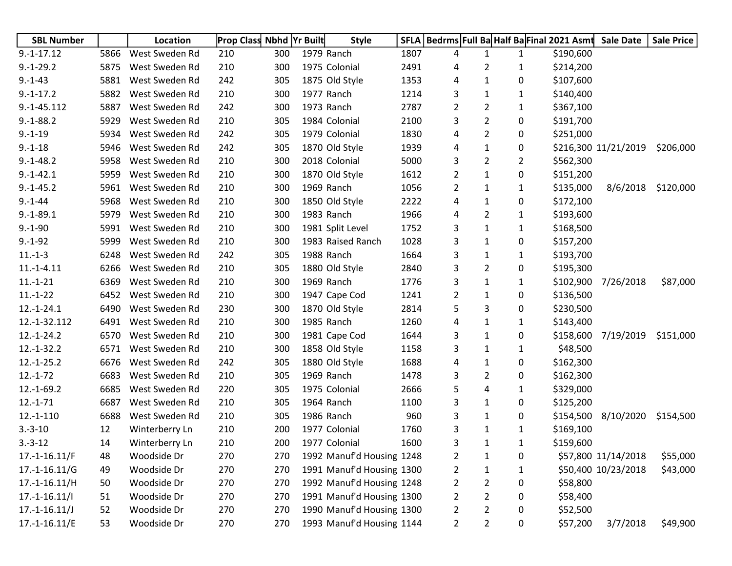| <b>SBL Number</b> |      | <b>Location</b> | <b>Prop Class Nbhd Yr Built</b> |     | <b>Style</b>              | <b>SFLA</b> |                |                |                | Bedrms Full Ba Half Ba Final 2021 Asmt | <b>Sale Date</b>     | <b>Sale Price</b> |
|-------------------|------|-----------------|---------------------------------|-----|---------------------------|-------------|----------------|----------------|----------------|----------------------------------------|----------------------|-------------------|
| $9.-1-17.12$      | 5866 | West Sweden Rd  | 210                             | 300 | 1979 Ranch                | 1807        | 4              | $\mathbf{1}$   | $\mathbf{1}$   | \$190,600                              |                      |                   |
| $9.-1-29.2$       | 5875 | West Sweden Rd  | 210                             | 300 | 1975 Colonial             | 2491        | 4              | 2              | 1              | \$214,200                              |                      |                   |
| $9. - 1 - 43$     | 5881 | West Sweden Rd  | 242                             | 305 | 1875 Old Style            | 1353        | 4              | $\mathbf{1}$   | 0              | \$107,600                              |                      |                   |
| $9.-1-17.2$       | 5882 | West Sweden Rd  | 210                             | 300 | 1977 Ranch                | 1214        | 3              | $\mathbf{1}$   | 1              | \$140,400                              |                      |                   |
| $9.-1-45.112$     | 5887 | West Sweden Rd  | 242                             | 300 | 1973 Ranch                | 2787        | 2              | $\overline{2}$ | 1              | \$367,100                              |                      |                   |
| $9.-1-88.2$       | 5929 | West Sweden Rd  | 210                             | 305 | 1984 Colonial             | 2100        | 3              | $\overline{2}$ | 0              | \$191,700                              |                      |                   |
| $9.-1-19$         | 5934 | West Sweden Rd  | 242                             | 305 | 1979 Colonial             | 1830        | 4              | $\overline{2}$ | 0              | \$251,000                              |                      |                   |
| $9.-1-18$         | 5946 | West Sweden Rd  | 242                             | 305 | 1870 Old Style            | 1939        | 4              | $\mathbf{1}$   | 0              |                                        | \$216,300 11/21/2019 | \$206,000         |
| $9.-1-48.2$       | 5958 | West Sweden Rd  | 210                             | 300 | 2018 Colonial             | 5000        | 3              | $\overline{2}$ | $\overline{2}$ | \$562,300                              |                      |                   |
| $9.-1-42.1$       | 5959 | West Sweden Rd  | 210                             | 300 | 1870 Old Style            | 1612        | $\overline{2}$ | $\mathbf{1}$   | 0              | \$151,200                              |                      |                   |
| $9.-1-45.2$       | 5961 | West Sweden Rd  | 210                             | 300 | 1969 Ranch                | 1056        | 2              | 1              | 1              | \$135,000                              | 8/6/2018             | \$120,000         |
| $9. - 1 - 44$     | 5968 | West Sweden Rd  | 210                             | 300 | 1850 Old Style            | 2222        | 4              | 1              | 0              | \$172,100                              |                      |                   |
| $9.-1-89.1$       | 5979 | West Sweden Rd  | 210                             | 300 | 1983 Ranch                | 1966        | 4              | $\overline{2}$ | 1              | \$193,600                              |                      |                   |
| $9.-1-90$         | 5991 | West Sweden Rd  | 210                             | 300 | 1981 Split Level          | 1752        | 3              | $\mathbf{1}$   | 1              | \$168,500                              |                      |                   |
| $9.-1-92$         | 5999 | West Sweden Rd  | 210                             | 300 | 1983 Raised Ranch         | 1028        | 3              | $\mathbf{1}$   | 0              | \$157,200                              |                      |                   |
| $11.-1-3$         | 6248 | West Sweden Rd  | 242                             | 305 | 1988 Ranch                | 1664        | 3              | $\mathbf{1}$   | 1              | \$193,700                              |                      |                   |
| $11.-1-4.11$      | 6266 | West Sweden Rd  | 210                             | 305 | 1880 Old Style            | 2840        | 3              | $\overline{2}$ | 0              | \$195,300                              |                      |                   |
| $11.-1-21$        | 6369 | West Sweden Rd  | 210                             | 300 | 1969 Ranch                | 1776        | 3              | $\mathbf{1}$   | 1              | \$102,900                              | 7/26/2018            | \$87,000          |
| $11.-1-22$        | 6452 | West Sweden Rd  | 210                             | 300 | 1947 Cape Cod             | 1241        | $\overline{2}$ | $\mathbf{1}$   | 0              | \$136,500                              |                      |                   |
| $12.-1-24.1$      | 6490 | West Sweden Rd  | 230                             | 300 | 1870 Old Style            | 2814        | 5              | 3              | 0              | \$230,500                              |                      |                   |
| 12.-1-32.112      | 6491 | West Sweden Rd  | 210                             | 300 | 1985 Ranch                | 1260        | 4              | 1              | 1              | \$143,400                              |                      |                   |
| $12.-1-24.2$      | 6570 | West Sweden Rd  | 210                             | 300 | 1981 Cape Cod             | 1644        | 3              | $\mathbf{1}$   | 0              | \$158,600                              | 7/19/2019            | \$151,000         |
| $12.-1-32.2$      | 6571 | West Sweden Rd  | 210                             | 300 | 1858 Old Style            | 1158        | 3              | 1              | 1              | \$48,500                               |                      |                   |
| $12.-1-25.2$      | 6676 | West Sweden Rd  | 242                             | 305 | 1880 Old Style            | 1688        | 4              | 1              | 0              | \$162,300                              |                      |                   |
| $12.-1-72$        | 6683 | West Sweden Rd  | 210                             | 305 | 1969 Ranch                | 1478        | 3              | 2              | 0              | \$162,300                              |                      |                   |
| $12.-1-69.2$      | 6685 | West Sweden Rd  | 220                             | 305 | 1975 Colonial             | 2666        | 5              | 4              | 1              | \$329,000                              |                      |                   |
| $12.-1-71$        | 6687 | West Sweden Rd  | 210                             | 305 | 1964 Ranch                | 1100        | 3              | $\mathbf{1}$   | 0              | \$125,200                              |                      |                   |
| $12.-1-110$       | 6688 | West Sweden Rd  | 210                             | 305 | 1986 Ranch                | 960         | 3              | $\mathbf{1}$   | 0              | \$154,500                              | 8/10/2020            | \$154,500         |
| $3.-3-10$         | 12   | Winterberry Ln  | 210                             | 200 | 1977 Colonial             | 1760        | 3              | 1              | 1              | \$169,100                              |                      |                   |
| $3.-3-12$         | 14   | Winterberry Ln  | 210                             | 200 | 1977 Colonial             | 1600        | 3              | 1              | 1              | \$159,600                              |                      |                   |
| $17.-1-16.11/F$   | 48   | Woodside Dr     | 270                             | 270 | 1992 Manuf'd Housing 1248 |             | 2              | $\mathbf{1}$   | 0              |                                        | \$57,800 11/14/2018  | \$55,000          |
| $17.-1-16.11/G$   | 49   | Woodside Dr     | 270                             | 270 | 1991 Manuf'd Housing 1300 |             | $\overline{2}$ | $\mathbf{1}$   | 1              |                                        | \$50,400 10/23/2018  | \$43,000          |
| $17.-1-16.11/H$   | 50   | Woodside Dr     | 270                             | 270 | 1992 Manuf'd Housing 1248 |             | 2              | $\overline{2}$ | 0              | \$58,800                               |                      |                   |
| $17.-1-16.11/1$   | 51   | Woodside Dr     | 270                             | 270 | 1991 Manuf'd Housing 1300 |             | 2              | $\overline{2}$ | 0              | \$58,400                               |                      |                   |
| $17.-1-16.11/J$   | 52   | Woodside Dr     | 270                             | 270 | 1990 Manuf'd Housing 1300 |             | 2              | $\overline{2}$ | 0              | \$52,500                               |                      |                   |
| $17.-1-16.11/E$   | 53   | Woodside Dr     | 270                             | 270 | 1993 Manuf'd Housing 1144 |             | $\overline{2}$ | $\overline{2}$ | 0              | \$57,200                               | 3/7/2018             | \$49,900          |